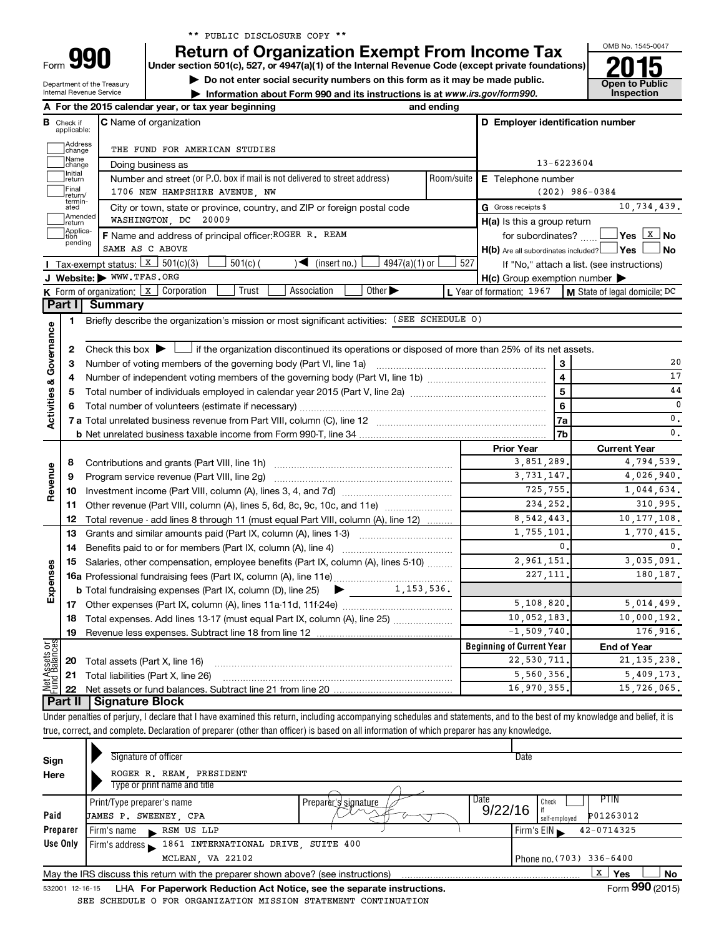|  |  | ** PUBLIC DISCLOSURE COPY ** |  |  |
|--|--|------------------------------|--|--|
|--|--|------------------------------|--|--|

**Under section 501(c), 527, or 4947(a)(1) of the Internal Revenue Code (except private foundations) 990 Return of Organization Exempt From Income Tax 1990 2015**<br>
Under section 501(c), 527, or 4947(a)(1) of the Internal Revenue Code (except private foundations) **2015** 

Department of the Treasury Internal Revenue Service

Form

OMB No. 1545-0047

| r section 501(c), 527, or 4947(a)(1) of the Internal Revenue Code (except private foundations) | 2015                  |
|------------------------------------------------------------------------------------------------|-----------------------|
| $\triangleright$ Do not enter social security numbers on this form as it may be made public.   | <b>Open to Public</b> |
| Information about Form 990 and its instructions is at www.irs.gov/form990.                     | Inspection            |

|                         |                               | A For the 2015 calendar year, or tax year beginning                                                                                         | and ending |                                                     |                                            |
|-------------------------|-------------------------------|---------------------------------------------------------------------------------------------------------------------------------------------|------------|-----------------------------------------------------|--------------------------------------------|
|                         | <b>B</b> Check if applicable: | <b>C</b> Name of organization                                                                                                               |            | D Employer identification number                    |                                            |
|                         | Address<br>change             | THE FUND FOR AMERICAN STUDIES                                                                                                               |            |                                                     |                                            |
|                         | Name<br>change                | Doing business as                                                                                                                           |            | 13-6223604                                          |                                            |
|                         | <b>Initial</b><br>return      | Number and street (or P.O. box if mail is not delivered to street address)                                                                  | Room/suite | E Telephone number                                  |                                            |
|                         | Final<br>return/              | 1706 NEW HAMPSHIRE AVENUE, NW                                                                                                               |            |                                                     | $(202)$ 986-0384                           |
|                         | termin-<br>ated               | City or town, state or province, country, and ZIP or foreign postal code                                                                    |            | G Gross receipts \$                                 | 10,734,439.                                |
|                         | Amended<br>Ireturn            | WASHINGTON, DC<br>20009                                                                                                                     |            | H(a) Is this a group return                         |                                            |
|                         | Applica-                      | F Name and address of principal officer: ROGER R. REAM                                                                                      |            | for subordinates?                                   | $ Yes X $ No                               |
|                         | pending                       | SAME AS C ABOVE                                                                                                                             |            | $H(b)$ Are all subordinates included? $\Box$ Yes    | <b>No</b>                                  |
|                         |                               | Tax-exempt status: $x \mid 301(c)(3)$<br>(insert no.)<br>$501(c)$ (<br>$4947(a)(1)$ or<br>$\rightarrow$                                     | 527        |                                                     | If "No," attach a list. (see instructions) |
|                         |                               | Website: WWW.TFAS.ORG                                                                                                                       |            | $H(c)$ Group exemption number $\blacktriangleright$ |                                            |
|                         |                               | Other $\blacktriangleright$<br><b>K</b> Form of organization: $\boxed{x}$ Corporation<br>Trust<br>Association                               |            | L Year of formation: 1967                           | <b>M</b> State of legal domicile: DC       |
|                         | Part I                        | <b>Summary</b>                                                                                                                              |            |                                                     |                                            |
|                         | 1                             | Briefly describe the organization's mission or most significant activities: (SEE SCHEDULE O)                                                |            |                                                     |                                            |
| Activities & Governance |                               |                                                                                                                                             |            |                                                     |                                            |
|                         | 2                             | Check this box $\blacktriangleright$ $\Box$ if the organization discontinued its operations or disposed of more than 25% of its net assets. |            |                                                     |                                            |
|                         | З                             | Number of voting members of the governing body (Part VI, line 1a)                                                                           |            | 3                                                   | 20                                         |
|                         | 4                             |                                                                                                                                             |            | $\overline{\mathbf{4}}$                             | 17                                         |
|                         | 5                             |                                                                                                                                             |            | 5                                                   | 44                                         |
|                         | 6                             |                                                                                                                                             |            | $6\phantom{a}$                                      | $\mathbf 0$                                |
|                         |                               |                                                                                                                                             |            | 7a                                                  | $\mathbf{0}$ .                             |
|                         |                               |                                                                                                                                             |            | 7b                                                  | $\mathbf{0}$ .                             |
|                         |                               |                                                                                                                                             |            | <b>Prior Year</b>                                   | <b>Current Year</b>                        |
|                         | 8                             | Contributions and grants (Part VIII, line 1h)                                                                                               |            | 3,851,289                                           | 4,794,539.                                 |
| Revenue                 | 9                             | Program service revenue (Part VIII, line 2g)                                                                                                |            | 3,731,147.                                          | 4,026,940.                                 |
|                         | 10                            |                                                                                                                                             |            | 725,755.                                            | 1,044,634.                                 |
|                         | 11                            | Other revenue (Part VIII, column (A), lines 5, 6d, 8c, 9c, 10c, and 11e)                                                                    |            | 234.252.                                            | 310,995.                                   |
|                         | 12                            | Total revenue - add lines 8 through 11 (must equal Part VIII, column (A), line 12)                                                          |            | 8,542,443                                           | 10, 177, 108.                              |
|                         | 13                            | Grants and similar amounts paid (Part IX, column (A), lines 1-3)                                                                            |            | 1,755,101                                           | 1,770,415.                                 |
|                         | 14                            | Benefits paid to or for members (Part IX, column (A), line 4)                                                                               |            | $\mathbf{0}$ .                                      | 0.                                         |
|                         | 15                            | Salaries, other compensation, employee benefits (Part IX, column (A), lines 5-10)                                                           |            | 2.961.151.                                          | 3.035.091.                                 |
|                         |                               |                                                                                                                                             |            | 227, 111.                                           | 180,187.                                   |
| Expenses                |                               | 1, 153, 536.<br><b>b</b> Total fundraising expenses (Part IX, column (D), line 25) $\triangleright$                                         |            |                                                     |                                            |
|                         | 17                            |                                                                                                                                             |            | 5,108,820.                                          | 5,014,499.                                 |
|                         | 18                            | Total expenses. Add lines 13-17 (must equal Part IX, column (A), line 25)                                                                   |            | 10,052,183.                                         | 10,000.192.                                |
|                         | 19                            |                                                                                                                                             |            | $-1,509,740.$                                       | 176,916.                                   |
| Net Assets or           |                               |                                                                                                                                             |            | <b>Beginning of Current Year</b>                    | <b>End of Year</b>                         |
|                         | 20                            | Total assets (Part X, line 16)                                                                                                              |            | 22,530,711.                                         | 21, 135, 238.                              |
|                         | 21                            | Total liabilities (Part X, line 26)                                                                                                         |            | 5,560,356.                                          | 5,409,173.                                 |
|                         | 22                            |                                                                                                                                             |            | 16,970,355.                                         | 15,726,065.                                |

**Part II Signature Block**

Under penalties of perjury, I declare that I have examined this return, including accompanying schedules and statements, and to the best of my knowledge and belief, it is true, correct, and complete. Declaration of preparer (other than officer) is based on all information of which preparer has any knowledge.

| Sign     | Signature of officer                                                                                         |                      | Date                                  |  |  |  |  |
|----------|--------------------------------------------------------------------------------------------------------------|----------------------|---------------------------------------|--|--|--|--|
| Here     | ROGER R. REAM, PRESIDENT                                                                                     |                      |                                       |  |  |  |  |
|          | Type or print name and title                                                                                 |                      |                                       |  |  |  |  |
|          | Print/Type preparer's name                                                                                   | Preparer's signature | Date<br>PTIN<br>Check                 |  |  |  |  |
| Paid     | JAMES P. SWEENEY, CPA                                                                                        |                      | 9/22/16<br>P01263012<br>self-emploved |  |  |  |  |
| Preparer | RSM US LLP<br>Firm's name                                                                                    |                      | 42-0714325<br>Firm's $EIN$            |  |  |  |  |
| Use Only | 1861 INTERNATIONAL DRIVE, SUITE 400<br>Firm's address                                                        |                      |                                       |  |  |  |  |
|          | MCLEAN, VA 22102                                                                                             |                      | Phone no. (703) 336-6400              |  |  |  |  |
|          | x<br>No<br>Yes<br>May the IRS discuss this return with the preparer shown above? (see instructions)          |                      |                                       |  |  |  |  |
|          | Form 990 (2015)<br>LHA For Paperwork Reduction Act Notice, see the separate instructions.<br>532001 12-16-15 |                      |                                       |  |  |  |  |

SEE SCHEDULE O FOR ORGANIZATION MISSION STATEMENT CONTINUATION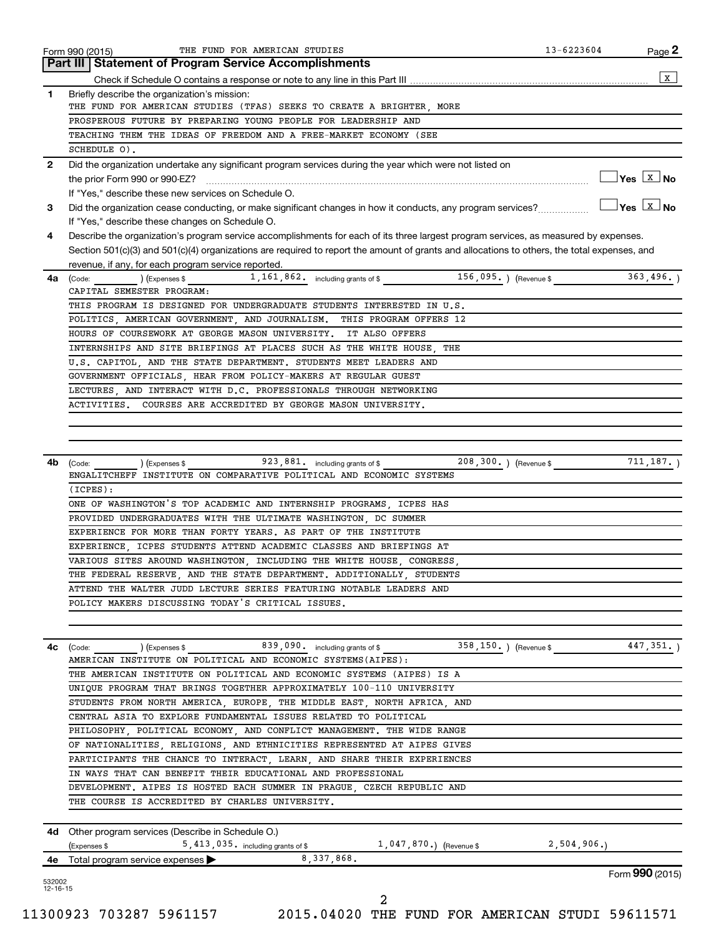|                          | THE FUND FOR AMERICAN STUDIES<br>Form 990 (2015)                                                                                             | 13-6223604 | Page 2                              |
|--------------------------|----------------------------------------------------------------------------------------------------------------------------------------------|------------|-------------------------------------|
|                          | Part III   Statement of Program Service Accomplishments                                                                                      |            |                                     |
|                          |                                                                                                                                              |            | $\mathbf{X}$                        |
| $\mathbf{1}$             | Briefly describe the organization's mission:                                                                                                 |            |                                     |
|                          | THE FUND FOR AMERICAN STUDIES (TFAS) SEEKS TO CREATE A BRIGHTER, MORE                                                                        |            |                                     |
|                          | PROSPEROUS FUTURE BY PREPARING YOUNG PEOPLE FOR LEADERSHIP AND                                                                               |            |                                     |
|                          | TEACHING THEM THE IDEAS OF FREEDOM AND A FREE-MARKET ECONOMY (SEE                                                                            |            |                                     |
|                          | SCHEDULE O).                                                                                                                                 |            |                                     |
| $\mathbf{2}$             | Did the organization undertake any significant program services during the year which were not listed on                                     |            |                                     |
|                          |                                                                                                                                              |            | $\sqrt{}$ Yes $\boxed{\text{x}}$ No |
|                          | If "Yes," describe these new services on Schedule O.                                                                                         |            |                                     |
| 3                        | Did the organization cease conducting, or make significant changes in how it conducts, any program services?                                 |            | $\Box$ Yes $\boxed{\text{x}}$ No    |
|                          | If "Yes," describe these changes on Schedule O.                                                                                              |            |                                     |
| 4                        | Describe the organization's program service accomplishments for each of its three largest program services, as measured by expenses.         |            |                                     |
|                          | Section 501(c)(3) and 501(c)(4) organizations are required to report the amount of grants and allocations to others, the total expenses, and |            |                                     |
|                          |                                                                                                                                              |            |                                     |
|                          | revenue, if any, for each program service reported.                                                                                          |            |                                     |
| 4a                       | (Code: (Code: ) (Expenses \$ 1,161,862. including grants of \$ 156,095.) (Revenue \$ 363,496.)                                               |            |                                     |
|                          | CAPITAL SEMESTER PROGRAM:                                                                                                                    |            |                                     |
|                          | THIS PROGRAM IS DESIGNED FOR UNDERGRADUATE STUDENTS INTERESTED IN U.S.                                                                       |            |                                     |
|                          | POLITICS, AMERICAN GOVERNMENT, AND JOURNALISM. THIS PROGRAM OFFERS 12                                                                        |            |                                     |
|                          | HOURS OF COURSEWORK AT GEORGE MASON UNIVERSITY. IT ALSO OFFERS                                                                               |            |                                     |
|                          | INTERNSHIPS AND SITE BRIEFINGS AT PLACES SUCH AS THE WHITE HOUSE, THE                                                                        |            |                                     |
|                          | U.S. CAPITOL, AND THE STATE DEPARTMENT. STUDENTS MEET LEADERS AND                                                                            |            |                                     |
|                          | GOVERNMENT OFFICIALS, HEAR FROM POLICY-MAKERS AT REGULAR GUEST                                                                               |            |                                     |
|                          | LECTURES, AND INTERACT WITH D.C. PROFESSIONALS THROUGH NETWORKING                                                                            |            |                                     |
|                          | ACTIVITIES. COURSES ARE ACCREDITED BY GEORGE MASON UNIVERSITY.                                                                               |            |                                     |
|                          |                                                                                                                                              |            |                                     |
|                          |                                                                                                                                              |            |                                     |
|                          |                                                                                                                                              |            |                                     |
| 4b                       | 208,300.) (Revenue \$711,187.)<br>(Code: ) (Expenses \$ 923, 881. including grants of \$                                                     |            |                                     |
|                          | ENGALITCHEFF INSTITUTE ON COMPARATIVE POLITICAL AND ECONOMIC SYSTEMS                                                                         |            |                                     |
|                          | (ICPES):                                                                                                                                     |            |                                     |
|                          | ONE OF WASHINGTON'S TOP ACADEMIC AND INTERNSHIP PROGRAMS, ICPES HAS                                                                          |            |                                     |
|                          | PROVIDED UNDERGRADUATES WITH THE ULTIMATE WASHINGTON, DC SUMMER                                                                              |            |                                     |
|                          | EXPERIENCE FOR MORE THAN FORTY YEARS. AS PART OF THE INSTITUTE                                                                               |            |                                     |
|                          | EXPERIENCE, ICPES STUDENTS ATTEND ACADEMIC CLASSES AND BRIEFINGS AT                                                                          |            |                                     |
|                          | VARIOUS SITES AROUND WASHINGTON, INCLUDING THE WHITE HOUSE, CONGRESS,                                                                        |            |                                     |
|                          | THE FEDERAL RESERVE, AND THE STATE DEPARTMENT. ADDITIONALLY, STUDENTS                                                                        |            |                                     |
|                          | ATTEND THE WALTER JUDD LECTURE SERIES FEATURING NOTABLE LEADERS AND                                                                          |            |                                     |
|                          | POLICY MAKERS DISCUSSING TODAY'S CRITICAL ISSUES.                                                                                            |            |                                     |
|                          |                                                                                                                                              |            |                                     |
|                          |                                                                                                                                              |            |                                     |
| 4c                       | 839,090. including grants of \$<br>358,150.) (Revenue \$<br>(Code: ) (Expenses \$                                                            |            | $447, 351.$ )                       |
|                          | AMERICAN INSTITUTE ON POLITICAL AND ECONOMIC SYSTEMS(AIPES):                                                                                 |            |                                     |
|                          | THE AMERICAN INSTITUTE ON POLITICAL AND ECONOMIC SYSTEMS (AIPES) IS A                                                                        |            |                                     |
|                          | UNIQUE PROGRAM THAT BRINGS TOGETHER APPROXIMATELY 100-110 UNIVERSITY                                                                         |            |                                     |
|                          | STUDENTS FROM NORTH AMERICA, EUROPE, THE MIDDLE EAST, NORTH AFRICA, AND                                                                      |            |                                     |
|                          |                                                                                                                                              |            |                                     |
|                          | CENTRAL ASIA TO EXPLORE FUNDAMENTAL ISSUES RELATED TO POLITICAL                                                                              |            |                                     |
|                          | PHILOSOPHY, POLITICAL ECONOMY, AND CONFLICT MANAGEMENT. THE WIDE RANGE                                                                       |            |                                     |
|                          | OF NATIONALITIES, RELIGIONS, AND ETHNICITIES REPRESENTED AT AIPES GIVES                                                                      |            |                                     |
|                          | PARTICIPANTS THE CHANCE TO INTERACT, LEARN, AND SHARE THEIR EXPERIENCES                                                                      |            |                                     |
|                          | IN WAYS THAT CAN BENEFIT THEIR EDUCATIONAL AND PROFESSIONAL                                                                                  |            |                                     |
|                          | DEVELOPMENT. AIPES IS HOSTED EACH SUMMER IN PRAGUE, CZECH REPUBLIC AND                                                                       |            |                                     |
|                          | THE COURSE IS ACCREDITED BY CHARLES UNIVERSITY.                                                                                              |            |                                     |
|                          |                                                                                                                                              |            |                                     |
|                          | 4d Other program services (Describe in Schedule O.)                                                                                          |            |                                     |
|                          | 5,413,035. including grants of \$1,047,870.) (Revenue \$<br>(Expenses \$                                                                     | 2,504,906. |                                     |
| 4e                       | 8,337,868.<br>Total program service expenses >                                                                                               |            |                                     |
|                          |                                                                                                                                              |            | Form 990 (2015)                     |
| 532002<br>$12 - 16 - 15$ |                                                                                                                                              |            |                                     |
|                          |                                                                                                                                              |            |                                     |
|                          | 11300923 703287 5961157 2015.04020 THE FUND FOR AMERICAN STUDI 59611571                                                                      |            |                                     |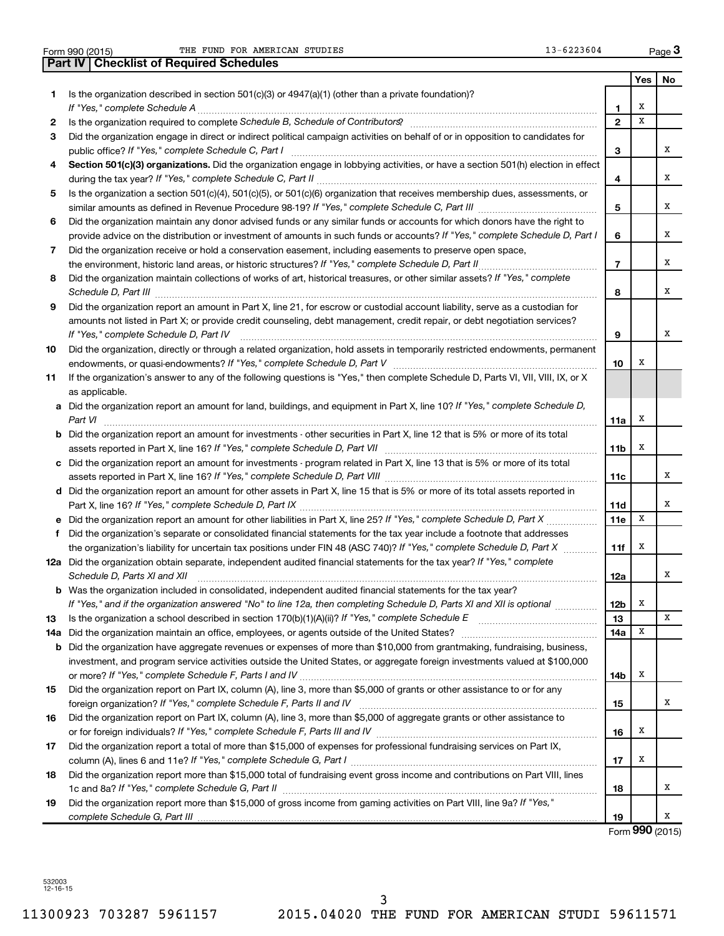|     | THE FUND FOR AMERICAN STUDIES<br>13-6223604<br>Form 990 (2015)                                                                       |                |     | Page 3 |
|-----|--------------------------------------------------------------------------------------------------------------------------------------|----------------|-----|--------|
|     | <b>Part IV   Checklist of Required Schedules</b>                                                                                     |                |     |        |
|     |                                                                                                                                      |                | Yes | No     |
| 1.  | Is the organization described in section $501(c)(3)$ or $4947(a)(1)$ (other than a private foundation)?                              |                |     |        |
|     |                                                                                                                                      | 1              | Х   |        |
| 2   |                                                                                                                                      | $\mathbf{2}$   | X   |        |
| 3   | Did the organization engage in direct or indirect political campaign activities on behalf of or in opposition to candidates for      |                |     |        |
|     | public office? If "Yes," complete Schedule C, Part I                                                                                 | 3              |     | x      |
| 4   | Section 501(c)(3) organizations. Did the organization engage in lobbying activities, or have a section 501(h) election in effect     |                |     |        |
|     |                                                                                                                                      | 4              |     | х      |
| 5   | Is the organization a section 501(c)(4), 501(c)(5), or 501(c)(6) organization that receives membership dues, assessments, or         |                |     |        |
|     |                                                                                                                                      | 5              |     | x      |
| 6   | Did the organization maintain any donor advised funds or any similar funds or accounts for which donors have the right to            |                |     |        |
|     | provide advice on the distribution or investment of amounts in such funds or accounts? If "Yes," complete Schedule D, Part I         | 6              |     | x      |
| 7   | Did the organization receive or hold a conservation easement, including easements to preserve open space,                            |                |     |        |
|     | the environment, historic land areas, or historic structures? If "Yes," complete Schedule D, Part II                                 | $\overline{7}$ |     | x      |
| 8   | Did the organization maintain collections of works of art, historical treasures, or other similar assets? If "Yes," complete         |                |     |        |
|     |                                                                                                                                      | 8              |     | x      |
| 9   | Did the organization report an amount in Part X, line 21, for escrow or custodial account liability, serve as a custodian for        |                |     |        |
|     | amounts not listed in Part X; or provide credit counseling, debt management, credit repair, or debt negotiation services?            |                |     |        |
|     | If "Yes," complete Schedule D, Part IV                                                                                               | 9              |     | х      |
| 10  | Did the organization, directly or through a related organization, hold assets in temporarily restricted endowments, permanent        |                |     |        |
|     |                                                                                                                                      | 10             | х   |        |
| 11  | If the organization's answer to any of the following questions is "Yes," then complete Schedule D, Parts VI, VII, VIII, IX, or X     |                |     |        |
|     | as applicable.                                                                                                                       |                |     |        |
| а   | Did the organization report an amount for land, buildings, and equipment in Part X, line 10? If "Yes," complete Schedule D,          |                |     |        |
|     | Part VI                                                                                                                              | 11a            | х   |        |
|     | <b>b</b> Did the organization report an amount for investments - other securities in Part X, line 12 that is 5% or more of its total |                |     |        |
|     |                                                                                                                                      | 11b            | х   |        |
| с   | Did the organization report an amount for investments - program related in Part X, line 13 that is 5% or more of its total           |                |     |        |
|     |                                                                                                                                      | 11c            |     | x      |
|     | d Did the organization report an amount for other assets in Part X, line 15 that is 5% or more of its total assets reported in       |                |     |        |
|     |                                                                                                                                      | 11d            |     | Χ      |
| е   | Did the organization report an amount for other liabilities in Part X, line 25? If "Yes," complete Schedule D, Part X                | <b>11e</b>     | х   |        |
| f   | Did the organization's separate or consolidated financial statements for the tax year include a footnote that addresses              |                |     |        |
|     | the organization's liability for uncertain tax positions under FIN 48 (ASC 740)? If "Yes," complete Schedule D, Part X               | 11f            | х   |        |
|     | 12a Did the organization obtain separate, independent audited financial statements for the tax year? If "Yes," complete              |                |     |        |
|     | Schedule D, Parts XI and XII                                                                                                         | 12a            |     | х      |
|     | <b>b</b> Was the organization included in consolidated, independent audited financial statements for the tax year?                   |                |     |        |
|     | If "Yes," and if the organization answered "No" to line 12a, then completing Schedule D, Parts XI and XII is optional <i></i>        | 12b            | х   |        |
| 13  |                                                                                                                                      | 13             |     | x      |
| 14a |                                                                                                                                      | 14a            | X   |        |
| b   | Did the organization have aggregate revenues or expenses of more than \$10,000 from grantmaking, fundraising, business,              |                |     |        |
|     | investment, and program service activities outside the United States, or aggregate foreign investments valued at \$100,000           |                |     |        |
|     |                                                                                                                                      | 14b            | х   |        |
| 15  | Did the organization report on Part IX, column (A), line 3, more than \$5,000 of grants or other assistance to or for any            |                |     |        |
|     | foreign organization? If "Yes," complete Schedule F, Parts II and IV                                                                 | 15             |     | x      |
| 16  | Did the organization report on Part IX, column (A), line 3, more than \$5,000 of aggregate grants or other assistance to             |                |     |        |
|     |                                                                                                                                      | 16             | х   |        |
| 17  | Did the organization report a total of more than \$15,000 of expenses for professional fundraising services on Part IX,              |                |     |        |
|     |                                                                                                                                      | 17             | х   |        |
| 18  | Did the organization report more than \$15,000 total of fundraising event gross income and contributions on Part VIII, lines         |                |     |        |
|     |                                                                                                                                      | 18             |     | x      |
| 19  | Did the organization report more than \$15,000 of gross income from gaming activities on Part VIII, line 9a? If "Yes,"               |                |     |        |
|     |                                                                                                                                      | 19             |     | х      |

Form **990** (2015)

532003 12-16-15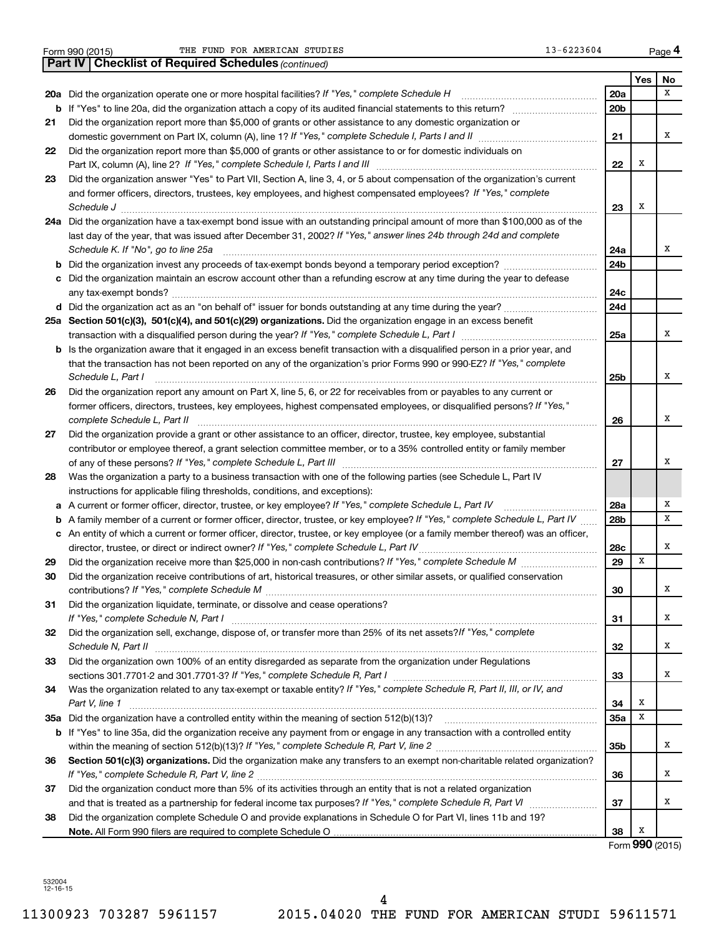| Form 990 (2015) |  |  |
|-----------------|--|--|

Form 990 (2015) THE FUND FOR AMERICAN STUDIES (13-6223604 Page

|     | Part IV   Checklist of Required Schedules (continued)                                                                                                                                                                                                                                                                                                                                                                                                     |                 |     |    |
|-----|-----------------------------------------------------------------------------------------------------------------------------------------------------------------------------------------------------------------------------------------------------------------------------------------------------------------------------------------------------------------------------------------------------------------------------------------------------------|-----------------|-----|----|
|     |                                                                                                                                                                                                                                                                                                                                                                                                                                                           |                 | Yes | No |
|     | 20a Did the organization operate one or more hospital facilities? If "Yes," complete Schedule H                                                                                                                                                                                                                                                                                                                                                           | 20a             |     | X  |
| b   |                                                                                                                                                                                                                                                                                                                                                                                                                                                           | 20b             |     |    |
| 21  | Did the organization report more than \$5,000 of grants or other assistance to any domestic organization or                                                                                                                                                                                                                                                                                                                                               |                 |     |    |
|     |                                                                                                                                                                                                                                                                                                                                                                                                                                                           | 21              |     | x  |
| 22  | Did the organization report more than \$5,000 of grants or other assistance to or for domestic individuals on                                                                                                                                                                                                                                                                                                                                             |                 |     |    |
|     |                                                                                                                                                                                                                                                                                                                                                                                                                                                           | 22              | х   |    |
| 23  | Did the organization answer "Yes" to Part VII, Section A, line 3, 4, or 5 about compensation of the organization's current                                                                                                                                                                                                                                                                                                                                |                 |     |    |
|     | and former officers, directors, trustees, key employees, and highest compensated employees? If "Yes," complete                                                                                                                                                                                                                                                                                                                                            |                 |     |    |
|     | $\textit{Schedule J} \textit{ \textbf{}} \textit{ \textbf{}} \textit{ \textbf{}} \textit{ \textbf{}} \textit{ \textbf{}} \textit{ \textbf{}} \textit{ \textbf{}} \textit{ \textbf{}} \textit{ \textbf{}} \textit{ \textbf{}} \textit{ \textbf{}} \textit{ \textbf{}} \textit{ \textbf{}} \textit{ \textbf{}} \textit{ \textbf{}} \textit{ \textbf{}} \textit{ \textbf{}} \textit{ \textbf{}} \textit{ \textbf{}} \textit{ \textbf{}} \textit{ \textbf{}}$ | 23              | х   |    |
|     | 24a Did the organization have a tax-exempt bond issue with an outstanding principal amount of more than \$100,000 as of the                                                                                                                                                                                                                                                                                                                               |                 |     |    |
|     | last day of the year, that was issued after December 31, 2002? If "Yes," answer lines 24b through 24d and complete                                                                                                                                                                                                                                                                                                                                        |                 |     |    |
|     | Schedule K. If "No", go to line 25a                                                                                                                                                                                                                                                                                                                                                                                                                       | 24a             |     | x  |
| b   |                                                                                                                                                                                                                                                                                                                                                                                                                                                           | 24 <sub>b</sub> |     |    |
|     | c Did the organization maintain an escrow account other than a refunding escrow at any time during the year to defease                                                                                                                                                                                                                                                                                                                                    |                 |     |    |
|     |                                                                                                                                                                                                                                                                                                                                                                                                                                                           | 24c             |     |    |
|     |                                                                                                                                                                                                                                                                                                                                                                                                                                                           | 24d             |     |    |
|     | 25a Section 501(c)(3), 501(c)(4), and 501(c)(29) organizations. Did the organization engage in an excess benefit                                                                                                                                                                                                                                                                                                                                          |                 |     | x  |
|     |                                                                                                                                                                                                                                                                                                                                                                                                                                                           | 25a             |     |    |
|     | <b>b</b> Is the organization aware that it engaged in an excess benefit transaction with a disqualified person in a prior year, and                                                                                                                                                                                                                                                                                                                       |                 |     |    |
|     | that the transaction has not been reported on any of the organization's prior Forms 990 or 990-EZ? If "Yes," complete<br>Schedule L, Part I                                                                                                                                                                                                                                                                                                               | 25b             |     | x  |
| 26  | Did the organization report any amount on Part X, line 5, 6, or 22 for receivables from or payables to any current or                                                                                                                                                                                                                                                                                                                                     |                 |     |    |
|     | former officers, directors, trustees, key employees, highest compensated employees, or disqualified persons? If "Yes,"                                                                                                                                                                                                                                                                                                                                    |                 |     |    |
|     | complete Schedule L, Part II                                                                                                                                                                                                                                                                                                                                                                                                                              | 26              |     | x  |
| 27  | Did the organization provide a grant or other assistance to an officer, director, trustee, key employee, substantial                                                                                                                                                                                                                                                                                                                                      |                 |     |    |
|     | contributor or employee thereof, a grant selection committee member, or to a 35% controlled entity or family member                                                                                                                                                                                                                                                                                                                                       |                 |     |    |
|     |                                                                                                                                                                                                                                                                                                                                                                                                                                                           | 27              |     | x  |
| 28  | Was the organization a party to a business transaction with one of the following parties (see Schedule L, Part IV                                                                                                                                                                                                                                                                                                                                         |                 |     |    |
|     | instructions for applicable filing thresholds, conditions, and exceptions):                                                                                                                                                                                                                                                                                                                                                                               |                 |     |    |
| а   | A current or former officer, director, trustee, or key employee? If "Yes," complete Schedule L, Part IV                                                                                                                                                                                                                                                                                                                                                   | 28a             |     | х  |
| b   | A family member of a current or former officer, director, trustee, or key employee? If "Yes," complete Schedule L, Part IV                                                                                                                                                                                                                                                                                                                                | 28b             |     | x  |
|     | c An entity of which a current or former officer, director, trustee, or key employee (or a family member thereof) was an officer,                                                                                                                                                                                                                                                                                                                         |                 |     |    |
|     | director, trustee, or direct or indirect owner? If "Yes," complete Schedule L, Part IV                                                                                                                                                                                                                                                                                                                                                                    | 28c             |     | x  |
| 29  |                                                                                                                                                                                                                                                                                                                                                                                                                                                           | 29              | X   |    |
| 30  | Did the organization receive contributions of art, historical treasures, or other similar assets, or qualified conservation                                                                                                                                                                                                                                                                                                                               |                 |     |    |
|     |                                                                                                                                                                                                                                                                                                                                                                                                                                                           | 30              |     | х  |
| 31  | Did the organization liquidate, terminate, or dissolve and cease operations?                                                                                                                                                                                                                                                                                                                                                                              |                 |     |    |
|     |                                                                                                                                                                                                                                                                                                                                                                                                                                                           | 31              |     | x  |
| 32  | Did the organization sell, exchange, dispose of, or transfer more than 25% of its net assets? If "Yes," complete                                                                                                                                                                                                                                                                                                                                          |                 |     |    |
|     | Schedule N, Part II                                                                                                                                                                                                                                                                                                                                                                                                                                       | 32              |     | x  |
| 33  | Did the organization own 100% of an entity disregarded as separate from the organization under Regulations                                                                                                                                                                                                                                                                                                                                                |                 |     |    |
|     |                                                                                                                                                                                                                                                                                                                                                                                                                                                           | 33              |     | x  |
| 34  | Was the organization related to any tax-exempt or taxable entity? If "Yes," complete Schedule R, Part II, III, or IV, and                                                                                                                                                                                                                                                                                                                                 |                 |     |    |
|     | Part V, line 1                                                                                                                                                                                                                                                                                                                                                                                                                                            | 34              | X   |    |
| 35a |                                                                                                                                                                                                                                                                                                                                                                                                                                                           | 35a             | x   |    |
| b   | If "Yes" to line 35a, did the organization receive any payment from or engage in any transaction with a controlled entity                                                                                                                                                                                                                                                                                                                                 |                 |     |    |
|     |                                                                                                                                                                                                                                                                                                                                                                                                                                                           | 35b             |     | x  |
| 36  | Section 501(c)(3) organizations. Did the organization make any transfers to an exempt non-charitable related organization?                                                                                                                                                                                                                                                                                                                                |                 |     |    |
|     | Did the organization conduct more than 5% of its activities through an entity that is not a related organization                                                                                                                                                                                                                                                                                                                                          | 36              |     | x  |
| 37  |                                                                                                                                                                                                                                                                                                                                                                                                                                                           | 37              |     | x  |
| 38  | Did the organization complete Schedule O and provide explanations in Schedule O for Part VI, lines 11b and 19?                                                                                                                                                                                                                                                                                                                                            |                 |     |    |
|     |                                                                                                                                                                                                                                                                                                                                                                                                                                                           | 38              | х   |    |
|     |                                                                                                                                                                                                                                                                                                                                                                                                                                                           |                 |     |    |

Form **990** (2015)

**4**

532004 12-16-15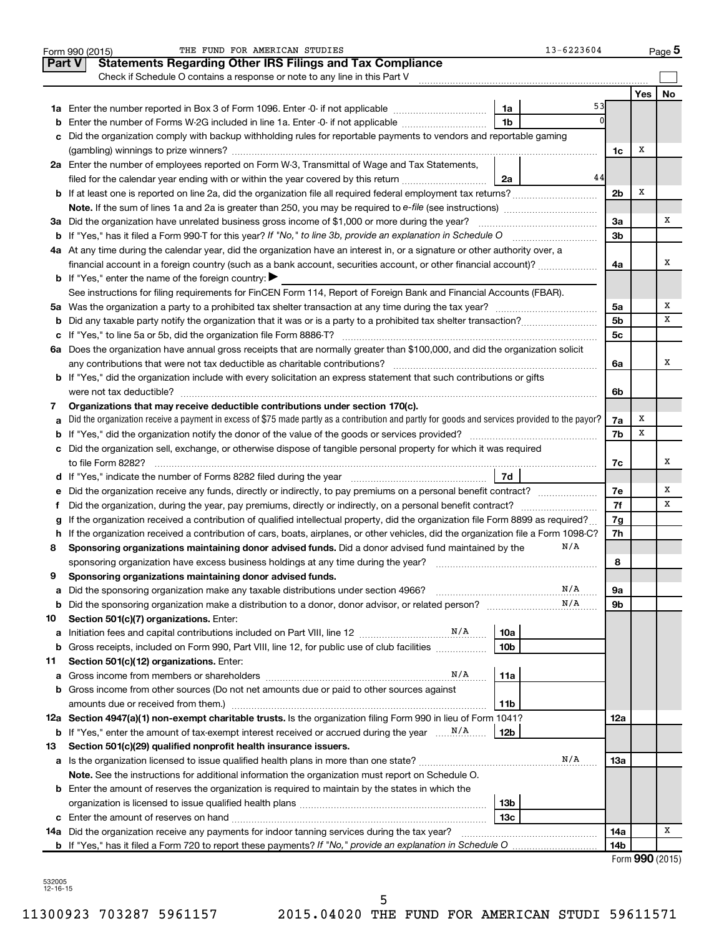|               | 13-6223604<br>THE FUND FOR AMERICAN STUDIES<br>Form 990 (2015)                                                                                                                                                                                   |                |                 | Page 5    |
|---------------|--------------------------------------------------------------------------------------------------------------------------------------------------------------------------------------------------------------------------------------------------|----------------|-----------------|-----------|
| <b>Part V</b> | <b>Statements Regarding Other IRS Filings and Tax Compliance</b>                                                                                                                                                                                 |                |                 |           |
|               | Check if Schedule O contains a response or note to any line in this Part V                                                                                                                                                                       |                |                 |           |
|               |                                                                                                                                                                                                                                                  |                | Yes             | <b>No</b> |
|               | 53<br>1a                                                                                                                                                                                                                                         |                |                 |           |
|               | 1 <sub>b</sub><br><sup>0</sup><br>Enter the number of Forms W-2G included in line 1a. Enter -0- if not applicable                                                                                                                                |                |                 |           |
|               | Did the organization comply with backup withholding rules for reportable payments to vendors and reportable gaming                                                                                                                               |                |                 |           |
|               |                                                                                                                                                                                                                                                  | 1c             | х               |           |
|               | 2a Enter the number of employees reported on Form W-3, Transmittal of Wage and Tax Statements,                                                                                                                                                   |                |                 |           |
|               | 44<br>filed for the calendar year ending with or within the year covered by this return <i></i><br>2a                                                                                                                                            |                |                 |           |
|               |                                                                                                                                                                                                                                                  | 2 <sub>b</sub> | х               |           |
|               |                                                                                                                                                                                                                                                  |                |                 |           |
|               | 3a Did the organization have unrelated business gross income of \$1,000 or more during the year?                                                                                                                                                 | За             |                 | х         |
|               |                                                                                                                                                                                                                                                  | 3 <sub>b</sub> |                 |           |
|               | 4a At any time during the calendar year, did the organization have an interest in, or a signature or other authority over, a                                                                                                                     |                |                 |           |
|               | financial account in a foreign country (such as a bank account, securities account, or other financial account)?                                                                                                                                 | 4a             |                 | x         |
|               | <b>b</b> If "Yes," enter the name of the foreign country: $\blacktriangleright$                                                                                                                                                                  |                |                 |           |
|               | See instructions for filing requirements for FinCEN Form 114, Report of Foreign Bank and Financial Accounts (FBAR).                                                                                                                              |                |                 |           |
|               |                                                                                                                                                                                                                                                  | 5а             |                 | х         |
| b             |                                                                                                                                                                                                                                                  | 5 <sub>b</sub> |                 | x         |
| c             |                                                                                                                                                                                                                                                  | 5c             |                 |           |
|               | 6a Does the organization have annual gross receipts that are normally greater than \$100,000, and did the organization solicit                                                                                                                   |                |                 |           |
|               |                                                                                                                                                                                                                                                  | 6a             |                 | х         |
|               | <b>b</b> If "Yes," did the organization include with every solicitation an express statement that such contributions or gifts                                                                                                                    |                |                 |           |
|               |                                                                                                                                                                                                                                                  | 6b             |                 |           |
| 7             | Organizations that may receive deductible contributions under section 170(c).                                                                                                                                                                    |                |                 |           |
| a             | Did the organization receive a payment in excess of \$75 made partly as a contribution and partly for goods and services provided to the payor?                                                                                                  | 7а             | х               |           |
| b             |                                                                                                                                                                                                                                                  | 7b             | x               |           |
|               | c Did the organization sell, exchange, or otherwise dispose of tangible personal property for which it was required                                                                                                                              |                |                 |           |
|               |                                                                                                                                                                                                                                                  | 7c             |                 | х         |
|               | 7d                                                                                                                                                                                                                                               |                |                 | х         |
| е             |                                                                                                                                                                                                                                                  | 7е<br>7f       |                 | X         |
| f.            | Did the organization, during the year, pay premiums, directly or indirectly, on a personal benefit contract?<br>If the organization received a contribution of qualified intellectual property, did the organization file Form 8899 as required? | 7g             |                 |           |
|               | h If the organization received a contribution of cars, boats, airplanes, or other vehicles, did the organization file a Form 1098-C?                                                                                                             | 7h             |                 |           |
| 8             | N/A<br>Sponsoring organizations maintaining donor advised funds. Did a donor advised fund maintained by the                                                                                                                                      |                |                 |           |
|               | sponsoring organization have excess business holdings at any time during the year?                                                                                                                                                               | 8              |                 |           |
|               | Sponsoring organizations maintaining donor advised funds.                                                                                                                                                                                        |                |                 |           |
| а             | N/A<br>Did the sponsoring organization make any taxable distributions under section 4966?                                                                                                                                                        | 9а             |                 |           |
| b             | N/A                                                                                                                                                                                                                                              | 9b             |                 |           |
| 10            | Section 501(c)(7) organizations. Enter:                                                                                                                                                                                                          |                |                 |           |
| а             | 10a                                                                                                                                                                                                                                              |                |                 |           |
| b             | 10 <sub>b</sub><br>Gross receipts, included on Form 990, Part VIII, line 12, for public use of club facilities                                                                                                                                   |                |                 |           |
| 11            | Section 501(c)(12) organizations. Enter:                                                                                                                                                                                                         |                |                 |           |
| а             | N/A<br>11a                                                                                                                                                                                                                                       |                |                 |           |
| b             | Gross income from other sources (Do not net amounts due or paid to other sources against                                                                                                                                                         |                |                 |           |
|               | 11 <sub>b</sub>                                                                                                                                                                                                                                  |                |                 |           |
|               | 12a Section 4947(a)(1) non-exempt charitable trusts. Is the organization filing Form 990 in lieu of Form 1041?                                                                                                                                   | 12a            |                 |           |
| b             | If "Yes," enter the amount of tax-exempt interest received or accrued during the year $\ldots$ . N/A.<br>12 <sub>b</sub>                                                                                                                         |                |                 |           |
| 13            | Section 501(c)(29) qualified nonprofit health insurance issuers.                                                                                                                                                                                 |                |                 |           |
| а             | N/A<br>Is the organization licensed to issue qualified health plans in more than one state?                                                                                                                                                      | 13a            |                 |           |
|               | Note. See the instructions for additional information the organization must report on Schedule O.                                                                                                                                                |                |                 |           |
|               | <b>b</b> Enter the amount of reserves the organization is required to maintain by the states in which the                                                                                                                                        |                |                 |           |
|               | 13 <sub>b</sub>                                                                                                                                                                                                                                  |                |                 |           |
| c             | 13c                                                                                                                                                                                                                                              |                |                 | х         |
|               | 14a Did the organization receive any payments for indoor tanning services during the tax year?                                                                                                                                                   | 14a<br>14b     |                 |           |
|               |                                                                                                                                                                                                                                                  |                | Form 990 (2015) |           |
|               |                                                                                                                                                                                                                                                  |                |                 |           |

| 532005   |  |
|----------|--|
| 12-16-15 |  |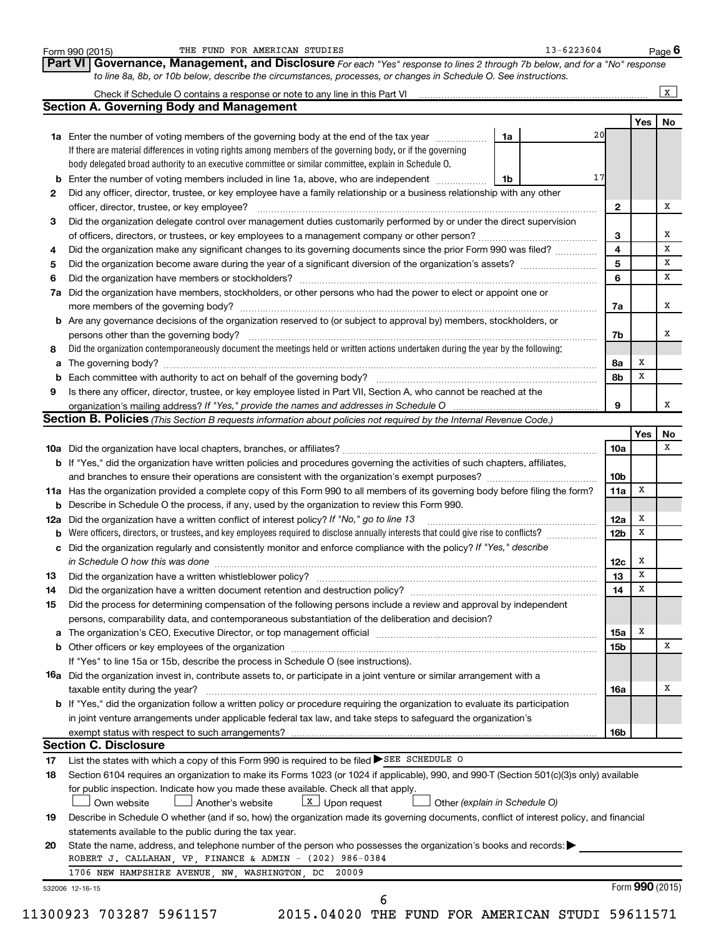|    | 13-6223604<br>THE FUND FOR AMERICAN STUDIES<br>Form 990 (2015)<br>Part VI Governance, Management, and Disclosure For each "Yes" response to lines 2 through 7b below, and for a "No" response                                                                                     |                 |     | Page 6 |
|----|-----------------------------------------------------------------------------------------------------------------------------------------------------------------------------------------------------------------------------------------------------------------------------------|-----------------|-----|--------|
|    | to line 8a, 8b, or 10b below, describe the circumstances, processes, or changes in Schedule O. See instructions.                                                                                                                                                                  |                 |     |        |
|    |                                                                                                                                                                                                                                                                                   |                 |     |        |
|    | Check if Schedule O contains a response or note to any line in this Part VI [100] [100] [100] [100] [100] [100] [100] [100] [100] [100] [100] [100] [100] [100] [100] [100] [100] [100] [100] [100] [100] [100] [100] [100] [1<br><b>Section A. Governing Body and Management</b> |                 |     |        |
|    |                                                                                                                                                                                                                                                                                   |                 | Yes |        |
|    | 20<br>1a<br>1a Enter the number of voting members of the governing body at the end of the tax year                                                                                                                                                                                |                 |     |        |
|    | If there are material differences in voting rights among members of the governing body, or if the governing                                                                                                                                                                       |                 |     |        |
|    | body delegated broad authority to an executive committee or similar committee, explain in Schedule O.                                                                                                                                                                             |                 |     |        |
|    | 17<br><b>b</b> Enter the number of voting members included in line 1a, above, who are independent <i>manument</i><br>1b                                                                                                                                                           |                 |     |        |
| 2  | Did any officer, director, trustee, or key employee have a family relationship or a business relationship with any other                                                                                                                                                          |                 |     |        |
|    |                                                                                                                                                                                                                                                                                   | 2               |     |        |
| 3  | Did the organization delegate control over management duties customarily performed by or under the direct supervision                                                                                                                                                             |                 |     |        |
|    |                                                                                                                                                                                                                                                                                   | 3               |     |        |
| 4  | Did the organization make any significant changes to its governing documents since the prior Form 990 was filed?                                                                                                                                                                  | 4               |     |        |
| 5  |                                                                                                                                                                                                                                                                                   | 5               |     |        |
| 6  |                                                                                                                                                                                                                                                                                   | 6               |     |        |
|    | 7a Did the organization have members, stockholders, or other persons who had the power to elect or appoint one or                                                                                                                                                                 |                 |     |        |
|    |                                                                                                                                                                                                                                                                                   | 7a              |     |        |
|    | <b>b</b> Are any governance decisions of the organization reserved to (or subject to approval by) members, stockholders, or                                                                                                                                                       |                 |     |        |
|    | persons other than the governing body?                                                                                                                                                                                                                                            | 7b              |     |        |
| 8  | Did the organization contemporaneously document the meetings held or written actions undertaken during the year by the following:                                                                                                                                                 |                 |     |        |
|    |                                                                                                                                                                                                                                                                                   | 8а              | х   |        |
|    |                                                                                                                                                                                                                                                                                   | 8b              | x   |        |
| 9  | Is there any officer, director, trustee, or key employee listed in Part VII, Section A, who cannot be reached at the                                                                                                                                                              |                 |     |        |
|    |                                                                                                                                                                                                                                                                                   | 9               |     |        |
|    | Section B. Policies (This Section B requests information about policies not required by the Internal Revenue Code.)                                                                                                                                                               |                 |     |        |
|    |                                                                                                                                                                                                                                                                                   |                 | Yes |        |
|    |                                                                                                                                                                                                                                                                                   | 10a             |     |        |
|    | b If "Yes," did the organization have written policies and procedures governing the activities of such chapters, affiliates,                                                                                                                                                      |                 |     |        |
|    |                                                                                                                                                                                                                                                                                   | 10b             |     |        |
|    | 11a Has the organization provided a complete copy of this Form 990 to all members of its governing body before filing the form?                                                                                                                                                   | 11a             | х   |        |
|    | <b>b</b> Describe in Schedule O the process, if any, used by the organization to review this Form 990.                                                                                                                                                                            |                 |     |        |
|    | 12a Did the organization have a written conflict of interest policy? If "No," go to line 13                                                                                                                                                                                       | 12a             | x   |        |
|    |                                                                                                                                                                                                                                                                                   | 12 <sub>b</sub> | х   |        |
|    | c Did the organization regularly and consistently monitor and enforce compliance with the policy? If "Yes," describe                                                                                                                                                              |                 |     |        |
|    | in Schedule O how this was done <i>manufacture contract to the schedule of the schedule O how this was done</i>                                                                                                                                                                   | 12c             | х   |        |
| 13 | Did the organization have a written whistleblower policy?                                                                                                                                                                                                                         | 13              | x   |        |
| 14 |                                                                                                                                                                                                                                                                                   | 14              | х   |        |
| 15 | Did the process for determining compensation of the following persons include a review and approval by independent                                                                                                                                                                |                 |     |        |
|    | persons, comparability data, and contemporaneous substantiation of the deliberation and decision?                                                                                                                                                                                 |                 |     |        |
|    | a The organization's CEO, Executive Director, or top management official manufactured content content of the organization's content of the Director, or top management official manufactured content of the content of the con                                                    | <b>15a</b>      | х   |        |
|    |                                                                                                                                                                                                                                                                                   | 15 <sub>b</sub> |     |        |
|    | If "Yes" to line 15a or 15b, describe the process in Schedule O (see instructions).                                                                                                                                                                                               |                 |     |        |
|    | 16a Did the organization invest in, contribute assets to, or participate in a joint venture or similar arrangement with a                                                                                                                                                         |                 |     |        |
|    | taxable entity during the year?                                                                                                                                                                                                                                                   | 16a             |     |        |
|    | <b>b</b> If "Yes," did the organization follow a written policy or procedure requiring the organization to evaluate its participation                                                                                                                                             |                 |     |        |
|    | in joint venture arrangements under applicable federal tax law, and take steps to safeguard the organization's                                                                                                                                                                    |                 |     |        |
|    |                                                                                                                                                                                                                                                                                   | 16b             |     |        |
|    | <b>Section C. Disclosure</b>                                                                                                                                                                                                                                                      |                 |     |        |
| 17 | List the states with which a copy of this Form 990 is required to be filed SEE SCHEDULE O                                                                                                                                                                                         |                 |     |        |
| 18 | Section 6104 requires an organization to make its Forms 1023 (or 1024 if applicable), 990, and 990-T (Section 501(c)(3)s only) available                                                                                                                                          |                 |     |        |
|    | for public inspection. Indicate how you made these available. Check all that apply.                                                                                                                                                                                               |                 |     |        |
|    | $\lfloor x \rfloor$ Upon request<br>Own website<br>Another's website<br>Other (explain in Schedule O)                                                                                                                                                                             |                 |     |        |
| 19 | Describe in Schedule O whether (and if so, how) the organization made its governing documents, conflict of interest policy, and financial                                                                                                                                         |                 |     |        |
|    | statements available to the public during the tax year.                                                                                                                                                                                                                           |                 |     |        |
| 20 | State the name, address, and telephone number of the person who possesses the organization's books and records:                                                                                                                                                                   |                 |     |        |
|    | ROBERT J. CALLAHAN, VP, FINANCE & ADMIN - (202) 986-0384                                                                                                                                                                                                                          |                 |     |        |
|    |                                                                                                                                                                                                                                                                                   |                 |     |        |
|    | 1706 NEW HAMPSHIRE AVENUE, NW, WASHINGTON, DC<br>20009                                                                                                                                                                                                                            |                 |     |        |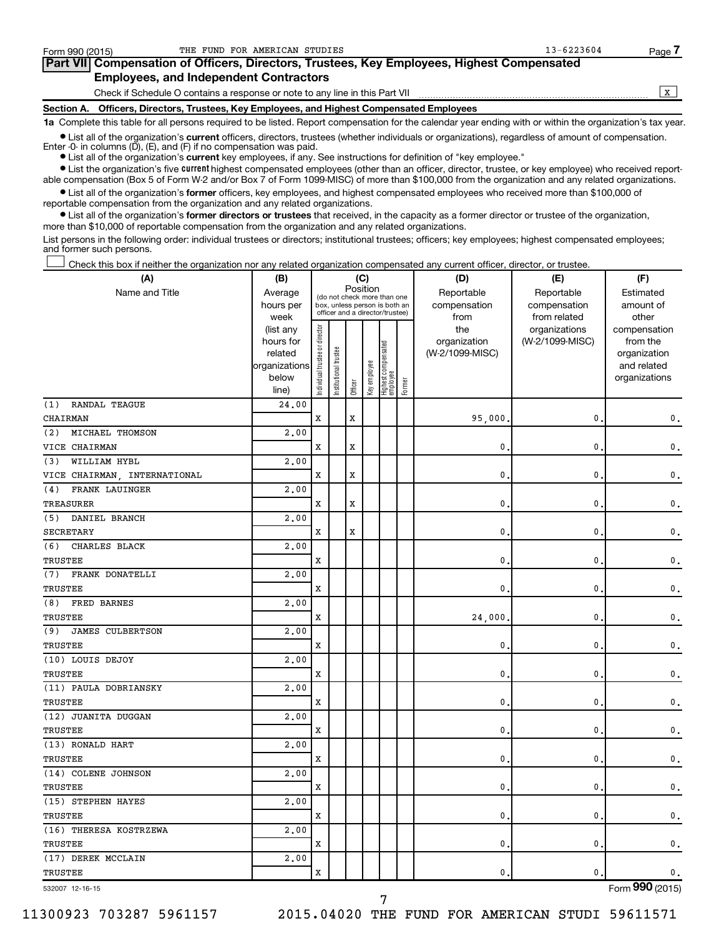| Form 990 (2015) | THE FUND FOR AMERICAN STUDIES                                                              | $13 - 6223604$ | Page |
|-----------------|--------------------------------------------------------------------------------------------|----------------|------|
|                 | Part VII Compensation of Officers, Directors, Trustees, Key Employees, Highest Compensated |                |      |
|                 | <b>Employees, and Independent Contractors</b>                                              |                |      |
|                 | Check if Schedule O contains a response or note to any line in this Part VII               |                |      |
|                 | Section A. Officers, Directors, Trustees, Key Employees, and Highest Compensated Employees |                |      |

**1a**  Complete this table for all persons required to be listed. Report compensation for the calendar year ending with or within the organization's tax year.

**•** List all of the organization's current officers, directors, trustees (whether individuals or organizations), regardless of amount of compensation. Enter -0- in columns (D), (E), and (F) if no compensation was paid.

**•** List all of the organization's **current** key employees, if any. See instructions for definition of "key employee."

**•** List the organization's five current highest compensated employees (other than an officer, director, trustee, or key employee) who received reportable compensation (Box 5 of Form W-2 and/or Box 7 of Form 1099-MISC) of more than \$100,000 from the organization and any related organizations.

**•** List all of the organization's former officers, key employees, and highest compensated employees who received more than \$100,000 of reportable compensation from the organization and any related organizations.

**•** List all of the organization's former directors or trustees that received, in the capacity as a former director or trustee of the organization, more than \$10,000 of reportable compensation from the organization and any related organizations.

List persons in the following order: individual trustees or directors; institutional trustees; officers; key employees; highest compensated employees; and former such persons.

Check this box if neither the organization nor any related organization compensated any current officer, director, or trustee. †

| (A)                            | (C)<br>(B)        |                                |                 |             |              |                                                                  |        | (D)                  | (E)                          | (F)                |
|--------------------------------|-------------------|--------------------------------|-----------------|-------------|--------------|------------------------------------------------------------------|--------|----------------------|------------------------------|--------------------|
| Name and Title                 | Average           |                                |                 |             | Position     | (do not check more than one                                      |        | Reportable           | Reportable                   | Estimated          |
|                                | hours per<br>week |                                |                 |             |              | box, unless person is both an<br>officer and a director/trustee) |        | compensation<br>from | compensation<br>from related | amount of<br>other |
|                                | (list any         |                                |                 |             |              |                                                                  |        | the                  | organizations                | compensation       |
|                                | hours for         |                                |                 |             |              |                                                                  |        | organization         | (W-2/1099-MISC)              | from the           |
|                                | related           |                                | trustee         |             |              |                                                                  |        | (W-2/1099-MISC)      |                              | organization       |
|                                | organizations     |                                |                 |             |              |                                                                  |        |                      |                              | and related        |
|                                | below             | Individual trustee or director | Institutional t | Officer     | Key employee | Highest compensated<br>  employee                                | Former |                      |                              | organizations      |
| <b>RANDAL TEAGUE</b><br>(1)    | line)<br>24.00    |                                |                 |             |              |                                                                  |        |                      |                              |                    |
| CHAIRMAN                       |                   | X                              |                 | $\mathbf x$ |              |                                                                  |        | 95,000               | 0                            | $\mathbf 0$ .      |
| MICHAEL THOMSON<br>(2)         | 2,00              |                                |                 |             |              |                                                                  |        |                      |                              |                    |
| VICE CHAIRMAN                  |                   | $\mathbf x$                    |                 | $\mathbf x$ |              |                                                                  |        | 0                    | 0                            | 0.                 |
| WILLIAM HYBL<br>(3)            | 2,00              |                                |                 |             |              |                                                                  |        |                      |                              |                    |
| VICE CHAIRMAN, INTERNATIONAL   |                   | X                              |                 | X           |              |                                                                  |        | $\mathbf{0}$         | 0                            | $\mathbf 0$ .      |
| FRANK LAUINGER<br>(4)          | 2.00              |                                |                 |             |              |                                                                  |        |                      |                              |                    |
| TREASURER                      |                   | X                              |                 | X           |              |                                                                  |        | $\mathbf{0}$         | 0                            | $\mathbf{0}$ .     |
| DANIEL BRANCH<br>(5)           | 2,00              |                                |                 |             |              |                                                                  |        |                      |                              |                    |
| <b>SECRETARY</b>               |                   | X                              |                 | X           |              |                                                                  |        | $\mathbf 0$          | 0                            | $\mathbf 0$ .      |
| (6)<br>CHARLES BLACK           | 2,00              |                                |                 |             |              |                                                                  |        |                      |                              |                    |
| <b>TRUSTEE</b>                 |                   | $\mathbf x$                    |                 |             |              |                                                                  |        | 0                    | 0                            | $\mathbf{0}$ .     |
| FRANK DONATELLI<br>(7)         | 2,00              |                                |                 |             |              |                                                                  |        |                      |                              |                    |
| TRUSTEE                        |                   | X                              |                 |             |              |                                                                  |        | 0                    | 0                            | $\mathbf{0}$ .     |
| FRED BARNES<br>(8)             | 2,00              |                                |                 |             |              |                                                                  |        |                      |                              |                    |
| TRUSTEE                        |                   | X                              |                 |             |              |                                                                  |        | 24,000               | 0                            | $\mathbf{0}$ .     |
| (9)<br><b>JAMES CULBERTSON</b> | 2.00              |                                |                 |             |              |                                                                  |        |                      |                              |                    |
| TRUSTEE                        |                   | X                              |                 |             |              |                                                                  |        | 0                    | 0                            | $\mathsf{0}\,.$    |
| (10) LOUIS DEJOY               | 2.00              |                                |                 |             |              |                                                                  |        |                      |                              |                    |
| TRUSTEE                        |                   | X                              |                 |             |              |                                                                  |        | 0                    | 0                            | $\mathbf{0}$ .     |
| (11) PAULA DOBRIANSKY          | 2,00              |                                |                 |             |              |                                                                  |        |                      |                              |                    |
| TRUSTEE                        |                   | X                              |                 |             |              |                                                                  |        | 0                    | 0                            | $\mathbf{0}$ .     |
| (12) JUANITA DUGGAN            | 2,00              |                                |                 |             |              |                                                                  |        |                      |                              |                    |
| TRUSTEE                        |                   | X                              |                 |             |              |                                                                  |        | 0                    | 0                            | $\mathbf{0}$ .     |
| (13) RONALD HART               | 2,00              |                                |                 |             |              |                                                                  |        |                      |                              |                    |
| TRUSTEE                        |                   | X                              |                 |             |              |                                                                  |        | 0                    | 0                            | $\mathbf{0}$ .     |
| (14) COLENE JOHNSON            | 2.00              |                                |                 |             |              |                                                                  |        |                      |                              |                    |
| TRUSTEE                        |                   | X                              |                 |             |              |                                                                  |        | 0                    | 0                            | $\mathbf{0}$ .     |
| (15) STEPHEN HAYES             | 2,00              |                                |                 |             |              |                                                                  |        |                      |                              |                    |
| <b>TRUSTEE</b>                 |                   | x                              |                 |             |              |                                                                  |        | 0                    | 0                            | $\mathbf{0}$ .     |
| (16) THERESA KOSTRZEWA         | 2,00              |                                |                 |             |              |                                                                  |        |                      |                              |                    |
| TRUSTEE                        |                   | X                              |                 |             |              |                                                                  |        | $\mathbf{0}$         | 0                            | $\mathbf{0}$ .     |
| (17) DEREK MCCLAIN             | 2.00              |                                |                 |             |              |                                                                  |        |                      |                              |                    |
| TRUSTEE                        |                   | X                              |                 |             |              |                                                                  |        | 0.                   | 0                            | $\mathbf{0}$ .     |

532007 12-16-15

Form (2015) **990**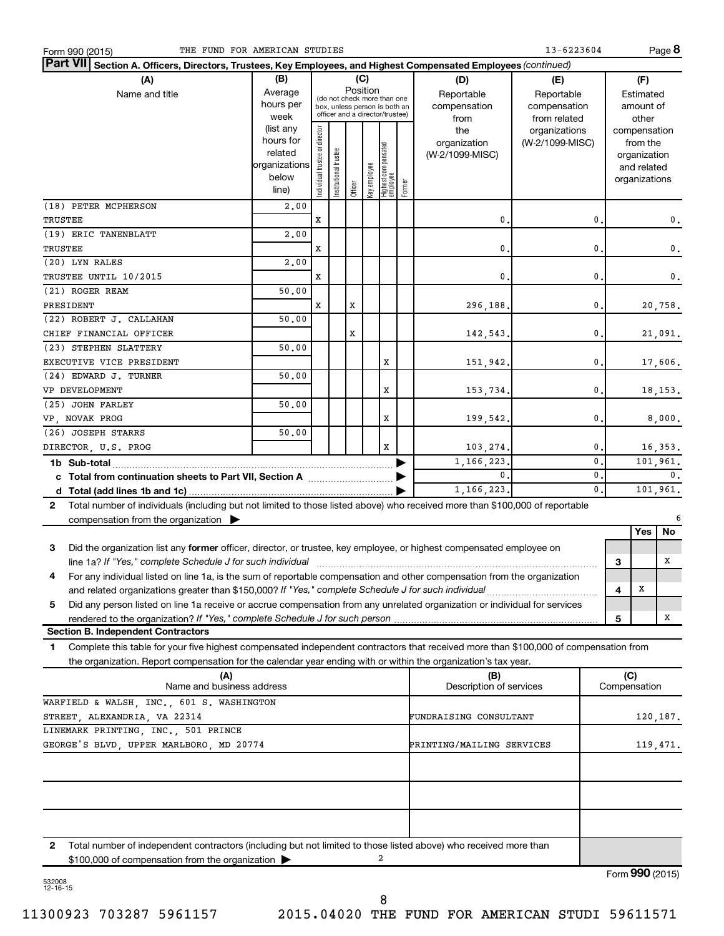| THE FUND FOR AMERICAN STUDIES<br>Form 990 (2015)                                                                                                                                                                                |                                   |                               |                      |         |                 |                                                                                                 |        |                                        | 13-6223604                       |                |     |                                          | Page 8    |
|---------------------------------------------------------------------------------------------------------------------------------------------------------------------------------------------------------------------------------|-----------------------------------|-------------------------------|----------------------|---------|-----------------|-------------------------------------------------------------------------------------------------|--------|----------------------------------------|----------------------------------|----------------|-----|------------------------------------------|-----------|
| Part VII Section A. Officers, Directors, Trustees, Key Employees, and Highest Compensated Employees (continued)                                                                                                                 |                                   |                               |                      |         |                 |                                                                                                 |        |                                        |                                  |                |     |                                          |           |
| (A)<br>Name and title                                                                                                                                                                                                           | (B)<br>Average                    |                               |                      |         | (C)<br>Position |                                                                                                 |        | (D)<br>Reportable                      | (E)<br>Reportable                |                |     | (F)<br>Estimated                         |           |
|                                                                                                                                                                                                                                 | hours per<br>week                 |                               |                      |         |                 | (do not check more than one<br>box, unless person is both an<br>officer and a director/trustee) |        | compensation<br>from                   | compensation<br>from related     |                |     | amount of<br>other                       |           |
|                                                                                                                                                                                                                                 | (list any<br>hours for<br>related | ndividual trustee or director |                      |         |                 |                                                                                                 |        | the<br>organization<br>(W-2/1099-MISC) | organizations<br>(W-2/1099-MISC) |                |     | compensation<br>from the<br>organization |           |
|                                                                                                                                                                                                                                 | organizations<br>below<br>line)   |                               | nstitutional trustee | Officer | Key employee    | Highest compensated<br>  employee                                                               | Former |                                        |                                  |                |     | and related<br>organizations             |           |
| (18) PETER MCPHERSON<br>TRUSTEE                                                                                                                                                                                                 | 2,00                              | X                             |                      |         |                 |                                                                                                 |        | 0.                                     |                                  | 0              |     |                                          | 0.        |
| (19) ERIC TANENBLATT                                                                                                                                                                                                            | 2,00                              |                               |                      |         |                 |                                                                                                 |        |                                        |                                  |                |     |                                          |           |
| <b>TRUSTEE</b>                                                                                                                                                                                                                  |                                   | х                             |                      |         |                 |                                                                                                 |        | 0.                                     |                                  | 0              |     |                                          | 0.        |
| (20) LYN RALES                                                                                                                                                                                                                  | 2,00                              |                               |                      |         |                 |                                                                                                 |        |                                        |                                  |                |     |                                          |           |
| TRUSTEE UNTIL 10/2015                                                                                                                                                                                                           |                                   | x                             |                      |         |                 |                                                                                                 |        | 0.                                     |                                  | 0              |     |                                          | 0.        |
| (21) ROGER REAM                                                                                                                                                                                                                 | 50.00                             |                               |                      |         |                 |                                                                                                 |        |                                        |                                  |                |     |                                          |           |
| PRESIDENT                                                                                                                                                                                                                       |                                   | x                             |                      | x       |                 |                                                                                                 |        | 296,188.                               |                                  | 0              |     |                                          | 20,758.   |
| (22) ROBERT J. CALLAHAN                                                                                                                                                                                                         | 50.00                             |                               |                      |         |                 |                                                                                                 |        |                                        |                                  |                |     |                                          |           |
| CHIEF FINANCIAL OFFICER                                                                                                                                                                                                         |                                   |                               |                      | X       |                 |                                                                                                 |        | 142,543.                               |                                  | 0              |     |                                          | 21,091.   |
| (23) STEPHEN SLATTERY                                                                                                                                                                                                           | 50.00                             |                               |                      |         |                 |                                                                                                 |        |                                        |                                  |                |     |                                          |           |
| EXECUTIVE VICE PRESIDENT                                                                                                                                                                                                        |                                   |                               |                      |         |                 | X                                                                                               |        | 151,942.                               |                                  | 0              |     |                                          | 17,606.   |
| (24) EDWARD J. TURNER                                                                                                                                                                                                           | 50.00                             |                               |                      |         |                 |                                                                                                 |        |                                        |                                  |                |     |                                          |           |
| VP DEVELOPMENT                                                                                                                                                                                                                  |                                   |                               |                      |         |                 | x                                                                                               |        | 153,734.                               |                                  | 0              |     |                                          | 18, 153.  |
| (25) JOHN FARLEY                                                                                                                                                                                                                | 50.00                             |                               |                      |         |                 |                                                                                                 |        |                                        |                                  |                |     |                                          |           |
| VP, NOVAK PROG                                                                                                                                                                                                                  |                                   |                               |                      |         |                 | x                                                                                               |        | 199,542.                               |                                  | 0              |     |                                          | 8,000.    |
| (26) JOSEPH STARRS                                                                                                                                                                                                              | 50.00                             |                               |                      |         |                 |                                                                                                 |        |                                        |                                  |                |     |                                          |           |
| DIRECTOR, U.S. PROG                                                                                                                                                                                                             |                                   |                               |                      |         |                 | X                                                                                               |        | 103,274.                               |                                  | 0              |     |                                          | 16,353.   |
|                                                                                                                                                                                                                                 |                                   |                               |                      |         |                 |                                                                                                 |        | 1,166,223.                             |                                  | 0              |     |                                          | 101,961.  |
|                                                                                                                                                                                                                                 |                                   |                               |                      |         |                 |                                                                                                 |        | 0.                                     |                                  | $\mathbf{0}$   |     |                                          | 0.        |
|                                                                                                                                                                                                                                 |                                   |                               |                      |         |                 |                                                                                                 |        | 1,166,223.                             |                                  | $\mathbf{0}$ . |     |                                          | 101, 961. |
| Total number of individuals (including but not limited to those listed above) who received more than \$100,000 of reportable<br>$\mathbf{2}$                                                                                    |                                   |                               |                      |         |                 |                                                                                                 |        |                                        |                                  |                |     |                                          | 6         |
| compensation from the organization $\blacktriangleright$                                                                                                                                                                        |                                   |                               |                      |         |                 |                                                                                                 |        |                                        |                                  |                |     | Yes                                      | <b>No</b> |
| 3<br>Did the organization list any former officer, director, or trustee, key employee, or highest compensated employee on                                                                                                       |                                   |                               |                      |         |                 |                                                                                                 |        |                                        |                                  |                |     |                                          |           |
| line 1a? If "Yes," complete Schedule J for such individual manufacture content to the state of the schedule J                                                                                                                   |                                   |                               |                      |         |                 |                                                                                                 |        |                                        |                                  |                | 3   |                                          | х         |
| For any individual listed on line 1a, is the sum of reportable compensation and other compensation from the organization<br>and related organizations greater than \$150,000? If "Yes," complete Schedule J for such individual |                                   |                               |                      |         |                 |                                                                                                 |        |                                        |                                  |                | 4   | X                                        |           |
| Did any person listed on line 1a receive or accrue compensation from any unrelated organization or individual for services<br>5                                                                                                 |                                   |                               |                      |         |                 |                                                                                                 |        |                                        |                                  |                |     |                                          |           |
| rendered to the organization? If "Yes," complete Schedule J for such person                                                                                                                                                     |                                   |                               |                      |         |                 |                                                                                                 |        |                                        |                                  |                | 5   |                                          | Χ         |
| <b>Section B. Independent Contractors</b>                                                                                                                                                                                       |                                   |                               |                      |         |                 |                                                                                                 |        |                                        |                                  |                |     |                                          |           |
| Complete this table for your five highest compensated independent contractors that received more than \$100,000 of compensation from<br>1                                                                                       |                                   |                               |                      |         |                 |                                                                                                 |        |                                        |                                  |                |     |                                          |           |
| the organization. Report compensation for the calendar year ending with or within the organization's tax year.                                                                                                                  |                                   |                               |                      |         |                 |                                                                                                 |        |                                        |                                  |                |     |                                          |           |
| (A)<br>Name and business address                                                                                                                                                                                                |                                   |                               |                      |         |                 |                                                                                                 |        | (B)<br>Description of services         |                                  |                | (C) | Compensation                             |           |
| WARFIELD & WALSH, INC., 601 S. WASHINGTON                                                                                                                                                                                       |                                   |                               |                      |         |                 |                                                                                                 |        |                                        |                                  |                |     |                                          |           |
| STREET, ALEXANDRIA, VA 22314<br>FUNDRAISING CONSULTANT<br>120,187.                                                                                                                                                              |                                   |                               |                      |         |                 |                                                                                                 |        |                                        |                                  |                |     |                                          |           |
| LINEMARK PRINTING, INC., 501 PRINCE                                                                                                                                                                                             |                                   |                               |                      |         |                 |                                                                                                 |        |                                        |                                  |                |     |                                          |           |
| GEORGE'S BLVD, UPPER MARLBORO, MD 20774                                                                                                                                                                                         |                                   |                               |                      |         |                 |                                                                                                 |        | PRINTING/MAILING SERVICES              |                                  |                |     |                                          | 119,471.  |
|                                                                                                                                                                                                                                 |                                   |                               |                      |         |                 |                                                                                                 |        |                                        |                                  |                |     |                                          |           |
|                                                                                                                                                                                                                                 |                                   |                               |                      |         |                 |                                                                                                 |        |                                        |                                  |                |     |                                          |           |
|                                                                                                                                                                                                                                 |                                   |                               |                      |         |                 |                                                                                                 |        |                                        |                                  |                |     |                                          |           |
| Total number of independent contractors (including but not limited to those listed above) who received more than<br>2                                                                                                           |                                   |                               |                      |         |                 | 2                                                                                               |        |                                        |                                  |                |     |                                          |           |
| \$100,000 of compensation from the organization                                                                                                                                                                                 |                                   |                               |                      |         |                 |                                                                                                 |        |                                        |                                  |                |     | Form 990 (2015)                          |           |

532008 12-16-15

11300923 703287 5961157 2015.04020 THE FUND FOR AMERICAN STUDI 59611571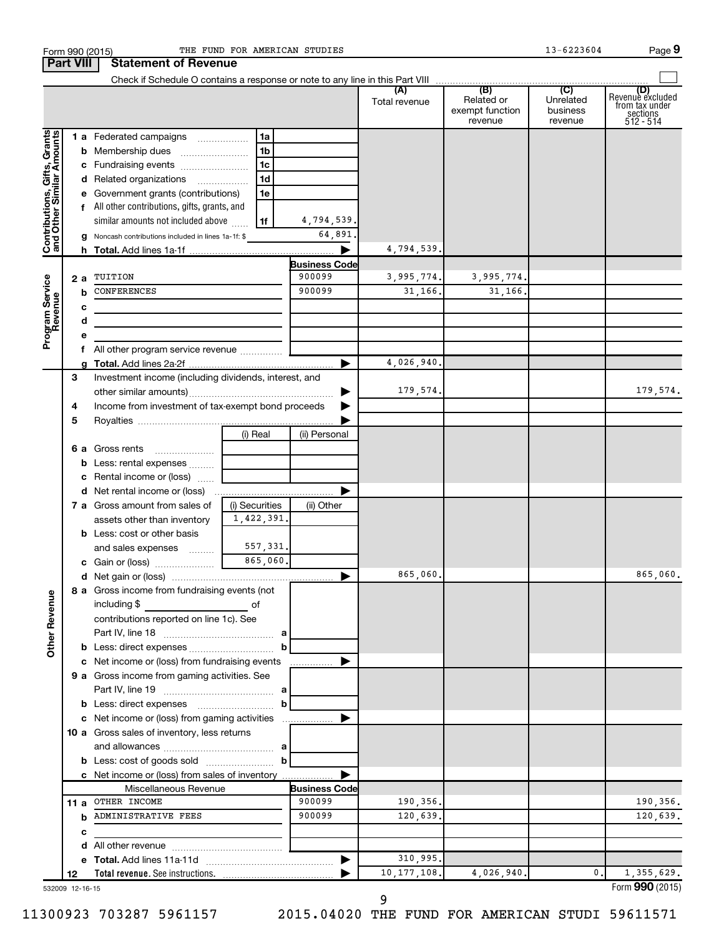|                                                           |                  | Form 990 (2015)                                                                 | THE FUND FOR AMERICAN STUDIES |                      |               |                               | 13-6223604            | Page 9                                    |
|-----------------------------------------------------------|------------------|---------------------------------------------------------------------------------|-------------------------------|----------------------|---------------|-------------------------------|-----------------------|-------------------------------------------|
|                                                           | <b>Part VIII</b> | <b>Statement of Revenue</b>                                                     |                               |                      |               |                               |                       |                                           |
|                                                           |                  |                                                                                 |                               |                      | Total revenue | Related or<br>exempt function | Unrelated<br>business | (D)<br>Revenue excluded<br>trom tax under |
|                                                           |                  |                                                                                 |                               |                      |               | revenue                       | revenue               | sections<br>512 - 514                     |
|                                                           |                  | 1 a Federated campaigns                                                         | 1a                            |                      |               |                               |                       |                                           |
| Contributions, Gifts, Grants<br>and Other Similar Amounts |                  |                                                                                 | 1b                            |                      |               |                               |                       |                                           |
|                                                           |                  | c Fundraising events                                                            | 1c                            |                      |               |                               |                       |                                           |
|                                                           |                  | d Related organizations                                                         | 1 <sub>d</sub>                |                      |               |                               |                       |                                           |
|                                                           |                  | e Government grants (contributions)                                             | 1e                            |                      |               |                               |                       |                                           |
|                                                           |                  | f All other contributions, gifts, grants, and                                   |                               |                      |               |                               |                       |                                           |
|                                                           |                  | similar amounts not included above                                              | 1f                            | 4,794,539.           |               |                               |                       |                                           |
|                                                           |                  | g Noncash contributions included in lines 1a-1f: \$                             |                               | 64,891.              |               |                               |                       |                                           |
|                                                           |                  |                                                                                 |                               |                      | 4,794,539.    |                               |                       |                                           |
|                                                           |                  |                                                                                 |                               | <b>Business Code</b> |               |                               |                       |                                           |
|                                                           | 2 a              | TUITION                                                                         |                               | 900099               | 3,995,774.    | 3,995,774.                    |                       |                                           |
| Program Service<br>Revenue                                |                  | CONFERENCES<br>b                                                                |                               | 900099               | 31,166.       | 31,166.                       |                       |                                           |
|                                                           |                  | c                                                                               |                               |                      |               |                               |                       |                                           |
|                                                           |                  | d<br>the control of the control of the control of the control of the control of |                               |                      |               |                               |                       |                                           |
|                                                           |                  | е                                                                               |                               |                      |               |                               |                       |                                           |
|                                                           |                  | f.                                                                              |                               |                      |               |                               |                       |                                           |
|                                                           |                  |                                                                                 |                               |                      | 4,026,940.    |                               |                       |                                           |
|                                                           | З                | Investment income (including dividends, interest, and                           |                               |                      |               |                               |                       |                                           |
|                                                           |                  |                                                                                 |                               |                      | 179,574.      |                               |                       | 179,574.                                  |
|                                                           | 4                | Income from investment of tax-exempt bond proceeds                              |                               |                      |               |                               |                       |                                           |
|                                                           | 5                |                                                                                 |                               |                      |               |                               |                       |                                           |
|                                                           |                  |                                                                                 | (i) Real                      | (ii) Personal        |               |                               |                       |                                           |
|                                                           |                  | <b>6 a</b> Gross rents                                                          |                               |                      |               |                               |                       |                                           |
|                                                           |                  | Less: rental expenses<br>b                                                      |                               |                      |               |                               |                       |                                           |
|                                                           |                  | Rental income or (loss)<br>c                                                    |                               |                      |               |                               |                       |                                           |
|                                                           |                  |                                                                                 |                               |                      |               |                               |                       |                                           |
|                                                           |                  | 7 a Gross amount from sales of<br>assets other than inventory                   | (i) Securities<br>1,422,391.  | (ii) Other           |               |                               |                       |                                           |
|                                                           |                  | <b>b</b> Less: cost or other basis                                              |                               |                      |               |                               |                       |                                           |
|                                                           |                  | and sales expenses                                                              | 557,331.                      |                      |               |                               |                       |                                           |
|                                                           |                  |                                                                                 | 865,060.                      |                      |               |                               |                       |                                           |
|                                                           |                  |                                                                                 |                               |                      | 865,060.      |                               |                       | 865,060.                                  |
|                                                           |                  | 8 a Gross income from fundraising events (not                                   |                               |                      |               |                               |                       |                                           |
| <b>Other Revenue</b>                                      |                  | including \$                                                                    | of                            |                      |               |                               |                       |                                           |
|                                                           |                  | contributions reported on line 1c). See                                         |                               |                      |               |                               |                       |                                           |
|                                                           |                  |                                                                                 |                               |                      |               |                               |                       |                                           |
|                                                           |                  |                                                                                 | $\mathbf{b}$                  |                      |               |                               |                       |                                           |
|                                                           |                  | c Net income or (loss) from fundraising events                                  |                               | .                    |               |                               |                       |                                           |
|                                                           |                  | 9 a Gross income from gaming activities. See                                    |                               |                      |               |                               |                       |                                           |
|                                                           |                  |                                                                                 |                               |                      |               |                               |                       |                                           |
|                                                           |                  |                                                                                 | $\mathbf{b}$                  |                      |               |                               |                       |                                           |
|                                                           |                  |                                                                                 |                               |                      |               |                               |                       |                                           |
|                                                           |                  | 10 a Gross sales of inventory, less returns                                     |                               |                      |               |                               |                       |                                           |
|                                                           |                  |                                                                                 |                               |                      |               |                               |                       |                                           |
|                                                           |                  |                                                                                 | $\mathbf b$                   |                      |               |                               |                       |                                           |
|                                                           |                  | c Net income or (loss) from sales of inventory                                  |                               |                      |               |                               |                       |                                           |
|                                                           |                  | Miscellaneous Revenue                                                           |                               | <b>Business Code</b> |               |                               |                       |                                           |
|                                                           |                  | 11 a OTHER INCOME                                                               |                               | 900099               | 190,356.      |                               |                       | 190,356.                                  |
|                                                           |                  | <b>b</b> ADMINISTRATIVE FEES                                                    |                               | 900099               | 120,639.      |                               |                       | 120,639.                                  |
|                                                           |                  | c                                                                               |                               |                      |               |                               |                       |                                           |
|                                                           |                  | d                                                                               |                               |                      |               |                               |                       |                                           |
|                                                           |                  | е                                                                               |                               |                      | 310,995.      |                               |                       |                                           |
|                                                           | 12               |                                                                                 |                               |                      | 10, 177, 108. | 4,026,940.                    | $\mathbf{0}$ .        | 1,355,629.                                |
| 532009 12-16-15                                           |                  |                                                                                 |                               |                      |               |                               |                       | Form 990 (2015)                           |

**9**

9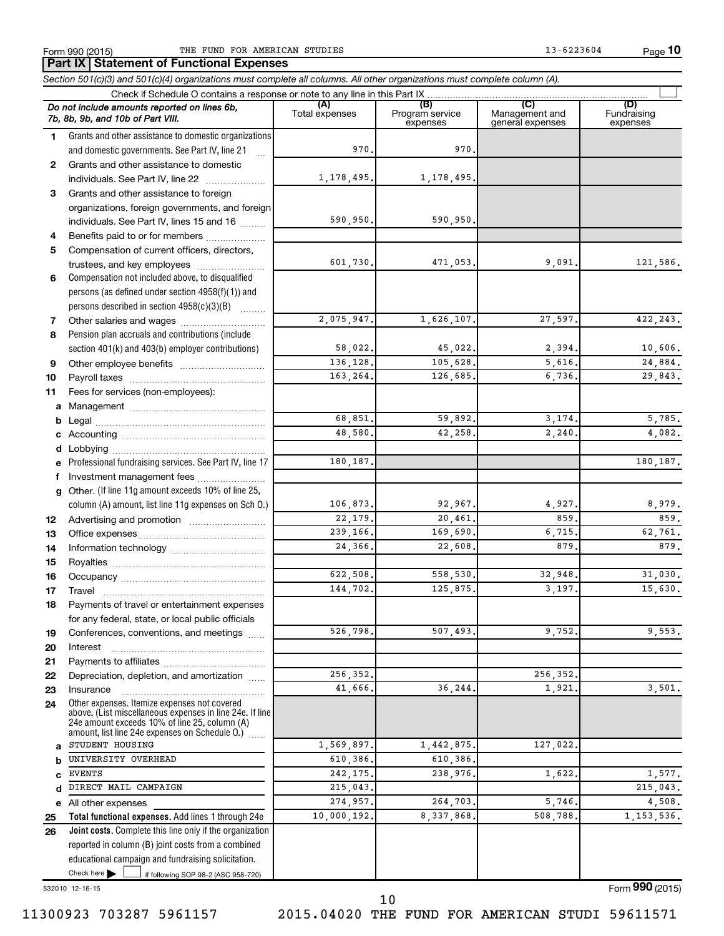Form 990 (2015) THE FUND FOR AMERICAN STUDIES 13-6223604 Page

**Part IX Statement of Functional Expenses** 

**10**

| Section 501(c)(3) and 501(c)(4) organizations must complete all columns. All other organizations must complete column (A). |                                                                                                                                                                                                               |                       |                                    |                                           |                                |  |  |  |  |  |
|----------------------------------------------------------------------------------------------------------------------------|---------------------------------------------------------------------------------------------------------------------------------------------------------------------------------------------------------------|-----------------------|------------------------------------|-------------------------------------------|--------------------------------|--|--|--|--|--|
|                                                                                                                            |                                                                                                                                                                                                               |                       |                                    |                                           |                                |  |  |  |  |  |
|                                                                                                                            | Do not include amounts reported on lines 6b,<br>7b, 8b, 9b, and 10b of Part VIII.                                                                                                                             | (A)<br>Total expenses | (B)<br>Program service<br>expenses | (C)<br>Management and<br>general expenses | (D)<br>Fundraising<br>expenses |  |  |  |  |  |
| 1                                                                                                                          | Grants and other assistance to domestic organizations                                                                                                                                                         |                       |                                    |                                           |                                |  |  |  |  |  |
|                                                                                                                            | and domestic governments. See Part IV, line 21                                                                                                                                                                | 970                   | 970.                               |                                           |                                |  |  |  |  |  |
| $\mathbf{2}$                                                                                                               | Grants and other assistance to domestic                                                                                                                                                                       |                       |                                    |                                           |                                |  |  |  |  |  |
|                                                                                                                            | individuals. See Part IV, line 22                                                                                                                                                                             | 1,178,495.            | 1,178,495.                         |                                           |                                |  |  |  |  |  |
| 3                                                                                                                          | Grants and other assistance to foreign                                                                                                                                                                        |                       |                                    |                                           |                                |  |  |  |  |  |
|                                                                                                                            | organizations, foreign governments, and foreign                                                                                                                                                               |                       |                                    |                                           |                                |  |  |  |  |  |
|                                                                                                                            | individuals. See Part IV, lines 15 and 16                                                                                                                                                                     | 590,950.              | 590,950.                           |                                           |                                |  |  |  |  |  |
| 4                                                                                                                          | Benefits paid to or for members                                                                                                                                                                               |                       |                                    |                                           |                                |  |  |  |  |  |
| 5                                                                                                                          | Compensation of current officers, directors,                                                                                                                                                                  |                       |                                    |                                           |                                |  |  |  |  |  |
|                                                                                                                            | trustees, and key employees                                                                                                                                                                                   | 601,730.              | 471,053.                           | 9,091.                                    | 121,586.                       |  |  |  |  |  |
| 6                                                                                                                          | Compensation not included above, to disqualified                                                                                                                                                              |                       |                                    |                                           |                                |  |  |  |  |  |
|                                                                                                                            | persons (as defined under section 4958(f)(1)) and                                                                                                                                                             |                       |                                    |                                           |                                |  |  |  |  |  |
|                                                                                                                            | persons described in section 4958(c)(3)(B)                                                                                                                                                                    |                       |                                    |                                           |                                |  |  |  |  |  |
| 7                                                                                                                          |                                                                                                                                                                                                               | 2,075,947.            | 1,626,107.                         | 27,597.                                   | 422, 243.                      |  |  |  |  |  |
| 8                                                                                                                          | Pension plan accruals and contributions (include                                                                                                                                                              |                       |                                    |                                           |                                |  |  |  |  |  |
|                                                                                                                            | section 401(k) and 403(b) employer contributions)                                                                                                                                                             | 58,022.               | 45,022.                            | 2,394.                                    | 10,606.                        |  |  |  |  |  |
| 9                                                                                                                          |                                                                                                                                                                                                               | 136,128.              | 105,628.                           | 5,616.                                    | 24,884.                        |  |  |  |  |  |
| 10                                                                                                                         |                                                                                                                                                                                                               | 163,264.              | 126,685.                           | 6,736.                                    | 29,843.                        |  |  |  |  |  |
| 11                                                                                                                         | Fees for services (non-employees):                                                                                                                                                                            |                       |                                    |                                           |                                |  |  |  |  |  |
|                                                                                                                            |                                                                                                                                                                                                               |                       |                                    |                                           |                                |  |  |  |  |  |
|                                                                                                                            |                                                                                                                                                                                                               | 68,851.               | 59,892.                            | 3,174.                                    | 5,785.                         |  |  |  |  |  |
|                                                                                                                            |                                                                                                                                                                                                               | 48,580.               | 42,258.                            | 2, 240.                                   | 4,082.                         |  |  |  |  |  |
|                                                                                                                            |                                                                                                                                                                                                               |                       |                                    |                                           |                                |  |  |  |  |  |
|                                                                                                                            | e Professional fundraising services. See Part IV, line 17                                                                                                                                                     | 180,187.              |                                    |                                           | 180, 187.                      |  |  |  |  |  |
| f                                                                                                                          | Investment management fees                                                                                                                                                                                    |                       |                                    |                                           |                                |  |  |  |  |  |
|                                                                                                                            | g Other. (If line 11g amount exceeds 10% of line 25,<br>column (A) amount, list line 11g expenses on Sch O.)                                                                                                  | 106,873.              | 92,967.                            | 4,927.                                    | 8,979.                         |  |  |  |  |  |
|                                                                                                                            |                                                                                                                                                                                                               | 22,179.               | 20,461.                            | 859.                                      | 859.                           |  |  |  |  |  |
| 12<br>13                                                                                                                   |                                                                                                                                                                                                               | 239,166.              | 169,690.                           | 6,715.                                    | 62,761.                        |  |  |  |  |  |
| 14                                                                                                                         |                                                                                                                                                                                                               | 24,366.               | 22,608.                            | 879.                                      | 879.                           |  |  |  |  |  |
| 15                                                                                                                         |                                                                                                                                                                                                               |                       |                                    |                                           |                                |  |  |  |  |  |
| 16                                                                                                                         |                                                                                                                                                                                                               | 622,508.              | 558,530.                           | 32,948.                                   | 31,030.                        |  |  |  |  |  |
| 17                                                                                                                         |                                                                                                                                                                                                               | 144,702.              | 125,875.                           | 3,197.                                    | 15,630.                        |  |  |  |  |  |
| 18                                                                                                                         | Payments of travel or entertainment expenses                                                                                                                                                                  |                       |                                    |                                           |                                |  |  |  |  |  |
|                                                                                                                            | for any federal, state, or local public officials                                                                                                                                                             |                       |                                    |                                           |                                |  |  |  |  |  |
| 19                                                                                                                         | Conferences, conventions, and meetings                                                                                                                                                                        | 526,798.              | 507,493.                           | 9,752.                                    | 9,553.                         |  |  |  |  |  |
| 20                                                                                                                         | Interest                                                                                                                                                                                                      |                       |                                    |                                           |                                |  |  |  |  |  |
| 21                                                                                                                         |                                                                                                                                                                                                               |                       |                                    |                                           |                                |  |  |  |  |  |
| 22                                                                                                                         | Depreciation, depletion, and amortization                                                                                                                                                                     | 256,352.              |                                    | 256,352.                                  |                                |  |  |  |  |  |
| 23                                                                                                                         | Insurance                                                                                                                                                                                                     | 41,666.               | 36, 244.                           | 1,921.                                    | 3,501.                         |  |  |  |  |  |
| 24                                                                                                                         | Other expenses. Itemize expenses not covered<br>above. (List miscellaneous expenses in line 24e. If line<br>24e amount exceeds 10% of line 25, column (A)<br>amount, list line 24e expenses on Schedule O.) [ |                       |                                    |                                           |                                |  |  |  |  |  |
| a                                                                                                                          | STUDENT HOUSING                                                                                                                                                                                               | 1,569,897.            | 1,442,875.                         | 127,022.                                  |                                |  |  |  |  |  |
| b                                                                                                                          | UNIVERSITY OVERHEAD                                                                                                                                                                                           | 610,386.              | 610,386.                           |                                           |                                |  |  |  |  |  |
| c                                                                                                                          | <b>EVENTS</b>                                                                                                                                                                                                 | 242,175.              | 238,976.                           | 1,622                                     | 1,577.                         |  |  |  |  |  |
| d                                                                                                                          | DIRECT MAIL CAMPAIGN                                                                                                                                                                                          | 215,043.              |                                    |                                           | 215,043.                       |  |  |  |  |  |
|                                                                                                                            | e All other expenses                                                                                                                                                                                          | 274,957.              | 264,703.                           | 5,746.                                    | 4,508.                         |  |  |  |  |  |
| 25                                                                                                                         | Total functional expenses. Add lines 1 through 24e                                                                                                                                                            | 10,000,192.           | 8,337,868.                         | 508,788.                                  | 1, 153, 536.                   |  |  |  |  |  |
| 26                                                                                                                         | Joint costs. Complete this line only if the organization                                                                                                                                                      |                       |                                    |                                           |                                |  |  |  |  |  |
|                                                                                                                            | reported in column (B) joint costs from a combined                                                                                                                                                            |                       |                                    |                                           |                                |  |  |  |  |  |
|                                                                                                                            | educational campaign and fundraising solicitation.                                                                                                                                                            |                       |                                    |                                           |                                |  |  |  |  |  |
|                                                                                                                            | Check here $\blacktriangleright$<br>if following SOP 98-2 (ASC 958-720)                                                                                                                                       |                       |                                    |                                           |                                |  |  |  |  |  |

532010 12-16-15

Form (2015) **990**

10

11300923 703287 5961157 2015.04020 THE FUND FOR AMERICAN STUDI 59611571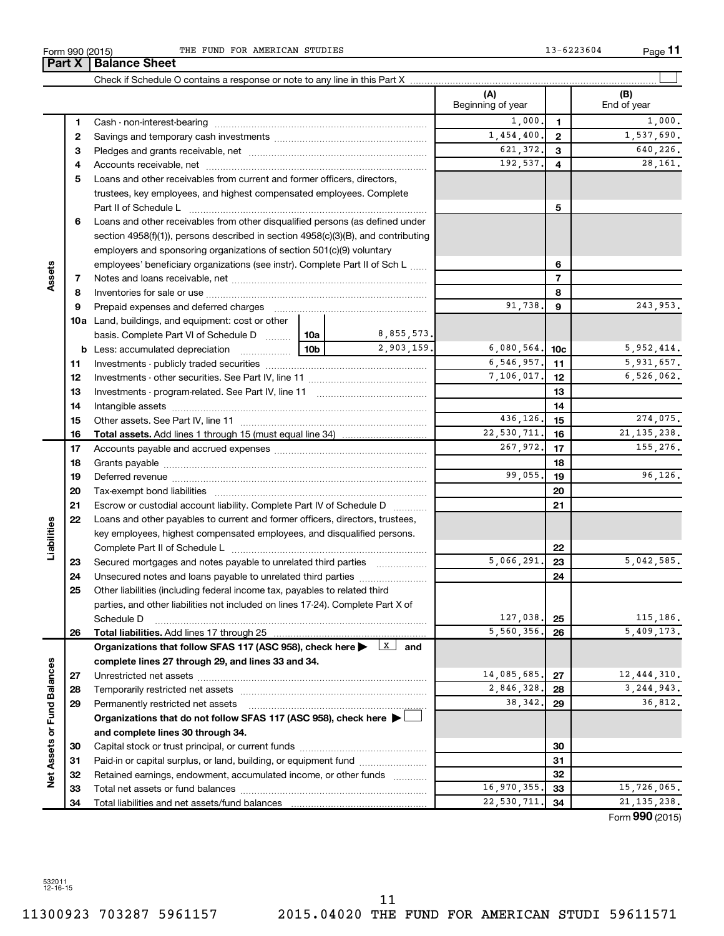Form 990 (2015) THE FUND FOR AMERICAN STUDIES 13-6223604 Page

**11**

|                      |    | <b>Part X   Balance Sheet</b>                                                                                                                                                                                                  |                   |              |                          |                |                                 |
|----------------------|----|--------------------------------------------------------------------------------------------------------------------------------------------------------------------------------------------------------------------------------|-------------------|--------------|--------------------------|----------------|---------------------------------|
|                      |    |                                                                                                                                                                                                                                |                   |              |                          |                |                                 |
|                      |    |                                                                                                                                                                                                                                |                   |              | (A)<br>Beginning of year |                | (B)<br>End of year              |
|                      | 1  |                                                                                                                                                                                                                                |                   |              | 1,000.                   | 1              | 1,000.                          |
|                      | 2  |                                                                                                                                                                                                                                |                   |              | 1,454,400.               | $\mathbf{2}$   | 1,537,690.                      |
|                      | з  |                                                                                                                                                                                                                                |                   |              | 621, 372.                | 3              | 640,226.                        |
|                      | 4  |                                                                                                                                                                                                                                |                   |              | 192,537.                 | 4              | 28,161.                         |
|                      | 5  | Loans and other receivables from current and former officers, directors,                                                                                                                                                       |                   |              |                          |                |                                 |
|                      |    | trustees, key employees, and highest compensated employees. Complete                                                                                                                                                           |                   |              |                          |                |                                 |
|                      |    | Part II of Schedule L                                                                                                                                                                                                          |                   |              |                          | 5              |                                 |
|                      | 6  | Loans and other receivables from other disqualified persons (as defined under                                                                                                                                                  |                   |              |                          |                |                                 |
|                      |    | section 4958(f)(1)), persons described in section 4958(c)(3)(B), and contributing                                                                                                                                              |                   |              |                          |                |                                 |
|                      |    | employers and sponsoring organizations of section 501(c)(9) voluntary                                                                                                                                                          |                   |              |                          |                |                                 |
|                      |    | employees' beneficiary organizations (see instr). Complete Part II of Sch L                                                                                                                                                    |                   | 6            |                          |                |                                 |
| Assets               | 7  |                                                                                                                                                                                                                                |                   |              |                          | $\overline{7}$ |                                 |
|                      | 8  |                                                                                                                                                                                                                                |                   |              |                          | 8              |                                 |
|                      | 9  | Prepaid expenses and deferred charges [11] [11] prepaid expenses and deferred charges [11] [11] minimum and the Prepaid expenses and deferred charges [11] minimum and the Prepaid experiment of Prepaid experiment and the Pr |                   |              | 91,738.                  | 9              | 243,953.                        |
|                      |    | <b>10a</b> Land, buildings, and equipment: cost or other                                                                                                                                                                       |                   |              |                          |                |                                 |
|                      |    | basis. Complete Part VI of Schedule D    10a                                                                                                                                                                                   |                   | 8,855,573.   |                          |                |                                 |
|                      |    |                                                                                                                                                                                                                                | $6,080,564$ . 10c |              | 5,952,414.               |                |                                 |
|                      | 11 |                                                                                                                                                                                                                                |                   | 6, 546, 957. | 11                       | 5,931,657.     |                                 |
|                      | 12 |                                                                                                                                                                                                                                | 7,106,017.        | 12           | 6,526,062.               |                |                                 |
|                      | 13 |                                                                                                                                                                                                                                |                   | 13           |                          |                |                                 |
|                      | 14 |                                                                                                                                                                                                                                |                   |              |                          | 14             |                                 |
|                      | 15 |                                                                                                                                                                                                                                |                   |              | 436,126.                 | 15             | 274,075.                        |
|                      | 16 |                                                                                                                                                                                                                                | 22,530,711.       | 16           | 21, 135, 238.            |                |                                 |
|                      | 17 |                                                                                                                                                                                                                                |                   |              | 267,972.                 | 17             | 155,276.                        |
|                      | 18 |                                                                                                                                                                                                                                |                   | 18           |                          |                |                                 |
|                      | 19 |                                                                                                                                                                                                                                | 99,055.           | 19           | 96,126.                  |                |                                 |
|                      | 20 |                                                                                                                                                                                                                                |                   | 20           |                          |                |                                 |
|                      | 21 | Escrow or custodial account liability. Complete Part IV of Schedule D                                                                                                                                                          |                   | 21           |                          |                |                                 |
|                      | 22 | Loans and other payables to current and former officers, directors, trustees,                                                                                                                                                  |                   |              |                          |                |                                 |
| Liabilities          |    | key employees, highest compensated employees, and disqualified persons.                                                                                                                                                        |                   |              |                          |                |                                 |
|                      |    |                                                                                                                                                                                                                                |                   |              |                          | 22             |                                 |
|                      | 23 | Secured mortgages and notes payable to unrelated third parties                                                                                                                                                                 |                   |              | 5,066,291.               | 23             | 5,042,585.                      |
|                      | 24 | Unsecured notes and loans payable to unrelated third parties                                                                                                                                                                   |                   |              |                          | 24             |                                 |
|                      | 25 | Other liabilities (including federal income tax, payables to related third                                                                                                                                                     |                   |              |                          |                |                                 |
|                      |    | parties, and other liabilities not included on lines 17-24). Complete Part X of                                                                                                                                                |                   |              |                          |                |                                 |
|                      |    | Schedule D                                                                                                                                                                                                                     |                   |              | 127,038.                 | 25             | 115,186.                        |
|                      | 26 | Total liabilities. Add lines 17 through 25                                                                                                                                                                                     |                   |              | 5,560,356.               | 26             | 5,409,173.                      |
|                      |    | Organizations that follow SFAS 117 (ASC 958), check here $\blacktriangleright$ $\boxed{\mathbf{x}}$ and                                                                                                                        |                   |              |                          |                |                                 |
|                      |    | complete lines 27 through 29, and lines 33 and 34.                                                                                                                                                                             |                   |              |                          |                |                                 |
|                      | 27 |                                                                                                                                                                                                                                | 14,085,685.       | 27           | 12,444,310.              |                |                                 |
| <b>Fund Balances</b> | 28 |                                                                                                                                                                                                                                | 2,846,328.        | 28           | 3, 244, 943.             |                |                                 |
|                      | 29 | Permanently restricted net assets                                                                                                                                                                                              | 38, 342.          | 29           | 36,812.                  |                |                                 |
|                      |    | Organizations that do not follow SFAS 117 (ASC 958), check here ▶                                                                                                                                                              |                   |              |                          |                |                                 |
| ৯                    |    | and complete lines 30 through 34.                                                                                                                                                                                              |                   |              |                          |                |                                 |
|                      | 30 |                                                                                                                                                                                                                                |                   |              |                          | 30             |                                 |
|                      | 31 | Paid-in or capital surplus, or land, building, or equipment fund                                                                                                                                                               |                   |              |                          | 31             |                                 |
| <b>Net Assets</b>    | 32 | Retained earnings, endowment, accumulated income, or other funds                                                                                                                                                               |                   |              |                          | 32             |                                 |
|                      | 33 |                                                                                                                                                                                                                                |                   |              | 16,970,355.              | 33             | 15,726,065.                     |
|                      | 34 |                                                                                                                                                                                                                                |                   |              | 22,530,711.              | 34             | 21, 135, 238.<br>$000 \text{m}$ |

Form (2015) **990**

532011 12-16-15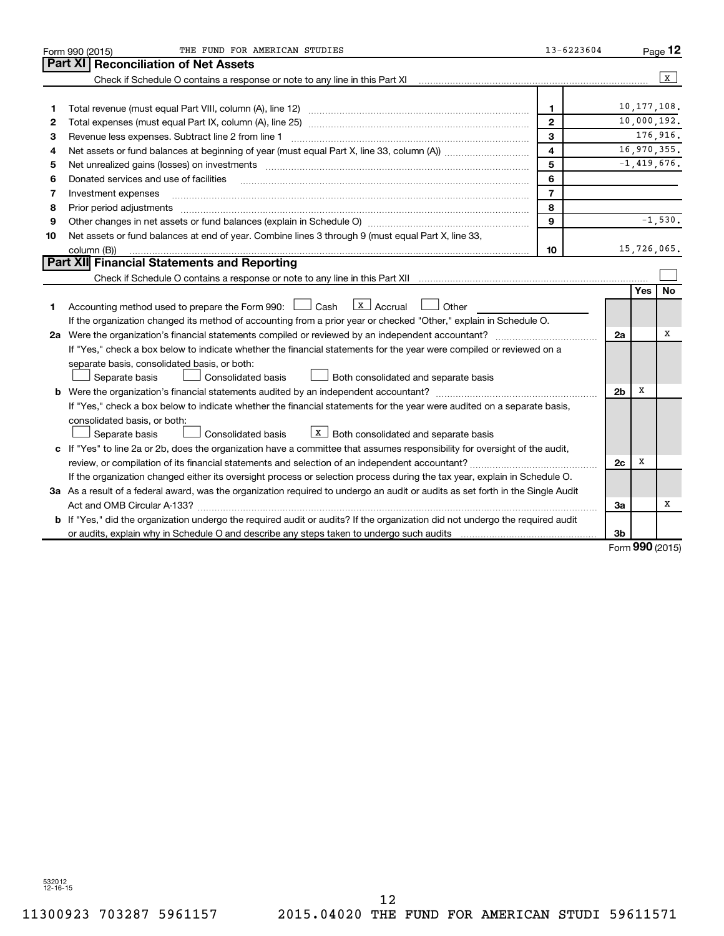|    | THE FUND FOR AMERICAN STUDIES<br>Form 990 (2015)                                                                                                                                                                               | 13-6223604     |                |                     | Page 12       |  |  |
|----|--------------------------------------------------------------------------------------------------------------------------------------------------------------------------------------------------------------------------------|----------------|----------------|---------------------|---------------|--|--|
|    | Part XI<br><b>Reconciliation of Net Assets</b>                                                                                                                                                                                 |                |                |                     |               |  |  |
|    | Check if Schedule O contains a response or note to any line in this Part XI                                                                                                                                                    |                |                |                     | $\mathbf{x}$  |  |  |
|    |                                                                                                                                                                                                                                |                |                |                     |               |  |  |
| 1  |                                                                                                                                                                                                                                | $\mathbf{1}$   |                |                     | 10, 177, 108. |  |  |
| 2  |                                                                                                                                                                                                                                | $\mathbf{2}$   |                |                     | 10,000,192.   |  |  |
| з  | Revenue less expenses. Subtract line 2 from line 1                                                                                                                                                                             | 3              | 176,916.       |                     |               |  |  |
| 4  | $\overline{\mathbf{4}}$                                                                                                                                                                                                        |                |                |                     |               |  |  |
| 5  | Net unrealized gains (losses) on investments [11] matter in the contract of the contract of the contract of the contract of the contract of the contract of the contract of the contract of the contract of the contract of th | 5              |                |                     | $-1,419,676.$ |  |  |
| 6  | Donated services and use of facilities                                                                                                                                                                                         | 6              |                |                     |               |  |  |
| 7  | Investment expenses                                                                                                                                                                                                            | $\overline{7}$ |                |                     |               |  |  |
| 8  | Prior period adjustments www.communication.communication.communication.com/                                                                                                                                                    | 8              |                |                     |               |  |  |
| 9  |                                                                                                                                                                                                                                | 9              |                |                     | $-1,530.$     |  |  |
| 10 | Net assets or fund balances at end of year. Combine lines 3 through 9 (must equal Part X, line 33,                                                                                                                             |                |                |                     |               |  |  |
|    | column (B))                                                                                                                                                                                                                    | 10             |                |                     | 15,726,065.   |  |  |
|    | Part XII Financial Statements and Reporting                                                                                                                                                                                    |                |                |                     |               |  |  |
|    |                                                                                                                                                                                                                                |                |                |                     |               |  |  |
|    |                                                                                                                                                                                                                                |                |                | <b>Yes</b>          | <b>No</b>     |  |  |
| 1. | $\vert$ X $\vert$ Accrual<br>Accounting method used to prepare the Form 990: [130] Cash<br>Other                                                                                                                               |                |                |                     |               |  |  |
|    | If the organization changed its method of accounting from a prior year or checked "Other," explain in Schedule O.                                                                                                              |                |                |                     |               |  |  |
|    | 2a Were the organization's financial statements compiled or reviewed by an independent accountant?                                                                                                                             |                | 2a             |                     | X             |  |  |
|    | If "Yes," check a box below to indicate whether the financial statements for the year were compiled or reviewed on a                                                                                                           |                |                |                     |               |  |  |
|    | separate basis, consolidated basis, or both:                                                                                                                                                                                   |                |                |                     |               |  |  |
|    | Separate basis<br>Consolidated basis<br>Both consolidated and separate basis                                                                                                                                                   |                |                |                     |               |  |  |
|    |                                                                                                                                                                                                                                |                | 2 <sub>b</sub> | x                   |               |  |  |
|    | If "Yes," check a box below to indicate whether the financial statements for the year were audited on a separate basis,                                                                                                        |                |                |                     |               |  |  |
|    | consolidated basis, or both:                                                                                                                                                                                                   |                |                |                     |               |  |  |
|    | $X$ Both consolidated and separate basis<br>Consolidated basis<br>Separate basis                                                                                                                                               |                |                |                     |               |  |  |
|    | c If "Yes" to line 2a or 2b, does the organization have a committee that assumes responsibility for oversight of the audit,                                                                                                    |                |                |                     |               |  |  |
|    | review, or compilation of its financial statements and selection of an independent accountant?                                                                                                                                 |                | 2c             | x                   |               |  |  |
|    | If the organization changed either its oversight process or selection process during the tax year, explain in Schedule O.                                                                                                      |                |                |                     |               |  |  |
|    | 3a As a result of a federal award, was the organization required to undergo an audit or audits as set forth in the Single Audit                                                                                                |                |                |                     |               |  |  |
|    |                                                                                                                                                                                                                                |                | 3a             |                     | х             |  |  |
|    | <b>b</b> If "Yes," did the organization undergo the required audit or audits? If the organization did not undergo the required audit                                                                                           |                |                |                     |               |  |  |
|    |                                                                                                                                                                                                                                |                | Зb             |                     |               |  |  |
|    |                                                                                                                                                                                                                                |                |                | $000 \, \text{GeV}$ |               |  |  |

Form (2015) **990**

532012 12-16-15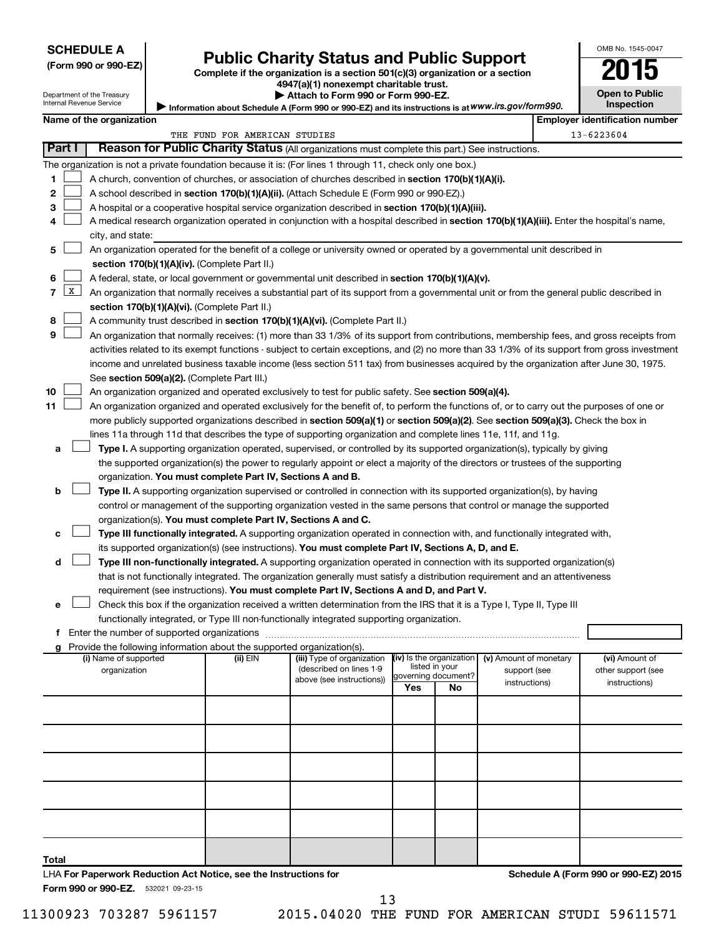#### **SCHEDULE A**

# Form 990 or 990-EZ) **Public Charity Status and Public Support**<br>
Complete if the organization is a section 501(c)(3) organization or a section<br> **2015**

**4947(a)(1) nonexempt charitable trust. | Attach to Form 990 or Form 990-EZ.** 

| ⊷                     | . |
|-----------------------|---|
| <b>Open to Public</b> |   |
| <b>Inspection</b>     |   |

OMB No. 1545-0047

Department of the Treasury Internal Revenue Service

|  |  | Information about Schedule A (Form 990 or 990-EZ) and its instructions is at WWW.irs.gov/form990. |  |
|--|--|---------------------------------------------------------------------------------------------------|--|
|--|--|---------------------------------------------------------------------------------------------------|--|

|        | Name of the organization<br><b>Employer identification number</b> |                                                                                                                                               |                               |                            |                          |    |                                        |  |                    |  |
|--------|-------------------------------------------------------------------|-----------------------------------------------------------------------------------------------------------------------------------------------|-------------------------------|----------------------------|--------------------------|----|----------------------------------------|--|--------------------|--|
|        |                                                                   |                                                                                                                                               | THE FUND FOR AMERICAN STUDIES |                            |                          |    |                                        |  | 13-6223604         |  |
| Part I |                                                                   | Reason for Public Charity Status (All organizations must complete this part.) See instructions.                                               |                               |                            |                          |    |                                        |  |                    |  |
|        |                                                                   | The organization is not a private foundation because it is: (For lines 1 through 11, check only one box.)                                     |                               |                            |                          |    |                                        |  |                    |  |
| 1.     |                                                                   | A church, convention of churches, or association of churches described in section 170(b)(1)(A)(i).                                            |                               |                            |                          |    |                                        |  |                    |  |
| 2      |                                                                   | A school described in section 170(b)(1)(A)(ii). (Attach Schedule E (Form 990 or 990-EZ).)                                                     |                               |                            |                          |    |                                        |  |                    |  |
| 3      |                                                                   | A hospital or a cooperative hospital service organization described in section 170(b)(1)(A)(iii).                                             |                               |                            |                          |    |                                        |  |                    |  |
| 4      |                                                                   | A medical research organization operated in conjunction with a hospital described in section 170(b)(1)(A)(iii). Enter the hospital's name,    |                               |                            |                          |    |                                        |  |                    |  |
|        |                                                                   | city, and state:                                                                                                                              |                               |                            |                          |    |                                        |  |                    |  |
| 5      |                                                                   | An organization operated for the benefit of a college or university owned or operated by a governmental unit described in                     |                               |                            |                          |    |                                        |  |                    |  |
|        |                                                                   | section 170(b)(1)(A)(iv). (Complete Part II.)                                                                                                 |                               |                            |                          |    |                                        |  |                    |  |
|        |                                                                   | A federal, state, or local government or governmental unit described in section 170(b)(1)(A)(v).                                              |                               |                            |                          |    |                                        |  |                    |  |
| 6<br>7 | X                                                                 | An organization that normally receives a substantial part of its support from a governmental unit or from the general public described in     |                               |                            |                          |    |                                        |  |                    |  |
|        |                                                                   |                                                                                                                                               |                               |                            |                          |    |                                        |  |                    |  |
| 8      |                                                                   | section 170(b)(1)(A)(vi). (Complete Part II.)                                                                                                 |                               |                            |                          |    |                                        |  |                    |  |
| 9      |                                                                   | A community trust described in section 170(b)(1)(A)(vi). (Complete Part II.)                                                                  |                               |                            |                          |    |                                        |  |                    |  |
|        |                                                                   | An organization that normally receives: (1) more than 33 1/3% of its support from contributions, membership fees, and gross receipts from     |                               |                            |                          |    |                                        |  |                    |  |
|        |                                                                   | activities related to its exempt functions - subject to certain exceptions, and (2) no more than 33 1/3% of its support from gross investment |                               |                            |                          |    |                                        |  |                    |  |
|        |                                                                   | income and unrelated business taxable income (less section 511 tax) from businesses acquired by the organization after June 30, 1975.         |                               |                            |                          |    |                                        |  |                    |  |
|        |                                                                   | See section 509(a)(2). (Complete Part III.)                                                                                                   |                               |                            |                          |    |                                        |  |                    |  |
| 10     |                                                                   | An organization organized and operated exclusively to test for public safety. See section 509(a)(4).                                          |                               |                            |                          |    |                                        |  |                    |  |
| 11     |                                                                   | An organization organized and operated exclusively for the benefit of, to perform the functions of, or to carry out the purposes of one or    |                               |                            |                          |    |                                        |  |                    |  |
|        |                                                                   | more publicly supported organizations described in section 509(a)(1) or section 509(a)(2). See section 509(a)(3). Check the box in            |                               |                            |                          |    |                                        |  |                    |  |
|        |                                                                   | lines 11a through 11d that describes the type of supporting organization and complete lines 11e, 11f, and 11g.                                |                               |                            |                          |    |                                        |  |                    |  |
| а      |                                                                   | Type I. A supporting organization operated, supervised, or controlled by its supported organization(s), typically by giving                   |                               |                            |                          |    |                                        |  |                    |  |
|        |                                                                   | the supported organization(s) the power to regularly appoint or elect a majority of the directors or trustees of the supporting               |                               |                            |                          |    |                                        |  |                    |  |
|        |                                                                   | organization. You must complete Part IV, Sections A and B.                                                                                    |                               |                            |                          |    |                                        |  |                    |  |
| b      |                                                                   | Type II. A supporting organization supervised or controlled in connection with its supported organization(s), by having                       |                               |                            |                          |    |                                        |  |                    |  |
|        |                                                                   | control or management of the supporting organization vested in the same persons that control or manage the supported                          |                               |                            |                          |    |                                        |  |                    |  |
|        |                                                                   | organization(s). You must complete Part IV, Sections A and C.                                                                                 |                               |                            |                          |    |                                        |  |                    |  |
| с      |                                                                   | Type III functionally integrated. A supporting organization operated in connection with, and functionally integrated with,                    |                               |                            |                          |    |                                        |  |                    |  |
|        |                                                                   | its supported organization(s) (see instructions). You must complete Part IV, Sections A, D, and E.                                            |                               |                            |                          |    |                                        |  |                    |  |
| d      |                                                                   | Type III non-functionally integrated. A supporting organization operated in connection with its supported organization(s)                     |                               |                            |                          |    |                                        |  |                    |  |
|        |                                                                   | that is not functionally integrated. The organization generally must satisfy a distribution requirement and an attentiveness                  |                               |                            |                          |    |                                        |  |                    |  |
|        |                                                                   | requirement (see instructions). You must complete Part IV, Sections A and D, and Part V.                                                      |                               |                            |                          |    |                                        |  |                    |  |
| е      |                                                                   | Check this box if the organization received a written determination from the IRS that it is a Type I, Type II, Type III                       |                               |                            |                          |    |                                        |  |                    |  |
|        |                                                                   | functionally integrated, or Type III non-functionally integrated supporting organization.                                                     |                               |                            |                          |    |                                        |  |                    |  |
|        |                                                                   |                                                                                                                                               |                               |                            |                          |    |                                        |  |                    |  |
|        |                                                                   | g Provide the following information about the supported organization(s).                                                                      |                               | (iii) Type of organization | (iv) Is the organization |    |                                        |  | (vi) Amount of     |  |
|        |                                                                   | (i) Name of supported<br>organization                                                                                                         | (ii) EIN                      | (described on lines 1-9    | listed in your           |    | (v) Amount of monetary<br>support (see |  | other support (see |  |
|        |                                                                   | governing document?<br>above (see instructions))<br>instructions)<br>instructions)                                                            |                               |                            |                          |    |                                        |  |                    |  |
|        |                                                                   |                                                                                                                                               |                               |                            | Yes                      | No |                                        |  |                    |  |
|        |                                                                   |                                                                                                                                               |                               |                            |                          |    |                                        |  |                    |  |
|        |                                                                   |                                                                                                                                               |                               |                            |                          |    |                                        |  |                    |  |
|        |                                                                   |                                                                                                                                               |                               |                            |                          |    |                                        |  |                    |  |
|        |                                                                   |                                                                                                                                               |                               |                            |                          |    |                                        |  |                    |  |

LHA **For Paperwork Reduction Act Notice, see the Instructions for** 

Form 990 or 990-EZ. 532021 09-23-15

**Total**

**Schedule A (Form 990 or 990-EZ) 2015**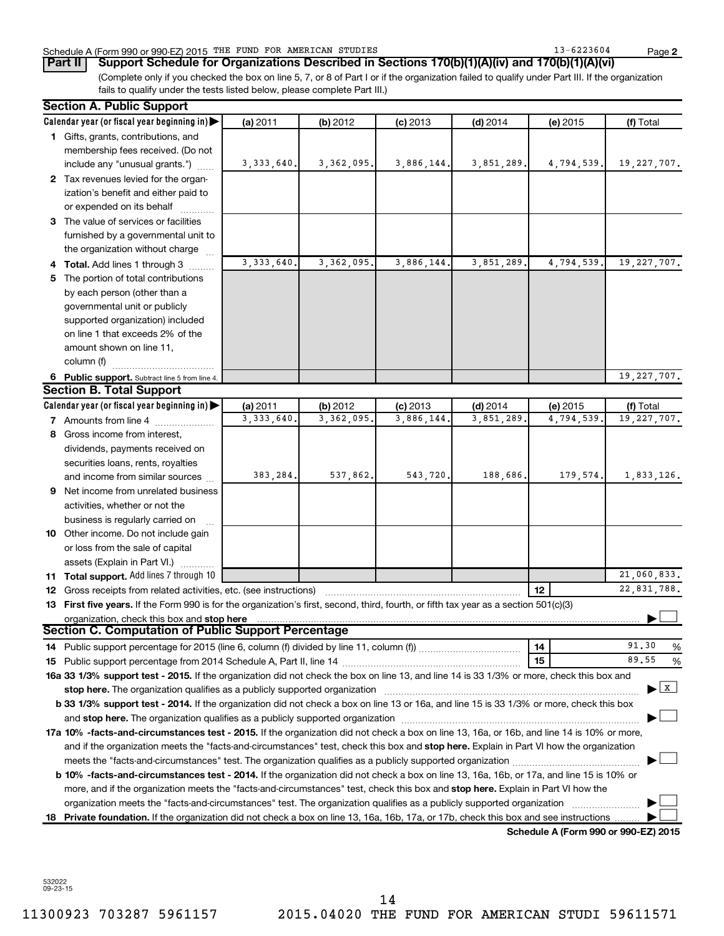#### Schedule A (Form 990 or 990-EZ) 2015 THE FUND FOR AMERICAN STUDIES 13 = 13-6223604 Page

(Complete only if you checked the box on line 5, 7, or 8 of Part I or if the organization failed to qualify under Part III. If the organization **Part II Support Schedule for Organizations Described in Sections 170(b)(1)(A)(iv) and 170(b)(1)(A)(vi)**

fails to qualify under the tests listed below, please complete Part III.)

|    | <b>Section A. Public Support</b>                                                                                                                                                                                               |              |              |            |            |                                      |                                |
|----|--------------------------------------------------------------------------------------------------------------------------------------------------------------------------------------------------------------------------------|--------------|--------------|------------|------------|--------------------------------------|--------------------------------|
|    | Calendar year (or fiscal year beginning in)                                                                                                                                                                                    | (a) 2011     | (b) 2012     | $(c)$ 2013 | $(d)$ 2014 | (e) 2015                             | (f) Total                      |
|    | 1 Gifts, grants, contributions, and                                                                                                                                                                                            |              |              |            |            |                                      |                                |
|    | membership fees received. (Do not                                                                                                                                                                                              |              |              |            |            |                                      |                                |
|    | include any "unusual grants.")                                                                                                                                                                                                 | 3, 333, 640. | 3,362,095.   | 3,886,144. | 3,851,289. | 4,794,539.                           | 19, 227, 707.                  |
|    | 2 Tax revenues levied for the organ-                                                                                                                                                                                           |              |              |            |            |                                      |                                |
|    | ization's benefit and either paid to                                                                                                                                                                                           |              |              |            |            |                                      |                                |
|    | or expended on its behalf                                                                                                                                                                                                      |              |              |            |            |                                      |                                |
|    | 3 The value of services or facilities                                                                                                                                                                                          |              |              |            |            |                                      |                                |
|    | furnished by a governmental unit to                                                                                                                                                                                            |              |              |            |            |                                      |                                |
|    | the organization without charge                                                                                                                                                                                                |              |              |            |            |                                      |                                |
|    | 4 Total. Add lines 1 through 3                                                                                                                                                                                                 | 3, 333, 640. | 3, 362, 095. | 3,886,144  | 3,851,289  | 4,794,539.                           | 19, 227, 707.                  |
|    | 5 The portion of total contributions                                                                                                                                                                                           |              |              |            |            |                                      |                                |
|    | by each person (other than a                                                                                                                                                                                                   |              |              |            |            |                                      |                                |
|    | governmental unit or publicly                                                                                                                                                                                                  |              |              |            |            |                                      |                                |
|    | supported organization) included                                                                                                                                                                                               |              |              |            |            |                                      |                                |
|    | on line 1 that exceeds 2% of the                                                                                                                                                                                               |              |              |            |            |                                      |                                |
|    | amount shown on line 11,                                                                                                                                                                                                       |              |              |            |            |                                      |                                |
|    | column (f)                                                                                                                                                                                                                     |              |              |            |            |                                      |                                |
|    | 6 Public support. Subtract line 5 from line 4.                                                                                                                                                                                 |              |              |            |            |                                      | 19, 227, 707.                  |
|    | <b>Section B. Total Support</b>                                                                                                                                                                                                |              |              |            |            |                                      |                                |
|    | Calendar year (or fiscal year beginning in)                                                                                                                                                                                    | (a) 2011     | (b) 2012     | $(c)$ 2013 | $(d)$ 2014 | (e) 2015                             | (f) Total                      |
|    | 7 Amounts from line 4                                                                                                                                                                                                          | 3, 333, 640  | 3,362,095    | 3,886,144  | 3,851,289  | 4,794,539                            | 19, 227, 707.                  |
|    | 8 Gross income from interest,                                                                                                                                                                                                  |              |              |            |            |                                      |                                |
|    | dividends, payments received on                                                                                                                                                                                                |              |              |            |            |                                      |                                |
|    | securities loans, rents, royalties                                                                                                                                                                                             |              |              |            |            |                                      |                                |
|    | and income from similar sources                                                                                                                                                                                                | 383,284.     | 537,862.     | 543,720    | 188,686.   | 179,574.                             | 1,833,126.                     |
|    | 9 Net income from unrelated business                                                                                                                                                                                           |              |              |            |            |                                      |                                |
|    | activities, whether or not the                                                                                                                                                                                                 |              |              |            |            |                                      |                                |
|    | business is regularly carried on                                                                                                                                                                                               |              |              |            |            |                                      |                                |
|    | 10 Other income. Do not include gain                                                                                                                                                                                           |              |              |            |            |                                      |                                |
|    | or loss from the sale of capital                                                                                                                                                                                               |              |              |            |            |                                      |                                |
|    | assets (Explain in Part VI.)                                                                                                                                                                                                   |              |              |            |            |                                      |                                |
|    | 11 Total support. Add lines 7 through 10                                                                                                                                                                                       |              |              |            |            |                                      | 21,060,833.                    |
|    | <b>12</b> Gross receipts from related activities, etc. (see instructions)                                                                                                                                                      |              |              |            |            | 12                                   | 22,831,788.                    |
|    | 13 First five years. If the Form 990 is for the organization's first, second, third, fourth, or fifth tax year as a section 501(c)(3)                                                                                          |              |              |            |            |                                      |                                |
|    | organization, check this box and stop here<br><b>Section C. Computation of Public Support Percentage</b>                                                                                                                       |              |              |            |            |                                      |                                |
|    |                                                                                                                                                                                                                                |              |              |            |            | 14                                   | 91.30<br>%                     |
|    |                                                                                                                                                                                                                                |              |              |            |            | 15                                   | 89.55<br>%                     |
|    | 16a 33 1/3% support test - 2015. If the organization did not check the box on line 13, and line 14 is 33 1/3% or more, check this box and                                                                                      |              |              |            |            |                                      |                                |
|    | stop here. The organization qualifies as a publicly supported organization manufactured content and the support of the state of the state of the state of the state of the state of the state of the state of the state of the |              |              |            |            |                                      | $\blacktriangleright$ $\mid$ X |
|    | b 33 1/3% support test - 2014. If the organization did not check a box on line 13 or 16a, and line 15 is 33 1/3% or more, check this box                                                                                       |              |              |            |            |                                      |                                |
|    |                                                                                                                                                                                                                                |              |              |            |            |                                      |                                |
|    | 17a 10% -facts-and-circumstances test - 2015. If the organization did not check a box on line 13, 16a, or 16b, and line 14 is 10% or more,                                                                                     |              |              |            |            |                                      |                                |
|    | and if the organization meets the "facts-and-circumstances" test, check this box and stop here. Explain in Part VI how the organization                                                                                        |              |              |            |            |                                      |                                |
|    |                                                                                                                                                                                                                                |              |              |            |            |                                      |                                |
|    | <b>b 10%</b> -facts-and-circumstances test - 2014. If the organization did not check a box on line 13, 16a, 16b, or 17a, and line 15 is 10% or                                                                                 |              |              |            |            |                                      |                                |
|    | more, and if the organization meets the "facts-and-circumstances" test, check this box and stop here. Explain in Part VI how the                                                                                               |              |              |            |            |                                      |                                |
|    | organization meets the "facts-and-circumstances" test. The organization qualifies as a publicly supported organization                                                                                                         |              |              |            |            |                                      |                                |
| 18 | Private foundation. If the organization did not check a box on line 13, 16a, 16b, 17a, or 17b, check this box and see instructions.                                                                                            |              |              |            |            |                                      |                                |
|    |                                                                                                                                                                                                                                |              |              |            |            | Schedule A (Form 990 or 990-EZ) 2015 |                                |

532022 09-23-15

**2**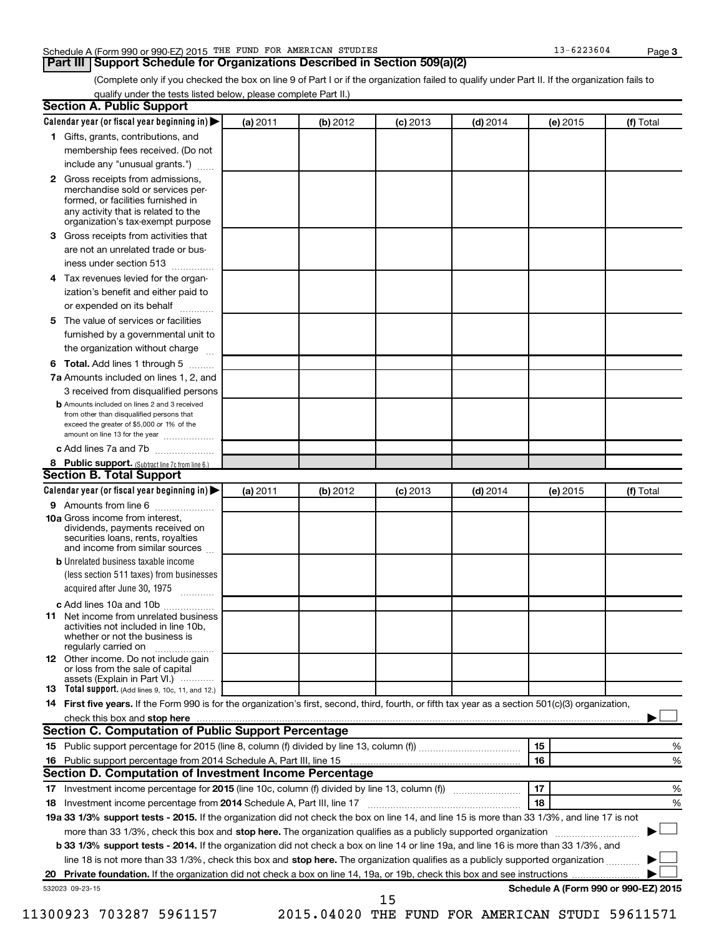#### Schedule A (Form 990 or 990-EZ) 2015 THE FUND FOR AMERICAN STUDIES 13 = 13-6223604 Page

#### **Part III Support Schedule for Organizations Described in Section 509(a)(2)**

(Complete only if you checked the box on line 9 of Part I or if the organization failed to qualify under Part II. If the organization fails to qualify under the tests listed below, please complete Part II.)

| <b>Section A. Public Support</b>                                                                                                                                                                                                    |          |          |            |            |          |                                      |
|-------------------------------------------------------------------------------------------------------------------------------------------------------------------------------------------------------------------------------------|----------|----------|------------|------------|----------|--------------------------------------|
| Calendar year (or fiscal year beginning in)                                                                                                                                                                                         | (a) 2011 | (b) 2012 | $(c)$ 2013 | $(d)$ 2014 | (e) 2015 | (f) Total                            |
| 1 Gifts, grants, contributions, and                                                                                                                                                                                                 |          |          |            |            |          |                                      |
| membership fees received. (Do not                                                                                                                                                                                                   |          |          |            |            |          |                                      |
| include any "unusual grants.")                                                                                                                                                                                                      |          |          |            |            |          |                                      |
| 2 Gross receipts from admissions,<br>merchandise sold or services per-<br>formed, or facilities furnished in<br>any activity that is related to the                                                                                 |          |          |            |            |          |                                      |
| organization's tax-exempt purpose                                                                                                                                                                                                   |          |          |            |            |          |                                      |
| <b>3</b> Gross receipts from activities that                                                                                                                                                                                        |          |          |            |            |          |                                      |
| are not an unrelated trade or bus-                                                                                                                                                                                                  |          |          |            |            |          |                                      |
| iness under section 513                                                                                                                                                                                                             |          |          |            |            |          |                                      |
| 4 Tax revenues levied for the organ-                                                                                                                                                                                                |          |          |            |            |          |                                      |
| ization's benefit and either paid to<br>or expended on its behalf                                                                                                                                                                   |          |          |            |            |          |                                      |
| 5 The value of services or facilities                                                                                                                                                                                               |          |          |            |            |          |                                      |
| furnished by a governmental unit to                                                                                                                                                                                                 |          |          |            |            |          |                                      |
| the organization without charge                                                                                                                                                                                                     |          |          |            |            |          |                                      |
| <b>6 Total.</b> Add lines 1 through 5                                                                                                                                                                                               |          |          |            |            |          |                                      |
| 7a Amounts included on lines 1, 2, and                                                                                                                                                                                              |          |          |            |            |          |                                      |
| 3 received from disqualified persons                                                                                                                                                                                                |          |          |            |            |          |                                      |
| <b>b</b> Amounts included on lines 2 and 3 received<br>from other than disqualified persons that<br>exceed the greater of \$5,000 or 1% of the<br>amount on line 13 for the year                                                    |          |          |            |            |          |                                      |
| c Add lines 7a and 7b                                                                                                                                                                                                               |          |          |            |            |          |                                      |
| 8 Public support. (Subtract line 7c from line 6.)                                                                                                                                                                                   |          |          |            |            |          |                                      |
| <b>Section B. Total Support</b>                                                                                                                                                                                                     |          |          |            |            |          |                                      |
| Calendar year (or fiscal year beginning in)                                                                                                                                                                                         | (a) 2011 | (b) 2012 | $(c)$ 2013 | $(d)$ 2014 | (e) 2015 | (f) Total                            |
| <b>9</b> Amounts from line 6                                                                                                                                                                                                        |          |          |            |            |          |                                      |
| <b>10a</b> Gross income from interest,<br>dividends, payments received on<br>securities loans, rents, royalties<br>and income from similar sources                                                                                  |          |          |            |            |          |                                      |
| <b>b</b> Unrelated business taxable income                                                                                                                                                                                          |          |          |            |            |          |                                      |
| (less section 511 taxes) from businesses                                                                                                                                                                                            |          |          |            |            |          |                                      |
| acquired after June 30, 1975                                                                                                                                                                                                        |          |          |            |            |          |                                      |
| c Add lines 10a and 10b                                                                                                                                                                                                             |          |          |            |            |          |                                      |
| <b>11</b> Net income from unrelated business<br>activities not included in line 10b.<br>whether or not the business is<br>regularly carried on                                                                                      |          |          |            |            |          |                                      |
| <b>12</b> Other income. Do not include gain<br>or loss from the sale of capital<br>assets (Explain in Part VI.)                                                                                                                     |          |          |            |            |          |                                      |
| <b>13</b> Total support. (Add lines 9, 10c, 11, and 12.)                                                                                                                                                                            |          |          |            |            |          |                                      |
| 14 First five years. If the Form 990 is for the organization's first, second, third, fourth, or fifth tax year as a section 501(c)(3) organization,                                                                                 |          |          |            |            |          |                                      |
| check this box and stop here <i>manufacture and content to the state of the state and</i> stop here and stop here and stop here and stop here and stop the state of the state of the state of the state of the state of the state o |          |          |            |            |          |                                      |
| Section C. Computation of Public Support Percentage                                                                                                                                                                                 |          |          |            |            |          |                                      |
|                                                                                                                                                                                                                                     |          |          |            |            | 15       | ℅                                    |
| 16 Public support percentage from 2014 Schedule A, Part III, line 15                                                                                                                                                                |          |          |            |            | 16       | %                                    |
| Section D. Computation of Investment Income Percentage                                                                                                                                                                              |          |          |            |            |          |                                      |
|                                                                                                                                                                                                                                     |          |          |            |            | 17       | %                                    |
| 18 Investment income percentage from 2014 Schedule A, Part III, line 17                                                                                                                                                             |          |          |            |            | 18       | %                                    |
| 19a 33 1/3% support tests - 2015. If the organization did not check the box on line 14, and line 15 is more than 33 1/3%, and line 17 is not                                                                                        |          |          |            |            |          |                                      |
| more than 33 1/3%, check this box and stop here. The organization qualifies as a publicly supported organization                                                                                                                    |          |          |            |            |          |                                      |
| b 33 1/3% support tests - 2014. If the organization did not check a box on line 14 or line 19a, and line 16 is more than 33 1/3%, and                                                                                               |          |          |            |            |          |                                      |
| line 18 is not more than 33 1/3%, check this box and stop here. The organization qualifies as a publicly supported organization                                                                                                     |          |          |            |            |          |                                      |
|                                                                                                                                                                                                                                     |          |          |            |            |          |                                      |
| 532023 09-23-15                                                                                                                                                                                                                     |          |          |            |            |          | Schedule A (Form 990 or 990-EZ) 2015 |
|                                                                                                                                                                                                                                     |          |          | 15         |            |          |                                      |

11300923 703287 5961157 2015.04020 THE FUND FOR AMERICAN STUDI 59611571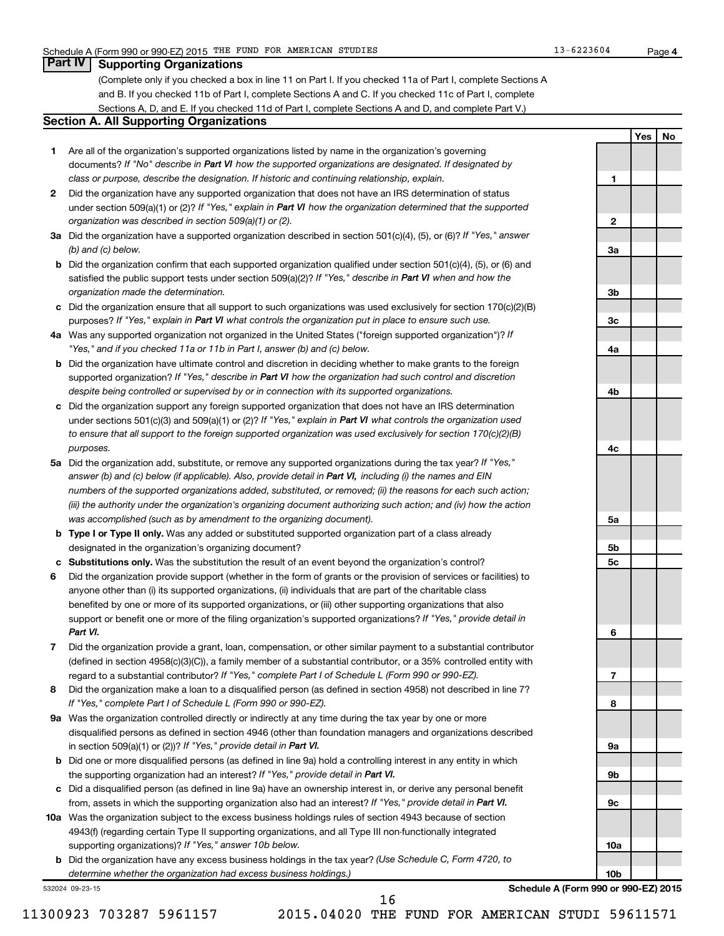#### **Part IV Supporting Organizations**

(Complete only if you checked a box in line 11 on Part I. If you checked 11a of Part I, complete Sections A and B. If you checked 11b of Part I, complete Sections A and C. If you checked 11c of Part I, complete Sections A, D, and E. If you checked 11d of Part I, complete Sections A and D, and complete Part V.)

#### **Section A. All Supporting Organizations**

- **1** Are all of the organization's supported organizations listed by name in the organization's governing documents? If "No" describe in Part VI how the supported organizations are designated. If designated by *class or purpose, describe the designation. If historic and continuing relationship, explain.*
- **2** Did the organization have any supported organization that does not have an IRS determination of status under section 509(a)(1) or (2)? If "Yes," explain in Part VI how the organization determined that the supported *organization was described in section 509(a)(1) or (2).*
- **3a** Did the organization have a supported organization described in section 501(c)(4), (5), or (6)? If "Yes," answer *(b) and (c) below.*
- **b** Did the organization confirm that each supported organization qualified under section 501(c)(4), (5), or (6) and satisfied the public support tests under section 509(a)(2)? If "Yes," describe in Part VI when and how the *organization made the determination.*
- **c** Did the organization ensure that all support to such organizations was used exclusively for section 170(c)(2)(B) purposes? If "Yes," explain in Part VI what controls the organization put in place to ensure such use.
- **4 a** *If* Was any supported organization not organized in the United States ("foreign supported organization")? *"Yes," and if you checked 11a or 11b in Part I, answer (b) and (c) below.*
- **b** Did the organization have ultimate control and discretion in deciding whether to make grants to the foreign supported organization? If "Yes," describe in Part VI how the organization had such control and discretion *despite being controlled or supervised by or in connection with its supported organizations.*
- **c** Did the organization support any foreign supported organization that does not have an IRS determination under sections 501(c)(3) and 509(a)(1) or (2)? If "Yes," explain in Part VI what controls the organization used *to ensure that all support to the foreign supported organization was used exclusively for section 170(c)(2)(B) purposes.*
- **5a** Did the organization add, substitute, or remove any supported organizations during the tax year? If "Yes," answer (b) and (c) below (if applicable). Also, provide detail in Part VI, including (i) the names and EIN *numbers of the supported organizations added, substituted, or removed; (ii) the reasons for each such action; (iii) the authority under the organization's organizing document authorizing such action; and (iv) how the action was accomplished (such as by amendment to the organizing document).*
- **b** Type I or Type II only. Was any added or substituted supported organization part of a class already designated in the organization's organizing document?
- **c Substitutions only.**  Was the substitution the result of an event beyond the organization's control?
- **6** Did the organization provide support (whether in the form of grants or the provision of services or facilities) to support or benefit one or more of the filing organization's supported organizations? If "Yes," provide detail in anyone other than (i) its supported organizations, (ii) individuals that are part of the charitable class benefited by one or more of its supported organizations, or (iii) other supporting organizations that also *Part VI.*
- **7** Did the organization provide a grant, loan, compensation, or other similar payment to a substantial contributor regard to a substantial contributor? If "Yes," complete Part I of Schedule L (Form 990 or 990-EZ). (defined in section 4958(c)(3)(C)), a family member of a substantial contributor, or a 35% controlled entity with
- **8** Did the organization make a loan to a disqualified person (as defined in section 4958) not described in line 7? *If "Yes," complete Part I of Schedule L (Form 990 or 990-EZ).*
- **9 a** Was the organization controlled directly or indirectly at any time during the tax year by one or more in section 509(a)(1) or (2))? If "Yes," provide detail in Part VI. disqualified persons as defined in section 4946 (other than foundation managers and organizations described
- **b** Did one or more disqualified persons (as defined in line 9a) hold a controlling interest in any entity in which the supporting organization had an interest? If "Yes," provide detail in Part VI.
- **c** Did a disqualified person (as defined in line 9a) have an ownership interest in, or derive any personal benefit from, assets in which the supporting organization also had an interest? If "Yes," provide detail in Part VI.
- **10 a** Was the organization subject to the excess business holdings rules of section 4943 because of section supporting organizations)? If "Yes," answer 10b below. 4943(f) (regarding certain Type II supporting organizations, and all Type III non-functionally integrated
	- **b** Did the organization have any excess business holdings in the tax year? (Use Schedule C, Form 4720, to *determine whether the organization had excess business holdings.)*

532024 09-23-15



**Schedule A (Form 990 or 990-EZ) 2015**

**10a**

**10b**

11300923 703287 5961157 2015.04020 THE FUND FOR AMERICAN STUDI 59611571 16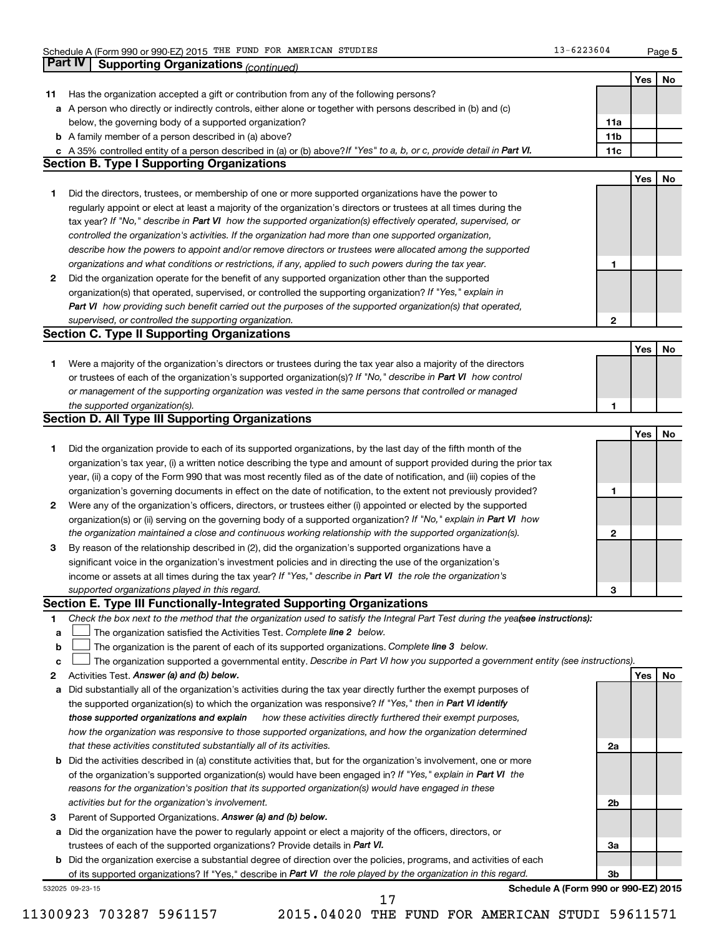**5**

|        | <b>Part IV</b>  | <b>Supporting Organizations (continued)</b>                                                                                                                                                                                      |                 |     |    |
|--------|-----------------|----------------------------------------------------------------------------------------------------------------------------------------------------------------------------------------------------------------------------------|-----------------|-----|----|
|        |                 |                                                                                                                                                                                                                                  |                 | Yes | No |
| 11     |                 | Has the organization accepted a gift or contribution from any of the following persons?                                                                                                                                          |                 |     |    |
|        |                 | a A person who directly or indirectly controls, either alone or together with persons described in (b) and (c)                                                                                                                   |                 |     |    |
|        |                 | below, the governing body of a supported organization?                                                                                                                                                                           | 11a             |     |    |
|        |                 | <b>b</b> A family member of a person described in (a) above?                                                                                                                                                                     | 11 <sub>b</sub> |     |    |
|        |                 | c A 35% controlled entity of a person described in (a) or (b) above? If "Yes" to a, b, or c, provide detail in Part VI.                                                                                                          | 11c             |     |    |
|        |                 | <b>Section B. Type I Supporting Organizations</b>                                                                                                                                                                                |                 |     |    |
|        |                 |                                                                                                                                                                                                                                  |                 | Yes | No |
| 1      |                 | Did the directors, trustees, or membership of one or more supported organizations have the power to                                                                                                                              |                 |     |    |
|        |                 | regularly appoint or elect at least a majority of the organization's directors or trustees at all times during the                                                                                                               |                 |     |    |
|        |                 |                                                                                                                                                                                                                                  |                 |     |    |
|        |                 | tax year? If "No," describe in Part VI how the supported organization(s) effectively operated, supervised, or                                                                                                                    |                 |     |    |
|        |                 | controlled the organization's activities. If the organization had more than one supported organization,                                                                                                                          |                 |     |    |
|        |                 | describe how the powers to appoint and/or remove directors or trustees were allocated among the supported                                                                                                                        |                 |     |    |
|        |                 | organizations and what conditions or restrictions, if any, applied to such powers during the tax year.                                                                                                                           | 1               |     |    |
| 2      |                 | Did the organization operate for the benefit of any supported organization other than the supported                                                                                                                              |                 |     |    |
|        |                 | organization(s) that operated, supervised, or controlled the supporting organization? If "Yes," explain in                                                                                                                       |                 |     |    |
|        |                 | Part VI how providing such benefit carried out the purposes of the supported organization(s) that operated,                                                                                                                      |                 |     |    |
|        |                 | supervised, or controlled the supporting organization.                                                                                                                                                                           | 2               |     |    |
|        |                 | <b>Section C. Type II Supporting Organizations</b>                                                                                                                                                                               |                 |     |    |
|        |                 |                                                                                                                                                                                                                                  |                 | Yes | No |
| 1.     |                 | Were a majority of the organization's directors or trustees during the tax year also a majority of the directors                                                                                                                 |                 |     |    |
|        |                 | or trustees of each of the organization's supported organization(s)? If "No," describe in Part VI how control                                                                                                                    |                 |     |    |
|        |                 | or management of the supporting organization was vested in the same persons that controlled or managed                                                                                                                           |                 |     |    |
|        |                 | the supported organization(s).                                                                                                                                                                                                   | 1               |     |    |
|        |                 | <b>Section D. All Type III Supporting Organizations</b>                                                                                                                                                                          |                 |     |    |
|        |                 |                                                                                                                                                                                                                                  |                 | Yes | No |
| 1      |                 | Did the organization provide to each of its supported organizations, by the last day of the fifth month of the                                                                                                                   |                 |     |    |
|        |                 | organization's tax year, (i) a written notice describing the type and amount of support provided during the prior tax                                                                                                            |                 |     |    |
|        |                 | year, (ii) a copy of the Form 990 that was most recently filed as of the date of notification, and (iii) copies of the                                                                                                           |                 |     |    |
|        |                 | organization's governing documents in effect on the date of notification, to the extent not previously provided?                                                                                                                 | 1               |     |    |
| 2      |                 | Were any of the organization's officers, directors, or trustees either (i) appointed or elected by the supported                                                                                                                 |                 |     |    |
|        |                 | organization(s) or (ii) serving on the governing body of a supported organization? If "No," explain in Part VI how                                                                                                               |                 |     |    |
|        |                 | the organization maintained a close and continuous working relationship with the supported organization(s).                                                                                                                      | 2               |     |    |
| 3      |                 | By reason of the relationship described in (2), did the organization's supported organizations have a                                                                                                                            |                 |     |    |
|        |                 | significant voice in the organization's investment policies and in directing the use of the organization's                                                                                                                       |                 |     |    |
|        |                 | income or assets at all times during the tax year? If "Yes," describe in Part VI the role the organization's                                                                                                                     |                 |     |    |
|        |                 | supported organizations played in this regard.                                                                                                                                                                                   | з               |     |    |
|        |                 | Section E. Type III Functionally-Integrated Supporting Organizations                                                                                                                                                             |                 |     |    |
| 1      |                 | Check the box next to the method that the organization used to satisfy the Integral Part Test during the yealsee instructions):                                                                                                  |                 |     |    |
|        |                 | The organization satisfied the Activities Test. Complete line 2 below.                                                                                                                                                           |                 |     |    |
| a<br>b |                 |                                                                                                                                                                                                                                  |                 |     |    |
|        |                 | The organization is the parent of each of its supported organizations. Complete line 3 below.<br>The organization supported a governmental entity. Describe in Part VI how you supported a government entity (see instructions). |                 |     |    |
| с      |                 |                                                                                                                                                                                                                                  |                 |     |    |
| 2      |                 | Activities Test. Answer (a) and (b) below.                                                                                                                                                                                       |                 | Yes | No |
| а      |                 | Did substantially all of the organization's activities during the tax year directly further the exempt purposes of                                                                                                               |                 |     |    |
|        |                 | the supported organization(s) to which the organization was responsive? If "Yes," then in Part VI identify                                                                                                                       |                 |     |    |
|        |                 | those supported organizations and explain<br>how these activities directly furthered their exempt purposes,                                                                                                                      |                 |     |    |
|        |                 | how the organization was responsive to those supported organizations, and how the organization determined                                                                                                                        |                 |     |    |
|        |                 | that these activities constituted substantially all of its activities.                                                                                                                                                           | 2a              |     |    |
| b      |                 | Did the activities described in (a) constitute activities that, but for the organization's involvement, one or more                                                                                                              |                 |     |    |
|        |                 | of the organization's supported organization(s) would have been engaged in? If "Yes," explain in Part VI the                                                                                                                     |                 |     |    |
|        |                 | reasons for the organization's position that its supported organization(s) would have engaged in these                                                                                                                           |                 |     |    |
|        |                 | activities but for the organization's involvement.                                                                                                                                                                               | 2b              |     |    |
| З      |                 | Parent of Supported Organizations. Answer (a) and (b) below.                                                                                                                                                                     |                 |     |    |
| а      |                 | Did the organization have the power to regularly appoint or elect a majority of the officers, directors, or                                                                                                                      |                 |     |    |
|        |                 | trustees of each of the supported organizations? Provide details in Part VI.                                                                                                                                                     | За              |     |    |
|        |                 | <b>b</b> Did the organization exercise a substantial degree of direction over the policies, programs, and activities of each                                                                                                     |                 |     |    |
|        |                 | of its supported organizations? If "Yes," describe in Part VI the role played by the organization in this regard.                                                                                                                | 3b              |     |    |
|        | 532025 09-23-15 | Schedule A (Form 990 or 990-EZ) 2015                                                                                                                                                                                             |                 |     |    |
|        |                 | 17                                                                                                                                                                                                                               |                 |     |    |

<sup>11300923 703287 5961157 2015.04020</sup> THE FUND FOR AMERICAN STUDI 59611571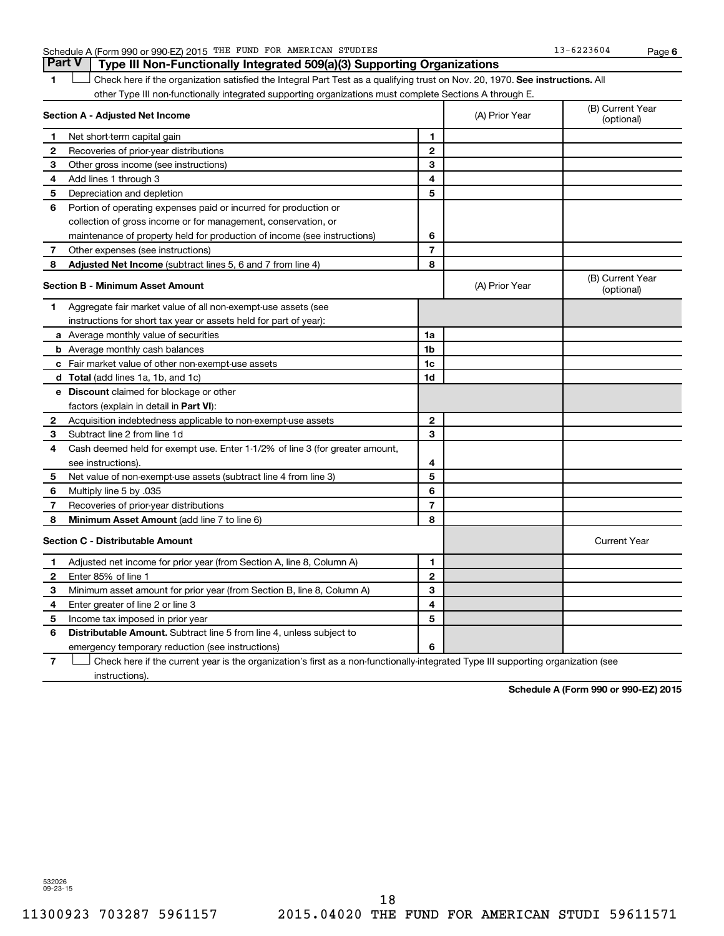$T_{\text{13-6223604}}$ 

**6**

|                          | <b>Part V</b><br>Type III Non-Functionally Integrated 509(a)(3) Supporting Organizations                                          |                |                |                                |  |
|--------------------------|-----------------------------------------------------------------------------------------------------------------------------------|----------------|----------------|--------------------------------|--|
| 1                        | Check here if the organization satisfied the Integral Part Test as a qualifying trust on Nov. 20, 1970. See instructions. All     |                |                |                                |  |
|                          | other Type III non-functionally integrated supporting organizations must complete Sections A through E.                           |                |                |                                |  |
|                          | (B) Current Year<br>Section A - Adjusted Net Income<br>(A) Prior Year<br>(optional)                                               |                |                |                                |  |
| 1                        | Net short-term capital gain                                                                                                       | 1              |                |                                |  |
| $\mathbf{2}$             | Recoveries of prior-year distributions                                                                                            | $\mathbf{2}$   |                |                                |  |
| 3                        | Other gross income (see instructions)                                                                                             | 3              |                |                                |  |
| 4                        | Add lines 1 through 3                                                                                                             | 4              |                |                                |  |
| 5                        | Depreciation and depletion                                                                                                        | 5              |                |                                |  |
| 6                        | Portion of operating expenses paid or incurred for production or                                                                  |                |                |                                |  |
|                          | collection of gross income or for management, conservation, or                                                                    |                |                |                                |  |
|                          | maintenance of property held for production of income (see instructions)                                                          | 6              |                |                                |  |
| 7                        | Other expenses (see instructions)                                                                                                 | $\overline{7}$ |                |                                |  |
| 8                        | <b>Adjusted Net Income</b> (subtract lines 5, 6 and 7 from line 4)                                                                | 8              |                |                                |  |
|                          | <b>Section B - Minimum Asset Amount</b>                                                                                           |                | (A) Prior Year | (B) Current Year<br>(optional) |  |
| 1                        | Aggregate fair market value of all non-exempt-use assets (see                                                                     |                |                |                                |  |
|                          | instructions for short tax year or assets held for part of year):                                                                 |                |                |                                |  |
|                          | <b>a</b> Average monthly value of securities                                                                                      | 1a             |                |                                |  |
|                          | <b>b</b> Average monthly cash balances                                                                                            | 1b             |                |                                |  |
|                          | c Fair market value of other non-exempt-use assets                                                                                | 1c             |                |                                |  |
|                          | <b>d</b> Total (add lines 1a, 1b, and 1c)                                                                                         | 1d             |                |                                |  |
|                          | <b>e</b> Discount claimed for blockage or other                                                                                   |                |                |                                |  |
|                          | factors (explain in detail in <b>Part VI</b> ):                                                                                   |                |                |                                |  |
| 2                        | Acquisition indebtedness applicable to non-exempt-use assets                                                                      | $\mathbf{2}$   |                |                                |  |
| 3                        | Subtract line 2 from line 1d                                                                                                      | 3              |                |                                |  |
| 4                        | Cash deemed held for exempt use. Enter 1-1/2% of line 3 (for greater amount,                                                      |                |                |                                |  |
|                          | see instructions).                                                                                                                | 4              |                |                                |  |
| 5                        | Net value of non-exempt-use assets (subtract line 4 from line 3)                                                                  | 5              |                |                                |  |
| 6                        | 035. Multiply line 5 by                                                                                                           | 6              |                |                                |  |
| 7                        | Recoveries of prior-year distributions                                                                                            | $\overline{7}$ |                |                                |  |
| 8                        | Minimum Asset Amount (add line 7 to line 6)                                                                                       | 8              |                |                                |  |
|                          | <b>Section C - Distributable Amount</b>                                                                                           |                |                | <b>Current Year</b>            |  |
| 1                        | Adjusted net income for prior year (from Section A, line 8, Column A)                                                             | 1              |                |                                |  |
| 2                        | Enter 85% of line 1                                                                                                               | $\mathbf{2}$   |                |                                |  |
| 3                        | Minimum asset amount for prior year (from Section B, line 8, Column A)                                                            | 3              |                |                                |  |
| 4                        | Enter greater of line 2 or line 3                                                                                                 | 4              |                |                                |  |
| 5                        | Income tax imposed in prior year                                                                                                  | 5              |                |                                |  |
| 6                        | <b>Distributable Amount.</b> Subtract line 5 from line 4, unless subject to                                                       |                |                |                                |  |
|                          | emergency temporary reduction (see instructions)                                                                                  | 6              |                |                                |  |
| $\overline{\phantom{a}}$ | Check here if the current year is the organization's first as a non-functionally-integrated Type III supporting organization (see |                |                |                                |  |

instructions).

**Schedule A (Form 990 or 990-EZ) 2015**

532026 09-23-15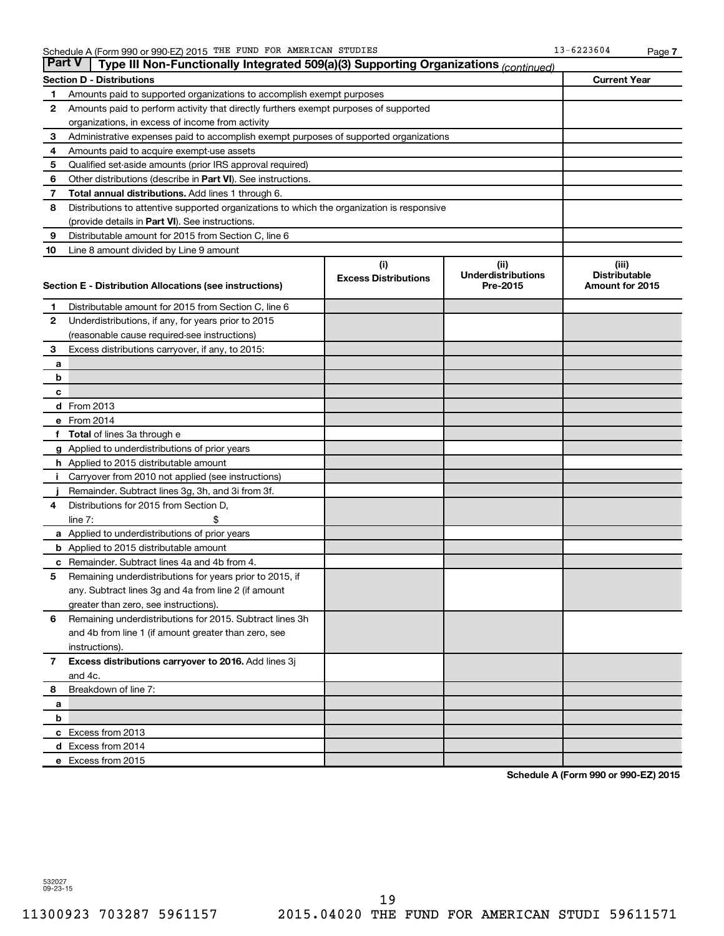| <b>Part V</b>                      | Type III Non-Functionally Integrated 509(a)(3) Supporting Organizations (continued)                                                                                                                                                                                                                                                                                                              |                             |                                       |                                         |  |
|------------------------------------|--------------------------------------------------------------------------------------------------------------------------------------------------------------------------------------------------------------------------------------------------------------------------------------------------------------------------------------------------------------------------------------------------|-----------------------------|---------------------------------------|-----------------------------------------|--|
| <b>Section D - Distributions</b>   | <b>Current Year</b>                                                                                                                                                                                                                                                                                                                                                                              |                             |                                       |                                         |  |
| 1                                  | Amounts paid to supported organizations to accomplish exempt purposes                                                                                                                                                                                                                                                                                                                            |                             |                                       |                                         |  |
| 2                                  | Amounts paid to perform activity that directly furthers exempt purposes of supported                                                                                                                                                                                                                                                                                                             |                             |                                       |                                         |  |
|                                    | organizations, in excess of income from activity                                                                                                                                                                                                                                                                                                                                                 |                             |                                       |                                         |  |
| 3                                  | Administrative expenses paid to accomplish exempt purposes of supported organizations                                                                                                                                                                                                                                                                                                            |                             |                                       |                                         |  |
| 4                                  | Amounts paid to acquire exempt-use assets                                                                                                                                                                                                                                                                                                                                                        |                             |                                       |                                         |  |
| 5                                  | Qualified set-aside amounts (prior IRS approval required)                                                                                                                                                                                                                                                                                                                                        |                             |                                       |                                         |  |
| 6                                  | Other distributions (describe in <b>Part VI</b> ). See instructions.                                                                                                                                                                                                                                                                                                                             |                             |                                       |                                         |  |
| 7                                  | <b>Total annual distributions.</b> Add lines 1 through 6.                                                                                                                                                                                                                                                                                                                                        |                             |                                       |                                         |  |
| 8                                  | Distributions to attentive supported organizations to which the organization is responsive                                                                                                                                                                                                                                                                                                       |                             |                                       |                                         |  |
|                                    | (provide details in Part VI). See instructions.                                                                                                                                                                                                                                                                                                                                                  |                             |                                       |                                         |  |
| 9                                  | Distributable amount for 2015 from Section C, line 6                                                                                                                                                                                                                                                                                                                                             |                             |                                       |                                         |  |
| 10                                 | Line 8 amount divided by Line 9 amount                                                                                                                                                                                                                                                                                                                                                           |                             |                                       |                                         |  |
|                                    |                                                                                                                                                                                                                                                                                                                                                                                                  | (i)                         | (ii)                                  | (iii)                                   |  |
|                                    | Section E - Distribution Allocations (see instructions)                                                                                                                                                                                                                                                                                                                                          | <b>Excess Distributions</b> | <b>Underdistributions</b><br>Pre-2015 | <b>Distributable</b><br>Amount for 2015 |  |
|                                    |                                                                                                                                                                                                                                                                                                                                                                                                  |                             |                                       |                                         |  |
| 1                                  | Distributable amount for 2015 from Section C, line 6                                                                                                                                                                                                                                                                                                                                             |                             |                                       |                                         |  |
| 2                                  | Underdistributions, if any, for years prior to 2015                                                                                                                                                                                                                                                                                                                                              |                             |                                       |                                         |  |
|                                    | (reasonable cause required-see instructions)                                                                                                                                                                                                                                                                                                                                                     |                             |                                       |                                         |  |
| 3                                  | Excess distributions carryover, if any, to 2015:                                                                                                                                                                                                                                                                                                                                                 |                             |                                       |                                         |  |
| a                                  |                                                                                                                                                                                                                                                                                                                                                                                                  |                             |                                       |                                         |  |
| b                                  |                                                                                                                                                                                                                                                                                                                                                                                                  |                             |                                       |                                         |  |
| с                                  |                                                                                                                                                                                                                                                                                                                                                                                                  |                             |                                       |                                         |  |
|                                    | <b>d</b> From 2013                                                                                                                                                                                                                                                                                                                                                                               |                             |                                       |                                         |  |
|                                    | e From 2014                                                                                                                                                                                                                                                                                                                                                                                      |                             |                                       |                                         |  |
|                                    | <b>Total</b> of lines 3a through e                                                                                                                                                                                                                                                                                                                                                               |                             |                                       |                                         |  |
|                                    | <b>g</b> Applied to underdistributions of prior years                                                                                                                                                                                                                                                                                                                                            |                             |                                       |                                         |  |
|                                    | <b>h</b> Applied to 2015 distributable amount                                                                                                                                                                                                                                                                                                                                                    |                             |                                       |                                         |  |
|                                    | Carryover from 2010 not applied (see instructions)                                                                                                                                                                                                                                                                                                                                               |                             |                                       |                                         |  |
|                                    | Remainder. Subtract lines 3g, 3h, and 3i from 3f.                                                                                                                                                                                                                                                                                                                                                |                             |                                       |                                         |  |
| 4                                  | Distributions for 2015 from Section D,                                                                                                                                                                                                                                                                                                                                                           |                             |                                       |                                         |  |
|                                    | line $7:$                                                                                                                                                                                                                                                                                                                                                                                        |                             |                                       |                                         |  |
|                                    | a Applied to underdistributions of prior years                                                                                                                                                                                                                                                                                                                                                   |                             |                                       |                                         |  |
|                                    | <b>b</b> Applied to 2015 distributable amount                                                                                                                                                                                                                                                                                                                                                    |                             |                                       |                                         |  |
| с                                  | Remainder. Subtract lines 4a and 4b from 4.                                                                                                                                                                                                                                                                                                                                                      |                             |                                       |                                         |  |
| 5                                  | Remaining underdistributions for years prior to 2015, if                                                                                                                                                                                                                                                                                                                                         |                             |                                       |                                         |  |
|                                    |                                                                                                                                                                                                                                                                                                                                                                                                  |                             |                                       |                                         |  |
|                                    |                                                                                                                                                                                                                                                                                                                                                                                                  |                             |                                       |                                         |  |
|                                    |                                                                                                                                                                                                                                                                                                                                                                                                  |                             |                                       |                                         |  |
|                                    |                                                                                                                                                                                                                                                                                                                                                                                                  |                             |                                       |                                         |  |
|                                    |                                                                                                                                                                                                                                                                                                                                                                                                  |                             |                                       |                                         |  |
|                                    |                                                                                                                                                                                                                                                                                                                                                                                                  |                             |                                       |                                         |  |
|                                    |                                                                                                                                                                                                                                                                                                                                                                                                  |                             |                                       |                                         |  |
|                                    |                                                                                                                                                                                                                                                                                                                                                                                                  |                             |                                       |                                         |  |
|                                    |                                                                                                                                                                                                                                                                                                                                                                                                  |                             |                                       |                                         |  |
|                                    |                                                                                                                                                                                                                                                                                                                                                                                                  |                             |                                       |                                         |  |
|                                    |                                                                                                                                                                                                                                                                                                                                                                                                  |                             |                                       |                                         |  |
|                                    |                                                                                                                                                                                                                                                                                                                                                                                                  |                             |                                       |                                         |  |
| 6<br>$\overline{7}$<br>8<br>а<br>b | any. Subtract lines 3g and 4a from line 2 (if amount<br>greater than zero, see instructions).<br>Remaining underdistributions for 2015. Subtract lines 3h<br>and 4b from line 1 (if amount greater than zero, see<br>instructions).<br>Excess distributions carryover to 2016. Add lines 3j<br>and 4c.<br>Breakdown of line 7:<br>c Excess from 2013<br>d Excess from 2014<br>e Excess from 2015 |                             |                                       |                                         |  |

**Schedule A (Form 990 or 990-EZ) 2015**

532027 09-23-15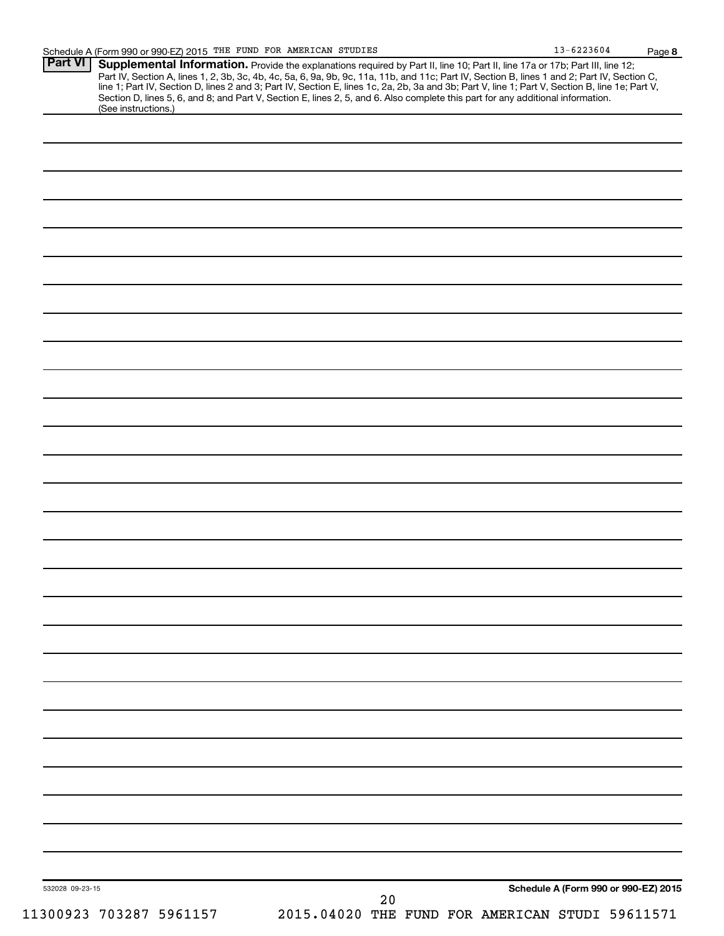|                | Schedule A (Form 990 or 990-EZ) 2015 THE FUND FOR AMERICAN STUDIES                                                                                                                                                                                                                                                                                                                                                                                                                                                                                                                         | 13-6223604 | Page |
|----------------|--------------------------------------------------------------------------------------------------------------------------------------------------------------------------------------------------------------------------------------------------------------------------------------------------------------------------------------------------------------------------------------------------------------------------------------------------------------------------------------------------------------------------------------------------------------------------------------------|------------|------|
| <b>Part VI</b> | Supplemental Information. Provide the explanations required by Part II, line 10; Part II, line 17a or 17b; Part III, line 12;<br>Part IV, Section A, lines 1, 2, 3b, 3c, 4b, 4c, 5a, 6, 9a, 9b, 9c, 11a, 11b, and 11c; Part IV, Section B, lines 1 and 2; Part IV, Section C,<br>line 1; Part IV, Section D, lines 2 and 3; Part IV, Section E, lines 1c, 2a, 2b, 3a and 3b; Part V, line 1; Part V, Section B, line 1e; Part V,<br>Section D, lines 5, 6, and 8; and Part V, Section E, lines 2, 5, and 6. Also complete this part for any additional information.<br>(See instructions.) |            |      |
|                |                                                                                                                                                                                                                                                                                                                                                                                                                                                                                                                                                                                            |            |      |
|                |                                                                                                                                                                                                                                                                                                                                                                                                                                                                                                                                                                                            |            |      |
|                |                                                                                                                                                                                                                                                                                                                                                                                                                                                                                                                                                                                            |            |      |
|                |                                                                                                                                                                                                                                                                                                                                                                                                                                                                                                                                                                                            |            |      |
|                |                                                                                                                                                                                                                                                                                                                                                                                                                                                                                                                                                                                            |            |      |
|                |                                                                                                                                                                                                                                                                                                                                                                                                                                                                                                                                                                                            |            |      |
|                |                                                                                                                                                                                                                                                                                                                                                                                                                                                                                                                                                                                            |            |      |
|                |                                                                                                                                                                                                                                                                                                                                                                                                                                                                                                                                                                                            |            |      |
|                |                                                                                                                                                                                                                                                                                                                                                                                                                                                                                                                                                                                            |            |      |
|                |                                                                                                                                                                                                                                                                                                                                                                                                                                                                                                                                                                                            |            |      |
|                |                                                                                                                                                                                                                                                                                                                                                                                                                                                                                                                                                                                            |            |      |
|                |                                                                                                                                                                                                                                                                                                                                                                                                                                                                                                                                                                                            |            |      |
|                |                                                                                                                                                                                                                                                                                                                                                                                                                                                                                                                                                                                            |            |      |
|                |                                                                                                                                                                                                                                                                                                                                                                                                                                                                                                                                                                                            |            |      |

532028 09-23-15

20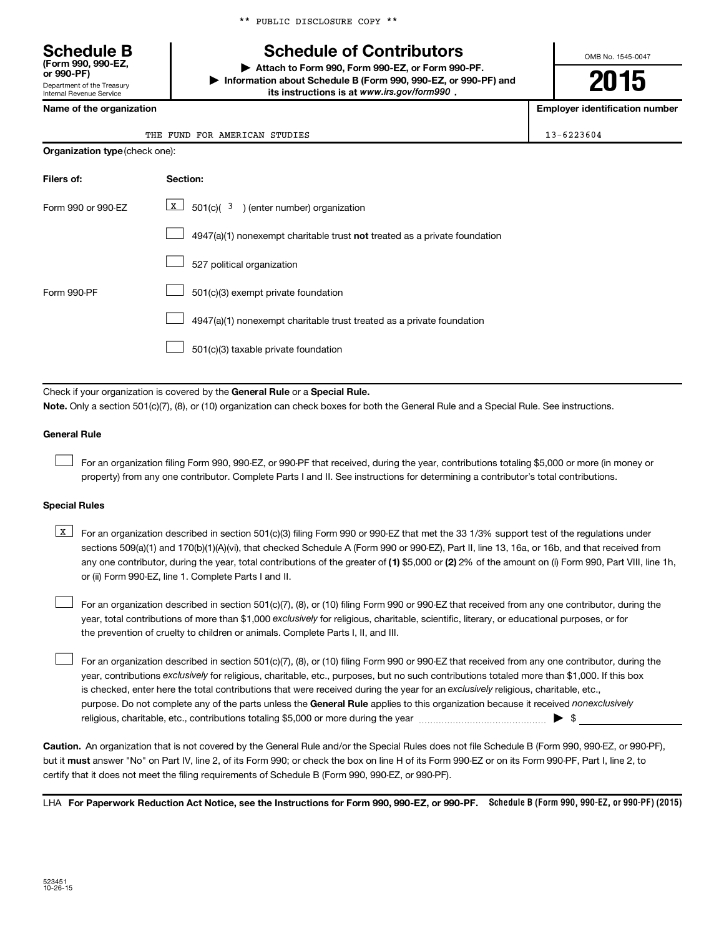\*\* PUBLIC DISCLOSURE COPY \*\*

### **Schedule of Contributors**

**or 990-PF) | Attach to Form 990, Form 990-EZ, or Form 990-PF. | Information about Schedule B (Form 990, 990-EZ, or 990-PF) and** its instructions is at www.irs.gov/form990.

OMB No. 1545-0047

**2015**

**Name of the organization Employer identification number**

| <b>Schedule B</b><br>(Form 990, 990-EZ,<br>or 990-PF)  |
|--------------------------------------------------------|
| Department of the Treasury<br>Internal Revenue Service |

**Organization type** (check one):

| AMERICAN<br>FUND<br>FOR<br>THE<br>STUDIES<br>_______ |  |
|------------------------------------------------------|--|
|------------------------------------------------------|--|

| Filers of:         | Section:                                                                           |
|--------------------|------------------------------------------------------------------------------------|
| Form 990 or 990-EZ | $\underline{\mathbf{x}}$ 501(c)( 3 ) (enter number) organization                   |
|                    | $4947(a)(1)$ nonexempt charitable trust <b>not</b> treated as a private foundation |
|                    | 527 political organization                                                         |
| Form 990-PF        | 501(c)(3) exempt private foundation                                                |
|                    | 4947(a)(1) nonexempt charitable trust treated as a private foundation              |
|                    | 501(c)(3) taxable private foundation                                               |

Check if your organization is covered by the General Rule or a Special Rule.

**Note.**  Only a section 501(c)(7), (8), or (10) organization can check boxes for both the General Rule and a Special Rule. See instructions.

#### **General Rule**

 $\Box$ 

For an organization filing Form 990, 990-EZ, or 990-PF that received, during the year, contributions totaling \$5,000 or more (in money or property) from any one contributor. Complete Parts I and II. See instructions for determining a contributor's total contributions.

#### **Special Rules**

any one contributor, during the year, total contributions of the greater of **(1)** \$5,000 or **(2)** 2% of the amount on (i) Form 990, Part VIII, line 1h, **K** For an organization described in section 501(c)(3) filing Form 990 or 990-EZ that met the 33 1/3% support test of the regulations under sections 509(a)(1) and 170(b)(1)(A)(vi), that checked Schedule A (Form 990 or 990-EZ), Part II, line 13, 16a, or 16b, and that received from or (ii) Form 990-EZ, line 1. Complete Parts I and II.

year, total contributions of more than \$1,000 *exclusively* for religious, charitable, scientific, literary, or educational purposes, or for For an organization described in section 501(c)(7), (8), or (10) filing Form 990 or 990-EZ that received from any one contributor, during the the prevention of cruelty to children or animals. Complete Parts I, II, and III.  $\Box$ 

purpose. Do not complete any of the parts unless the General Rule applies to this organization because it received nonexclusively year, contributions exclusively for religious, charitable, etc., purposes, but no such contributions totaled more than \$1,000. If this box is checked, enter here the total contributions that were received during the year for an exclusively religious, charitable, etc., For an organization described in section 501(c)(7), (8), or (10) filing Form 990 or 990-EZ that received from any one contributor, during the religious, charitable, etc., contributions totaling \$5,000 or more during the year  $\ldots$  $\ldots$  $\ldots$  $\ldots$  $\ldots$  $\ldots$  $\Box$ 

**Caution.** An organization that is not covered by the General Rule and/or the Special Rules does not file Schedule B (Form 990, 990-EZ, or 990-PF),  **must** but it answer "No" on Part IV, line 2, of its Form 990; or check the box on line H of its Form 990-EZ or on its Form 990-PF, Part I, line 2, to certify that it does not meet the filing requirements of Schedule B (Form 990, 990-EZ, or 990-PF).

LHA For Paperwork Reduction Act Notice, see the Instructions for Form 990, 990-EZ, or 990-PF. Schedule B (Form 990, 990-EZ, or 990-PF) (2015)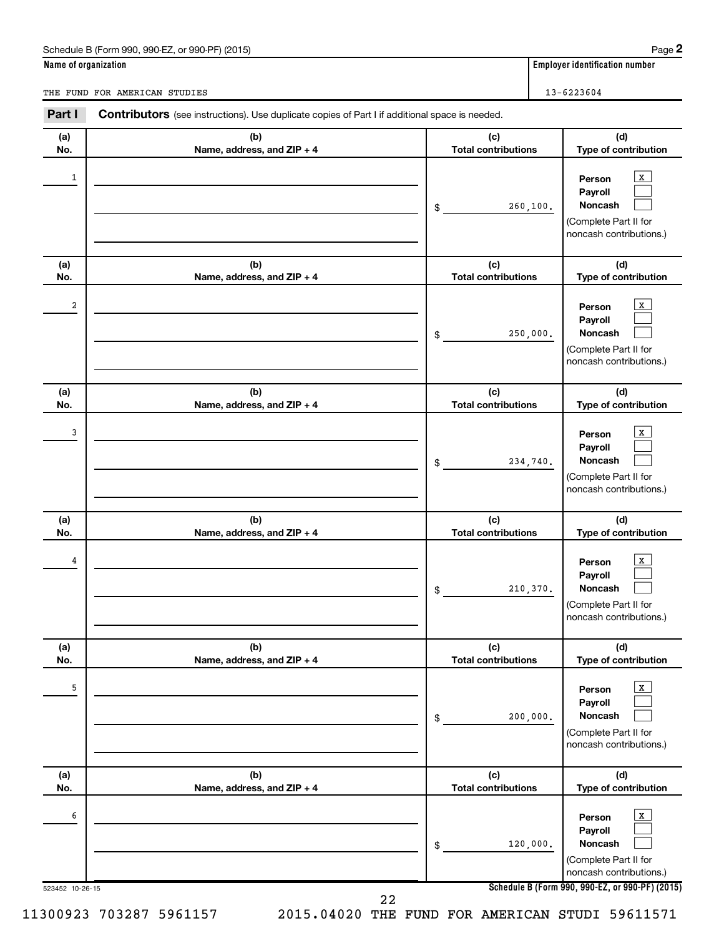#### Schedule B (Form 990, 990-EZ, or 990-PF) (2015)

**(b) Name, address, and ZIP + 4**

**Part I** Contributors (see instructions). Use duplicate copies of Part I if additional space is needed.

**(b) Name, address, and ZIP + 4**

**(b) Name, address, and ZIP + 4**

|  | Name of organization |
|--|----------------------|

**(a) No.**

**(a) No.**

**(a) No.**

**(a) No.**

**(a) No.**

**(a) No.** **Employer identification number** 

**Person Payroll Noncash**

**Person Payroll Noncash**

**Person Payroll Noncash**

**(d) Type of contribution**

> $\mathbf{x}$  $\Box$  $\Box$

> $\mathbf{X}$  $\Box$  $\Box$

**(d) Type of contribution**

(Complete Part II for noncash contributions.)

> **(d) Type of contribution**

(Complete Part II for noncash contributions.)

**(c) Total contributions**

**(c) Total contributions**

260,100.

250,000.

234,740.

\$

1 X

 $2$  Person  $\overline{\text{X}}$ 

3 X

\$

 $\mathfrak{F}$ 

**(c) Total contributions**

THE FUND FOR AMERICAN STUDIES 13-6223604

noncash contributions.)

 $\mathbf{x}$  $\Box$  $\Box$ 

(Complete Part II for

|                | (b)                        | (c)                        | (d)                                                                                                                                                   |
|----------------|----------------------------|----------------------------|-------------------------------------------------------------------------------------------------------------------------------------------------------|
|                | Name, address, and ZIP + 4 | <b>Total contributions</b> | <b>Type of contribution</b>                                                                                                                           |
| 4              |                            | 210, 370.<br>\$            | x<br>Person<br>Payroll<br>Noncash<br>(Complete Part II for<br>noncash contributions.)                                                                 |
|                | (b)                        | (c)                        | (d)                                                                                                                                                   |
|                | Name, address, and ZIP + 4 | <b>Total contributions</b> | Type of contribution                                                                                                                                  |
| $\overline{5}$ |                            | 200,000.<br>\$             | x<br>Person<br><b>Payroll</b><br>Noncash<br>(Complete Part II for<br>noncash contributions.)                                                          |
|                | (b)                        | (c)                        | (d)                                                                                                                                                   |
|                | Name, address, and ZIP + 4 | <b>Total contributions</b> | <b>Type of contribution</b>                                                                                                                           |
| $\frac{6}{1}$  |                            | 120,000.<br>\$             | X<br>Person<br>Payroll<br><b>Noncash</b><br>(Complete Part II for<br>noncash contributions.)<br><b>Ochodule B (Ferm 888, 888, 57, cr 888, BE) (86</b> |

**Schedule B (Form 990, 990-EZ, or 990-PF) (2015)**

**2**

22

11300923 703287 5961157 2015.04020 THE FUND FOR AMERICAN STUDI 59611571

523452 10-26-15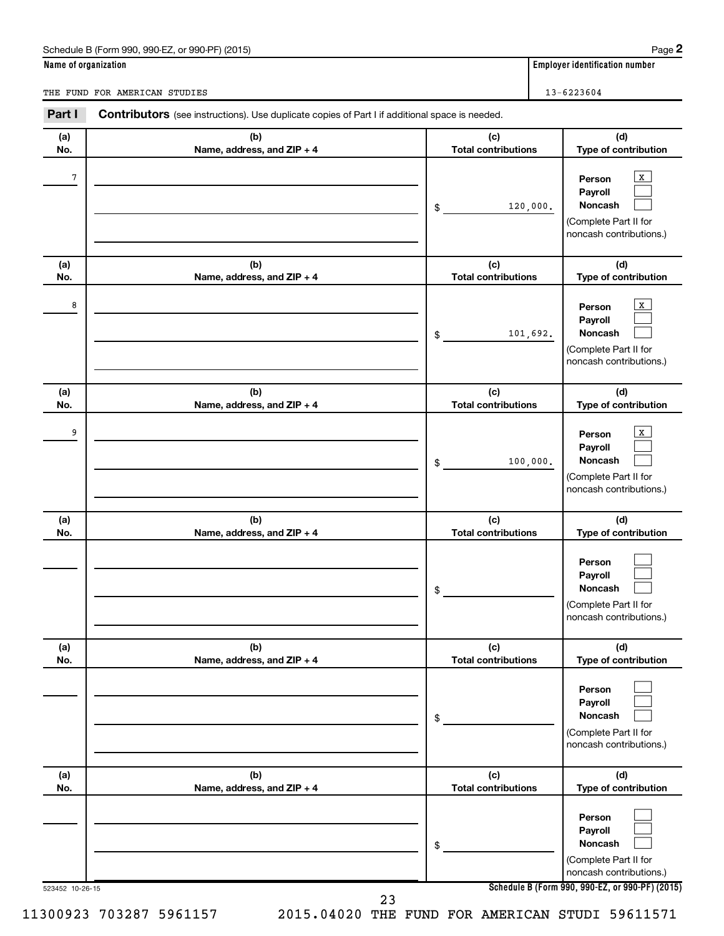#### Schedule B (Form 990, 990-EZ, or 990-PF) (2015)

**Part I** Contributors (see instructions). Use duplicate copies of Part I if additional space is needed.

|  | Name of organization |
|--|----------------------|

**Employer identification number** 

THE FUND FOR AMERICAN STUDIES 13-6223604

| (a)<br>No.      | (b)<br>Name, address, and ZIP + 4 | (c)<br><b>Total contributions</b> | (d)<br>Type of contribution                                                                                                         |
|-----------------|-----------------------------------|-----------------------------------|-------------------------------------------------------------------------------------------------------------------------------------|
| $\sqrt{7}$      |                                   | 120,000.<br>\$                    | $\mathbf{x}$<br>Person<br>Payroll<br>Noncash<br>(Complete Part II for<br>noncash contributions.)                                    |
| (a)<br>No.      | (b)<br>Name, address, and ZIP + 4 | (c)<br><b>Total contributions</b> | (d)<br>Type of contribution                                                                                                         |
| 8               |                                   | 101,692.<br>\$                    | $\mathbf{X}$<br>Person<br>Payroll<br>Noncash<br>(Complete Part II for<br>noncash contributions.)                                    |
| (a)<br>No.      | (b)<br>Name, address, and ZIP + 4 | (c)<br><b>Total contributions</b> | (d)<br>Type of contribution                                                                                                         |
| 9               |                                   | 100,000.<br>\$                    | X<br>Person<br>Payroll<br>Noncash<br>(Complete Part II for<br>noncash contributions.)                                               |
| (a)<br>No.      | (b)<br>Name, address, and ZIP + 4 | (c)<br><b>Total contributions</b> | (d)<br>Type of contribution                                                                                                         |
|                 |                                   | \$                                | Person<br>Payroll<br>Noncash<br>(Complete Part II for<br>noncash contributions.)                                                    |
| (a)<br>No.      | (b)<br>Name, address, and ZIP + 4 | (c)<br><b>Total contributions</b> | (d)<br>Type of contribution                                                                                                         |
|                 |                                   | \$                                | Person<br>Payroll<br>Noncash<br>(Complete Part II for<br>noncash contributions.)                                                    |
| (a)<br>No.      | (b)<br>Name, address, and ZIP + 4 | (c)<br><b>Total contributions</b> | (d)<br>Type of contribution                                                                                                         |
| 523452 10-26-15 |                                   | \$                                | Person<br>Payroll<br>Noncash<br>(Complete Part II for<br>noncash contributions.)<br>Schedule B (Form 990, 990-EZ, or 990-PF) (2015) |
|                 | 23                                |                                   |                                                                                                                                     |

11300923 703287 5961157 2015.04020 THE FUND FOR AMERICAN STUDI 59611571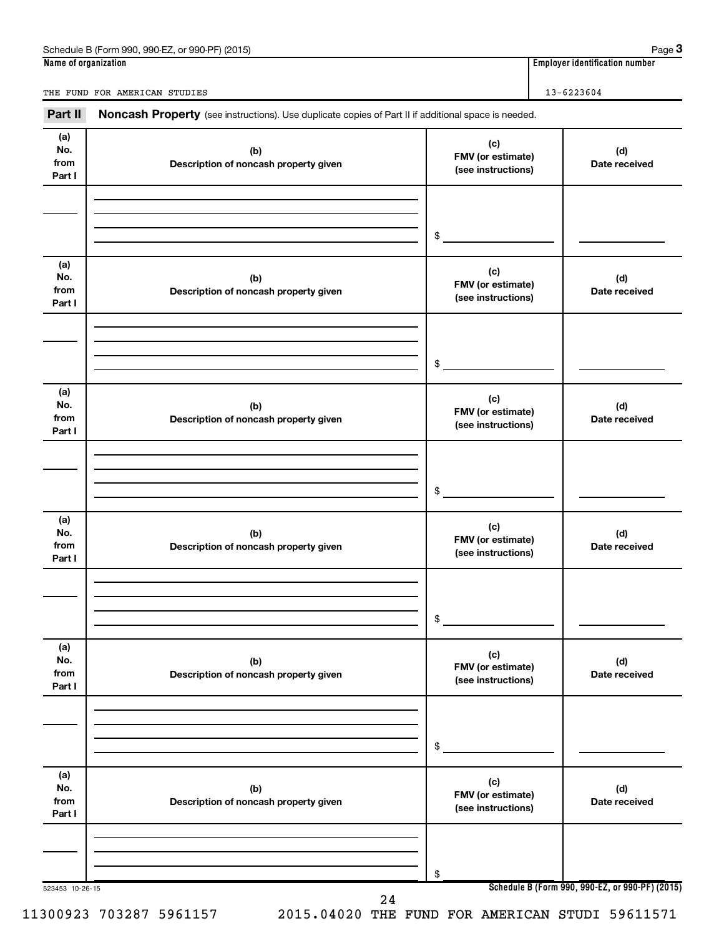| 990-EZ<br>Schedule B<br>(2015)<br>990-PF)<br>990<br>(Form<br>or | Paɑe                                      |  |  |
|-----------------------------------------------------------------|-------------------------------------------|--|--|
| Name of organization                                            | <br>, identification number ،<br>Emplover |  |  |

THE FUND FOR AMERICAN STUDIES  $13-6223604$ 

523453 10-26-15 **Schedule B (Form 990, 990-EZ, or 990-PF) (2015) (a) No. from Part I (c) FMV (or estimate) (see instructions) (b) Description of noncash property given (d) Date received (a) No. from Part I (c) FMV (or estimate) (see instructions) (b) Description of noncash property given (d) Date received (a) No. from Part I (c) FMV (or estimate) (see instructions) (b) Description of noncash property given (d) Date received (a) No. from Part I (c) FMV (or estimate) (see instructions) (b) Description of noncash property given (d) Date received (a) No. from Part I (c) FMV (or estimate) (see instructions) (b) Description of noncash property given (d) Date received (a) No. from Part I (c) FMV (or estimate) (see instructions) (b) Description of noncash property given (d) Date received** Part II Noncash Property (see instructions). Use duplicate copies of Part II if additional space is needed. \$ \$ \$ \$ \$ \$ 24

**3**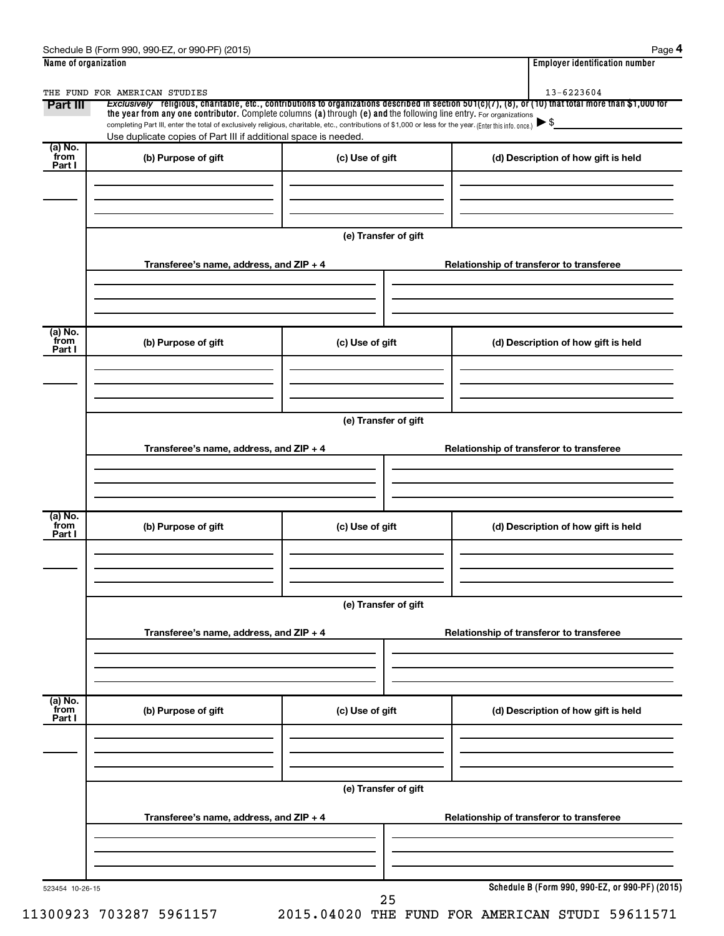| Schedule<br>(2015)<br>990-E2<br>990-PF<br>990<br>or<br>∙orn<br>-<br>ັ | Page                                    |
|-----------------------------------------------------------------------|-----------------------------------------|
| Name of organization                                                  | <br>, identification number<br>Emplover |

|--|--|

| Part III                  | the year from any one contributor. Complete columns (a) through (e) and the following line entry. For organizations<br>completing Part III, enter the total of exclusively religious, charitable, etc., contributions of \$1,000 or less for the year. (Enter this info. once.) |                      | Exclusively religious, charitable, etc., contributions to organizations described in section $501(c)(7)$ , (8), or (10) that total more than \$1,000 for<br>$\blacktriangleright$ \$ |
|---------------------------|---------------------------------------------------------------------------------------------------------------------------------------------------------------------------------------------------------------------------------------------------------------------------------|----------------------|--------------------------------------------------------------------------------------------------------------------------------------------------------------------------------------|
|                           | Use duplicate copies of Part III if additional space is needed.                                                                                                                                                                                                                 |                      |                                                                                                                                                                                      |
| (a) No.<br>from<br>Part I | (b) Purpose of gift                                                                                                                                                                                                                                                             | (c) Use of gift      | (d) Description of how gift is held                                                                                                                                                  |
|                           |                                                                                                                                                                                                                                                                                 | (e) Transfer of gift |                                                                                                                                                                                      |
|                           | Transferee's name, address, and ZIP + 4                                                                                                                                                                                                                                         |                      | Relationship of transferor to transferee                                                                                                                                             |
| (a) No.<br>from<br>Part I | (b) Purpose of gift                                                                                                                                                                                                                                                             | (c) Use of gift      | (d) Description of how gift is held                                                                                                                                                  |
|                           |                                                                                                                                                                                                                                                                                 |                      |                                                                                                                                                                                      |
|                           | Transferee's name, address, and ZIP + 4                                                                                                                                                                                                                                         | (e) Transfer of gift | Relationship of transferor to transferee                                                                                                                                             |
| (a) No.<br>from<br>Part I | (b) Purpose of gift                                                                                                                                                                                                                                                             | (c) Use of gift      | (d) Description of how gift is held                                                                                                                                                  |
|                           |                                                                                                                                                                                                                                                                                 | (e) Transfer of gift |                                                                                                                                                                                      |
|                           | Transferee's name, address, and ZIP + 4                                                                                                                                                                                                                                         |                      | Relationship of transferor to transferee                                                                                                                                             |
| (a) No.<br>from           | (b) Purpose of gift                                                                                                                                                                                                                                                             | (c) Use of gift      | (d) Description of how gift is held                                                                                                                                                  |
| Part I                    |                                                                                                                                                                                                                                                                                 |                      |                                                                                                                                                                                      |
|                           |                                                                                                                                                                                                                                                                                 | (e) Transfer of gift |                                                                                                                                                                                      |
|                           | Transferee's name, address, and ZIP + 4                                                                                                                                                                                                                                         |                      | Relationship of transferor to transferee                                                                                                                                             |
|                           |                                                                                                                                                                                                                                                                                 |                      |                                                                                                                                                                                      |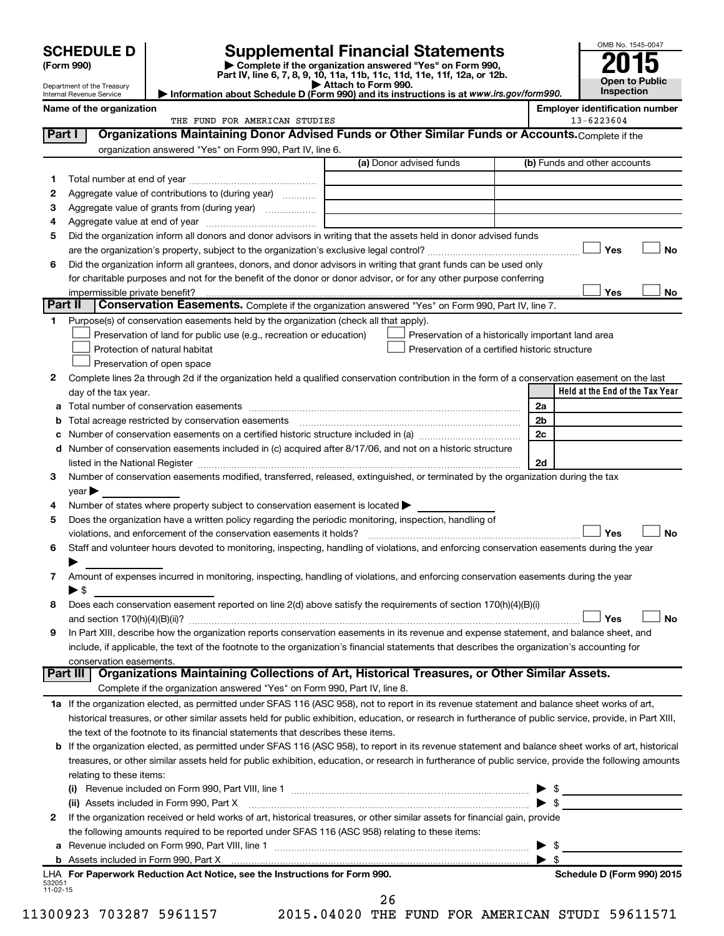|  | <b>SCHEDULE D</b> |  |
|--|-------------------|--|
|  |                   |  |

Department of the Treasury Internal Revenue Service

# **SCHEDULE D Supplemental Financial Statements**<br> **Form 990 2015**<br> **Part IV** line 6.7.8.9.10, 11a, 11b, 11d, 11d, 11d, 11d, 11d, 12a, 0r, 12b

**(Form 990) | Complete if the organization answered "Yes" on Form 990, Part IV, line 6, 7, 8, 9, 10, 11a, 11b, 11c, 11d, 11e, 11f, 12a, or 12b.**

**| Attach to Form 990. | Information about Schedule D (Form 990) and its instructions is at**  *www.irs.gov/form990.*



|                    | Name of the organization<br>THE FUND FOR AMERICAN STUDIES                                                                                                 | <b>Employer identification number</b><br>13-6223604 |
|--------------------|-----------------------------------------------------------------------------------------------------------------------------------------------------------|-----------------------------------------------------|
| <b>Part I</b>      | Organizations Maintaining Donor Advised Funds or Other Similar Funds or Accounts. Complete if the                                                         |                                                     |
|                    | organization answered "Yes" on Form 990, Part IV, line 6.                                                                                                 |                                                     |
|                    | (a) Donor advised funds                                                                                                                                   | (b) Funds and other accounts                        |
|                    |                                                                                                                                                           |                                                     |
| 1.                 |                                                                                                                                                           |                                                     |
| 2                  | Aggregate value of contributions to (during year)                                                                                                         |                                                     |
| з                  | Aggregate value of grants from (during year)                                                                                                              |                                                     |
| 4                  |                                                                                                                                                           |                                                     |
| 5                  | Did the organization inform all donors and donor advisors in writing that the assets held in donor advised funds                                          |                                                     |
|                    |                                                                                                                                                           | Yes<br>No                                           |
| 6                  | Did the organization inform all grantees, donors, and donor advisors in writing that grant funds can be used only                                         |                                                     |
|                    | for charitable purposes and not for the benefit of the donor or donor advisor, or for any other purpose conferring                                        |                                                     |
|                    | impermissible private benefit?                                                                                                                            | Yes<br>No                                           |
| Part II            | Conservation Easements. Complete if the organization answered "Yes" on Form 990, Part IV, line 7.                                                         |                                                     |
| 1.                 | Purpose(s) of conservation easements held by the organization (check all that apply).                                                                     |                                                     |
|                    | Preservation of land for public use (e.g., recreation or education)                                                                                       | Preservation of a historically important land area  |
|                    | Protection of natural habitat                                                                                                                             | Preservation of a certified historic structure      |
|                    | Preservation of open space                                                                                                                                |                                                     |
| 2                  | Complete lines 2a through 2d if the organization held a qualified conservation contribution in the form of a conservation easement on the last            |                                                     |
|                    | day of the tax year.                                                                                                                                      | Held at the End of the Tax Year                     |
| a                  |                                                                                                                                                           | 2a                                                  |
| b                  |                                                                                                                                                           | 2b                                                  |
| с                  |                                                                                                                                                           | 2c                                                  |
| d                  | Number of conservation easements included in (c) acquired after 8/17/06, and not on a historic structure                                                  |                                                     |
|                    |                                                                                                                                                           | 2d                                                  |
| 3                  | Number of conservation easements modified, transferred, released, extinguished, or terminated by the organization during the tax                          |                                                     |
|                    | $year \triangleright$                                                                                                                                     |                                                     |
| 4                  | Number of states where property subject to conservation easement is located >                                                                             |                                                     |
| 5                  | Does the organization have a written policy regarding the periodic monitoring, inspection, handling of                                                    |                                                     |
|                    | violations, and enforcement of the conservation easements it holds?                                                                                       | Yes<br><b>No</b>                                    |
| 6                  | Staff and volunteer hours devoted to monitoring, inspecting, handling of violations, and enforcing conservation easements during the year                 |                                                     |
|                    |                                                                                                                                                           |                                                     |
| 7                  | Amount of expenses incurred in monitoring, inspecting, handling of violations, and enforcing conservation easements during the year                       |                                                     |
|                    | $\blacktriangleright$ \$                                                                                                                                  |                                                     |
| 8                  | Does each conservation easement reported on line 2(d) above satisfy the requirements of section 170(h)(4)(B)(i)                                           |                                                     |
|                    |                                                                                                                                                           | Yes<br>No                                           |
|                    | In Part XIII, describe how the organization reports conservation easements in its revenue and expense statement, and balance sheet, and                   |                                                     |
|                    | include, if applicable, the text of the footnote to the organization's financial statements that describes the organization's accounting for              |                                                     |
|                    | conservation easements.                                                                                                                                   |                                                     |
|                    | Organizations Maintaining Collections of Art, Historical Treasures, or Other Similar Assets.<br>  Part III                                                |                                                     |
|                    | Complete if the organization answered "Yes" on Form 990, Part IV, line 8.                                                                                 |                                                     |
|                    | 1a If the organization elected, as permitted under SFAS 116 (ASC 958), not to report in its revenue statement and balance sheet works of art,             |                                                     |
|                    | historical treasures, or other similar assets held for public exhibition, education, or research in furtherance of public service, provide, in Part XIII, |                                                     |
|                    | the text of the footnote to its financial statements that describes these items.                                                                          |                                                     |
| b                  | If the organization elected, as permitted under SFAS 116 (ASC 958), to report in its revenue statement and balance sheet works of art, historical         |                                                     |
|                    | treasures, or other similar assets held for public exhibition, education, or research in furtherance of public service, provide the following amounts     |                                                     |
|                    | relating to these items:                                                                                                                                  |                                                     |
|                    |                                                                                                                                                           | $\bullet$                                           |
|                    | (ii) Assets included in Form 990, Part X                                                                                                                  | $\triangleright$ \$                                 |
| 2                  | If the organization received or held works of art, historical treasures, or other similar assets for financial gain, provide                              |                                                     |
|                    | the following amounts required to be reported under SFAS 116 (ASC 958) relating to these items:                                                           |                                                     |
| а                  |                                                                                                                                                           | - \$                                                |
|                    |                                                                                                                                                           | $\blacktriangleright$ \$                            |
|                    | LHA For Paperwork Reduction Act Notice, see the Instructions for Form 990.                                                                                | Schedule D (Form 990) 2015                          |
| 532051<br>11-02-15 |                                                                                                                                                           |                                                     |

11300923 703287 5961157 2015.04020 THE FUND FOR AMERICAN STUDI 59611571 26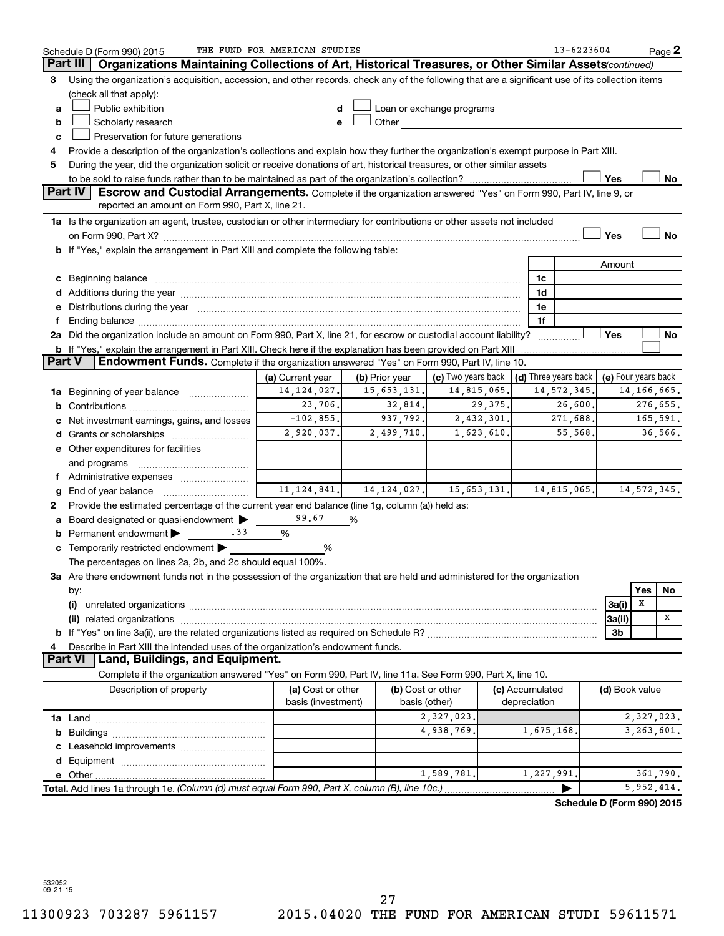|               | Schedule D (Form 990) 2015                                                                                                                                                                                                          | THE FUND FOR AMERICAN STUDIES |                |                                                                             | 13-6223604      |                            |     | Page 2        |
|---------------|-------------------------------------------------------------------------------------------------------------------------------------------------------------------------------------------------------------------------------------|-------------------------------|----------------|-----------------------------------------------------------------------------|-----------------|----------------------------|-----|---------------|
|               | Part III<br>Organizations Maintaining Collections of Art, Historical Treasures, or Other Similar Assets (continued)                                                                                                                 |                               |                |                                                                             |                 |                            |     |               |
| 3             | Using the organization's acquisition, accession, and other records, check any of the following that are a significant use of its collection items                                                                                   |                               |                |                                                                             |                 |                            |     |               |
|               | (check all that apply):                                                                                                                                                                                                             |                               |                |                                                                             |                 |                            |     |               |
| a             | Public exhibition                                                                                                                                                                                                                   |                               |                | Loan or exchange programs                                                   |                 |                            |     |               |
| b             | Scholarly research                                                                                                                                                                                                                  | e                             | Other          |                                                                             |                 |                            |     |               |
| c             | Preservation for future generations                                                                                                                                                                                                 |                               |                |                                                                             |                 |                            |     |               |
| 4             | Provide a description of the organization's collections and explain how they further the organization's exempt purpose in Part XIII.                                                                                                |                               |                |                                                                             |                 |                            |     |               |
| 5             | During the year, did the organization solicit or receive donations of art, historical treasures, or other similar assets                                                                                                            |                               |                |                                                                             |                 |                            |     |               |
|               |                                                                                                                                                                                                                                     |                               |                |                                                                             |                 | Yes                        |     | No            |
|               | Part IV I<br><b>Escrow and Custodial Arrangements.</b> Complete if the organization answered "Yes" on Form 990, Part IV, line 9, or                                                                                                 |                               |                |                                                                             |                 |                            |     |               |
|               | reported an amount on Form 990, Part X, line 21.                                                                                                                                                                                    |                               |                |                                                                             |                 |                            |     |               |
|               | 1a Is the organization an agent, trustee, custodian or other intermediary for contributions or other assets not included                                                                                                            |                               |                |                                                                             |                 |                            |     |               |
|               |                                                                                                                                                                                                                                     |                               |                |                                                                             |                 | Yes                        |     | No            |
|               | b If "Yes," explain the arrangement in Part XIII and complete the following table:                                                                                                                                                  |                               |                |                                                                             |                 |                            |     |               |
|               |                                                                                                                                                                                                                                     |                               |                |                                                                             |                 | Amount                     |     |               |
|               | c Beginning balance <b>communications</b> and a construction of the construction of the construction of the construction of the construction of the construction of the construction of the construction of the construction of the |                               |                |                                                                             | 1c              |                            |     |               |
|               |                                                                                                                                                                                                                                     |                               |                |                                                                             | 1d              |                            |     |               |
|               | e Distributions during the year manufactured and content to the year manufactured and the year manufactured and the year manufactured and the year manufactured and the year manufactured and the year manufactured and the ye      |                               |                |                                                                             | 1e              |                            |     |               |
| f.            |                                                                                                                                                                                                                                     |                               |                |                                                                             | 1f              |                            |     |               |
|               | 2a Did the organization include an amount on Form 990, Part X, line 21, for escrow or custodial account liability?                                                                                                                  |                               |                |                                                                             | .               | Yes                        |     | No            |
|               | <b>b</b> If "Yes," explain the arrangement in Part XIII. Check here if the explanation has been provided on Part XIII                                                                                                               |                               |                |                                                                             |                 |                            |     |               |
| <b>Part V</b> | Endowment Funds. Complete if the organization answered "Yes" on Form 990, Part IV, line 10.                                                                                                                                         |                               |                |                                                                             |                 |                            |     |               |
|               |                                                                                                                                                                                                                                     | (a) Current year              | (b) Prior year | (c) Two years back $\vert$ (d) Three years back $\vert$ (e) Four years back |                 |                            |     |               |
|               | 1a Beginning of year balance                                                                                                                                                                                                        | 14, 124, 027.                 | 15,653,131.    | 14,815,065.                                                                 | 14,572,345.     |                            |     | 14, 166, 665. |
| b             |                                                                                                                                                                                                                                     | 23,706.                       | 32,814.        | 29,375.                                                                     | 26,600.         |                            |     | 276,655.      |
| с             | Net investment earnings, gains, and losses                                                                                                                                                                                          | $-102, 855.$                  | 937,792.       | 2,432,301.                                                                  | 271,688.        |                            |     | 165,591.      |
|               |                                                                                                                                                                                                                                     | 2,920,037.                    | 2,499,710.     | 1,623,610.                                                                  | 55,568.         |                            |     | 36,566.       |
|               | e Other expenditures for facilities                                                                                                                                                                                                 |                               |                |                                                                             |                 |                            |     |               |
|               | and programs                                                                                                                                                                                                                        |                               |                |                                                                             |                 |                            |     |               |
|               |                                                                                                                                                                                                                                     |                               |                |                                                                             |                 |                            |     |               |
| g             |                                                                                                                                                                                                                                     | 11, 124, 841.                 | 14, 124, 027.  | 15,653,131.                                                                 | 14,815,065.     |                            |     | 14, 572, 345. |
| 2             | Provide the estimated percentage of the current year end balance (line 1g, column (a)) held as:                                                                                                                                     |                               |                |                                                                             |                 |                            |     |               |
| а             | Board designated or quasi-endowment                                                                                                                                                                                                 | 99.67                         | %              |                                                                             |                 |                            |     |               |
| b             | Permanent endowment<br>.33                                                                                                                                                                                                          | %                             |                |                                                                             |                 |                            |     |               |
| С             | Temporarily restricted endowment                                                                                                                                                                                                    | %                             |                |                                                                             |                 |                            |     |               |
|               | The percentages on lines 2a, 2b, and 2c should equal 100%.                                                                                                                                                                          |                               |                |                                                                             |                 |                            |     |               |
|               | 3a Are there endowment funds not in the possession of the organization that are held and administered for the organization                                                                                                          |                               |                |                                                                             |                 |                            |     |               |
|               | by:                                                                                                                                                                                                                                 |                               |                |                                                                             |                 |                            | Yes | No            |
|               | (i)                                                                                                                                                                                                                                 |                               |                |                                                                             |                 | 3a(i)                      | X   |               |
|               |                                                                                                                                                                                                                                     |                               |                |                                                                             |                 | 3a(ii)                     |     | x             |
|               |                                                                                                                                                                                                                                     |                               |                |                                                                             |                 | 3b                         |     |               |
| 4             | Describe in Part XIII the intended uses of the organization's endowment funds.                                                                                                                                                      |                               |                |                                                                             |                 |                            |     |               |
|               | Land, Buildings, and Equipment.<br>Part VI                                                                                                                                                                                          |                               |                |                                                                             |                 |                            |     |               |
|               | Complete if the organization answered "Yes" on Form 990, Part IV, line 11a. See Form 990, Part X, line 10.                                                                                                                          |                               |                |                                                                             |                 |                            |     |               |
|               | Description of property                                                                                                                                                                                                             | (a) Cost or other             |                | (b) Cost or other                                                           | (c) Accumulated | (d) Book value             |     |               |
|               |                                                                                                                                                                                                                                     | basis (investment)            |                | basis (other)                                                               | depreciation    |                            |     |               |
|               |                                                                                                                                                                                                                                     |                               |                | 2,327,023.                                                                  |                 |                            |     | 2,327,023.    |
| b             |                                                                                                                                                                                                                                     |                               |                | 4,938,769.                                                                  | 1,675,168       |                            |     | 3,263,601.    |
|               |                                                                                                                                                                                                                                     |                               |                |                                                                             |                 |                            |     |               |
|               |                                                                                                                                                                                                                                     |                               |                |                                                                             |                 |                            |     |               |
|               |                                                                                                                                                                                                                                     |                               |                | 1,589,781.                                                                  | 1,227,991       |                            |     | 361,790.      |
|               | Total. Add lines 1a through 1e. (Column (d) must equal Form 990, Part X, column (B), line 10c.)                                                                                                                                     |                               |                |                                                                             |                 |                            |     | 5,952,414.    |
|               |                                                                                                                                                                                                                                     |                               |                |                                                                             |                 | Schedule D (Form 990) 2015 |     |               |

532052 09-21-15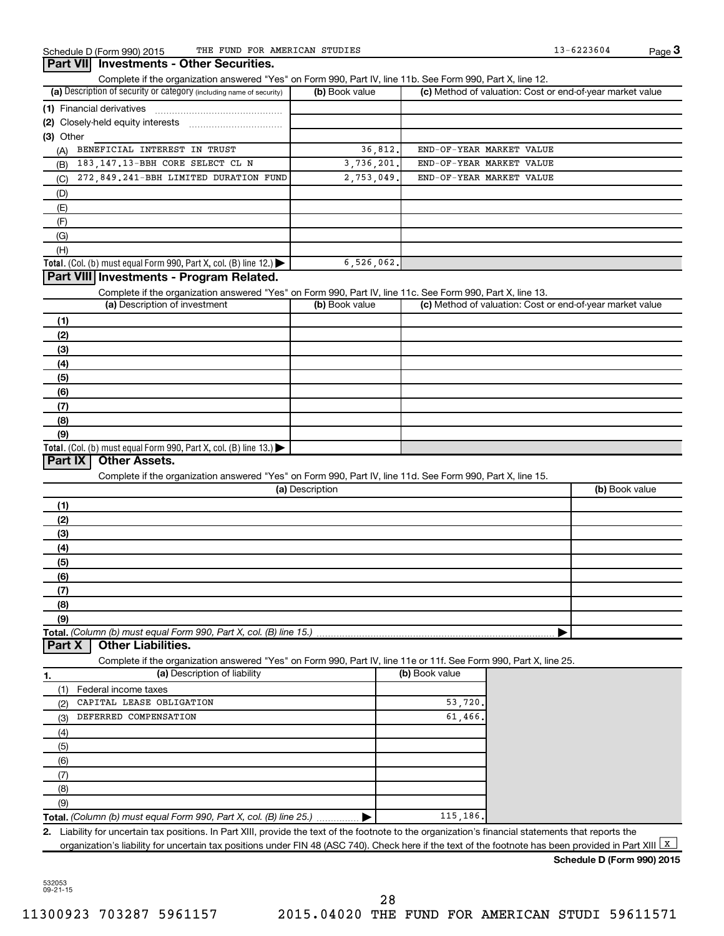**Part VII Investments - Other Securities.**

Complete if the organization answered "Yes" on Form 990, Part IV, line 11b. See Form 990, Part X, line 12.

| (a) Description of security or category (including name of security)       | (c) Method of valuation: Cost or end-of-year market value |                          |
|----------------------------------------------------------------------------|-----------------------------------------------------------|--------------------------|
| (1) Financial derivatives                                                  |                                                           |                          |
| (2) Closely-held equity interests                                          |                                                           |                          |
| $(3)$ Other                                                                |                                                           |                          |
| BENEFICIAL INTEREST IN TRUST<br>(A)                                        | 36,812.                                                   | END-OF-YEAR MARKET VALUE |
| 183.147.13-BBH CORE SELECT CL N<br>(B)                                     | 3,736,201.                                                | END-OF-YEAR MARKET VALUE |
| 272 849.241-BBH LIMITED DURATION FUND<br>(C)                               | 2,753,049.                                                | END-OF-YEAR MARKET VALUE |
| (D)                                                                        |                                                           |                          |
| (E)                                                                        |                                                           |                          |
| (F)                                                                        |                                                           |                          |
| $\mathcal{G}$                                                              |                                                           |                          |
| (H)                                                                        |                                                           |                          |
| <b>Total.</b> (Col. (b) must equal Form 990, Part X, col. (B) line $12$ .) | 6, 526, 062.                                              |                          |

#### **Part VIII Investments - Program Related.**

Complete if the organization answered "Yes" on Form 990, Part IV, line 11c. See Form 990, Part X, line 13.

| (a) Description of investment                                       | (b) Book value | (c) Method of valuation: Cost or end-of-year market value |
|---------------------------------------------------------------------|----------------|-----------------------------------------------------------|
| (1)                                                                 |                |                                                           |
| (2)                                                                 |                |                                                           |
| (3)                                                                 |                |                                                           |
| (4)                                                                 |                |                                                           |
| (5)                                                                 |                |                                                           |
| (6)                                                                 |                |                                                           |
| (7)                                                                 |                |                                                           |
| (8)                                                                 |                |                                                           |
| (9)                                                                 |                |                                                           |
| Total. (Col. (b) must equal Form 990, Part X, col. (B) line $13.$ ) |                |                                                           |

#### **Part IX Other Assets.**

Complete if the organization answered "Yes" on Form 990, Part IV, line 11d. See Form 990, Part X, line 15.

| (a) Description  | (b) Book value |
|------------------|----------------|
| (1)              |                |
| (2)              |                |
| $\left(3\right)$ |                |
| (4)              |                |
| $\frac{1}{1}$    |                |
| (6)              |                |
| (7)              |                |
| (8)              |                |
| (9)              |                |
|                  |                |

#### **Part X Other Liabilities.**

Complete if the organization answered "Yes" on Form 990, Part IV, line 11e or 11f. See Form 990, Part X, line 25.

| 1.  | (a) Description of liability                                       | (b) Book value |
|-----|--------------------------------------------------------------------|----------------|
|     | Federal income taxes                                               |                |
| (2) | CAPITAL LEASE OBLIGATION                                           | 53,720.        |
| (3) | DEFERRED COMPENSATION                                              | 61,466.        |
| (4) |                                                                    |                |
| (5) |                                                                    |                |
| (6) |                                                                    |                |
|     |                                                                    |                |
| (8) |                                                                    |                |
| (9) |                                                                    |                |
|     | Total. (Column (b) must equal Form 990, Part X, col. (B) line 25.) | 115,186.       |

**2.** Liability for uncertain tax positions. In Part XIII, provide the text of the footnote to the organization's financial statements that reports the organization's liability for uncertain tax positions under FIN 48 (ASC 740). Check here if the text of the footnote has been provided in Part XIII  $\boxed{\mathrm{x}}$ 

#### **Schedule D (Form 990) 2015**

532053 09-21-15

**3**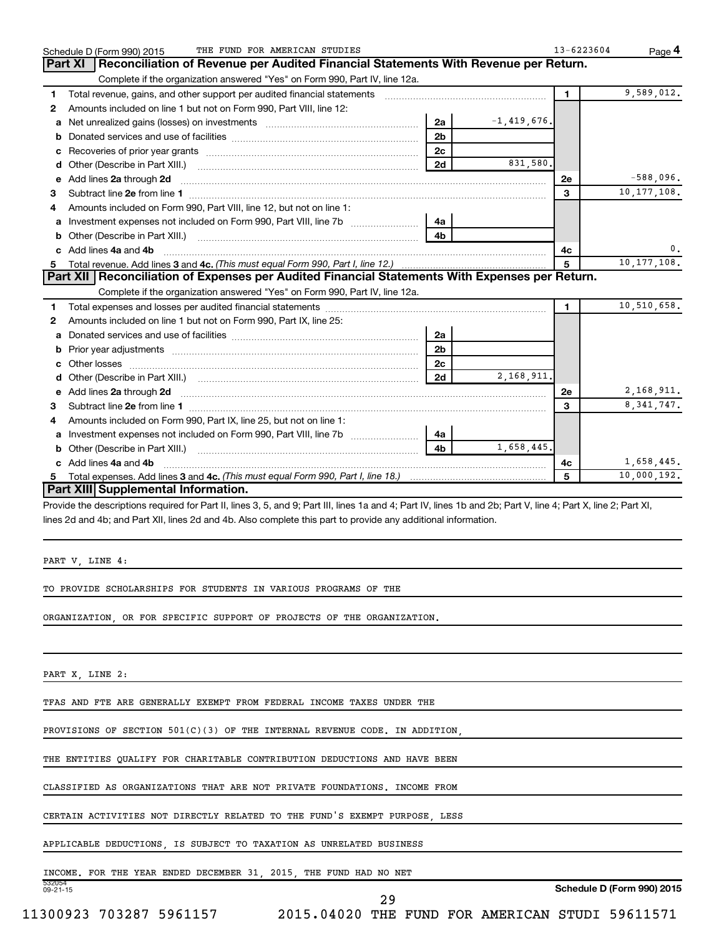|   | THE FUND FOR AMERICAN STUDIES<br>Schedule D (Form 990) 2015                                                                                                                                                                        | 13-6223604   | Page 4        |
|---|------------------------------------------------------------------------------------------------------------------------------------------------------------------------------------------------------------------------------------|--------------|---------------|
|   | <b>Part XI</b><br>Reconciliation of Revenue per Audited Financial Statements With Revenue per Return.                                                                                                                              |              |               |
|   | Complete if the organization answered "Yes" on Form 990, Part IV, line 12a.                                                                                                                                                        |              |               |
| 1 | Total revenue, gains, and other support per audited financial statements                                                                                                                                                           | $\mathbf{1}$ | 9,589,012.    |
| 2 | Amounts included on line 1 but not on Form 990, Part VIII, line 12:                                                                                                                                                                |              |               |
|   | 2a<br>$-1,419,676.$<br>a Net unrealized gains (losses) on investments [11] [12] Net unrealized gains (losses) on investments [11] [12                                                                                              |              |               |
| b | 2 <sub>b</sub>                                                                                                                                                                                                                     |              |               |
|   | 2c                                                                                                                                                                                                                                 |              |               |
| d | 831,580.<br>2d                                                                                                                                                                                                                     |              |               |
| e | Add lines 2a through 2d                                                                                                                                                                                                            | 2e           | $-588,096.$   |
| 3 |                                                                                                                                                                                                                                    | 3            | 10, 177, 108. |
| 4 | Amounts included on Form 990, Part VIII, line 12, but not on line 1:                                                                                                                                                               |              |               |
|   | a Investment expenses not included on Form 990, Part VIII, line 7b [11, 11, 11, 11, 11]<br>4а                                                                                                                                      |              |               |
|   | 4b                                                                                                                                                                                                                                 |              |               |
|   | c Add lines 4a and 4b                                                                                                                                                                                                              | 4с           | 0.            |
| 5 |                                                                                                                                                                                                                                    | 5            | 10, 177, 108. |
|   | Part XII   Reconciliation of Expenses per Audited Financial Statements With Expenses per Return.                                                                                                                                   |              |               |
|   | Complete if the organization answered "Yes" on Form 990, Part IV, line 12a.                                                                                                                                                        |              |               |
| 1 |                                                                                                                                                                                                                                    | $\mathbf{1}$ | 10,510,658.   |
| 2 | Amounts included on line 1 but not on Form 990, Part IX, line 25:                                                                                                                                                                  |              |               |
| a | 2a                                                                                                                                                                                                                                 |              |               |
| b | 2 <sub>b</sub>                                                                                                                                                                                                                     |              |               |
|   | 2 <sub>c</sub>                                                                                                                                                                                                                     |              |               |
| d | 2,168,911.<br>2d                                                                                                                                                                                                                   |              |               |
|   | e Add lines 2a through 2d <b>contained a control and a control and a</b> control and a control and a control and a control and a control and a control and a control and a control and a control and a control and a control and a | <b>2e</b>    | 2,168,911.    |
| 3 |                                                                                                                                                                                                                                    | 3            | 8, 341, 747.  |
| 4 | Amounts included on Form 990, Part IX, line 25, but not on line 1:                                                                                                                                                                 |              |               |
|   | a Investment expenses not included on Form 990, Part VIII, line 7b [11, 11, 11, 11, 11]<br>4a                                                                                                                                      |              |               |
|   | 1,658,445.<br>4 <sub>b</sub>                                                                                                                                                                                                       |              |               |
|   | c Add lines 4a and 4b                                                                                                                                                                                                              | 4c           | 1,658,445.    |
| 5 |                                                                                                                                                                                                                                    | 5            | 10,000,192.   |
|   | Part XIII Supplemental Information.                                                                                                                                                                                                |              |               |
|   | Provide the descriptions required for Part II, lines 3, 5, and 9; Part III, lines 1a and 4; Part IV, lines 1b and 2b; Part V, line 4; Part X, line 2; Part XI,                                                                     |              |               |

lines 2d and 4b; and Part XII, lines 2d and 4b. Also complete this part to provide any additional information.

PART V, LINE 4:

TO PROVIDE SCHOLARSHIPS FOR STUDENTS IN VARIOUS PROGRAMS OF THE

ORGANIZATION, OR FOR SPECIFIC SUPPORT OF PROJECTS OF THE ORGANIZATION.

PART X, LINE 2:

TFAS AND FTE ARE GENERALLY EXEMPT FROM FEDERAL INCOME TAXES UNDER THE

PROVISIONS OF SECTION 501(C)(3) OF THE INTERNAL REVENUE CODE. IN ADDITION,

THE ENTITIES QUALIFY FOR CHARITABLE CONTRIBUTION DEDUCTIONS AND HAVE BEEN

CLASSIFIED AS ORGANIZATIONS THAT ARE NOT PRIVATE FOUNDATIONS. INCOME FROM

CERTAIN ACTIVITIES NOT DIRECTLY RELATED TO THE FUND'S EXEMPT PURPOSE, LESS

APPLICABLE DEDUCTIONS, IS SUBJECT TO TAXATION AS UNRELATED BUSINESS

532054 09-21-15 INCOME. FOR THE YEAR ENDED DECEMBER 31, 2015, THE FUND HAD NO NET

**Schedule D (Form 990) 2015**

11300923 703287 5961157 2015.04020 THE FUND FOR AMERICAN STUDI 59611571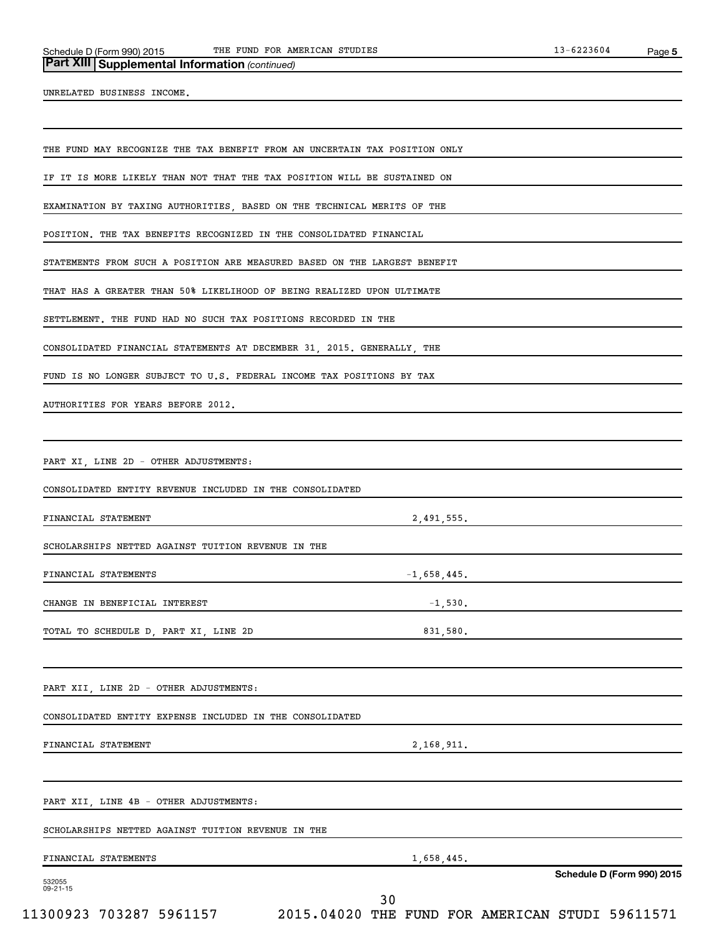#### *(continued)* **Part XIII Supplemental Information**

UNRELATED BUSINESS INCOME.

| THE FUND MAY RECOGNIZE THE TAX BENEFIT FROM AN UNCERTAIN TAX POSITION ONLY |    |                |            |            |                            |
|----------------------------------------------------------------------------|----|----------------|------------|------------|----------------------------|
| IF IT IS MORE LIKELY THAN NOT THAT THE TAX POSITION WILL BE SUSTAINED ON   |    |                |            |            |                            |
| EXAMINATION BY TAXING AUTHORITIES, BASED ON THE TECHNICAL MERITS OF THE    |    |                |            |            |                            |
| POSITION. THE TAX BENEFITS RECOGNIZED IN THE CONSOLIDATED FINANCIAL        |    |                |            |            |                            |
| STATEMENTS FROM SUCH A POSITION ARE MEASURED BASED ON THE LARGEST BENEFIT  |    |                |            |            |                            |
| THAT HAS A GREATER THAN 50% LIKELIHOOD OF BEING REALIZED UPON ULTIMATE     |    |                |            |            |                            |
| SETTLEMENT. THE FUND HAD NO SUCH TAX POSITIONS RECORDED IN THE             |    |                |            |            |                            |
| CONSOLIDATED FINANCIAL STATEMENTS AT DECEMBER 31, 2015. GENERALLY, THE     |    |                |            |            |                            |
| FUND IS NO LONGER SUBJECT TO U.S. FEDERAL INCOME TAX POSITIONS BY TAX      |    |                |            |            |                            |
| AUTHORITIES FOR YEARS BEFORE 2012.                                         |    |                |            |            |                            |
| PART XI, LINE 2D - OTHER ADJUSTMENTS:                                      |    |                |            |            |                            |
| CONSOLIDATED ENTITY REVENUE INCLUDED IN THE CONSOLIDATED                   |    |                |            |            |                            |
| FINANCIAL STATEMENT                                                        |    | 2,491,555.     |            |            |                            |
| SCHOLARSHIPS NETTED AGAINST TUITION REVENUE IN THE                         |    |                |            |            |                            |
| FINANCIAL STATEMENTS                                                       |    | $-1,658,445$ . |            |            |                            |
| CHANGE IN BENEFICIAL INTEREST                                              |    |                | $-1,530$ . |            |                            |
| TOTAL TO SCHEDULE D, PART XI, LINE 2D                                      |    |                | 831,580.   |            |                            |
| PART XII, LINE 2D - OTHER ADJUSTMENTS:                                     |    |                |            |            |                            |
| CONSOLIDATED ENTITY EXPENSE INCLUDED IN THE CONSOLIDATED                   |    |                |            |            |                            |
| FINANCIAL STATEMENT                                                        |    |                |            | 2,168,911. |                            |
| PART XII, LINE 4B - OTHER ADJUSTMENTS:                                     |    |                |            |            |                            |
| SCHOLARSHIPS NETTED AGAINST TUITION REVENUE IN THE                         |    |                |            |            |                            |
| FINANCIAL STATEMENTS                                                       |    | 1,658,445.     |            |            |                            |
| 532055<br>$09 - 21 - 15$                                                   |    |                |            |            | Schedule D (Form 990) 2015 |
| 11300923 703287 5961157 2015.04020 THE FUND FOR AMERICAN STUDI 59611571    | 30 |                |            |            |                            |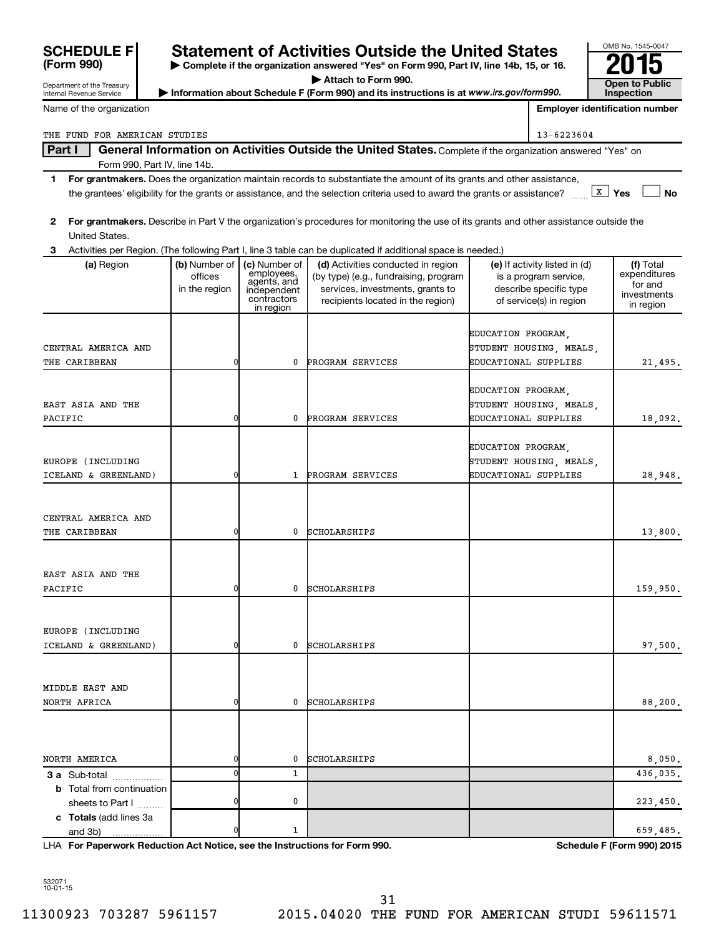| Department of the Treasury<br>Internal Revenue Service |                                           |                                                                                       | P Allach lo Form 990.<br>Information about Schedule F (Form 990) and its instructions is at www.irs.gov/form990.                                                                                                                                     |                      |                                                                                                             | <b>Open to Public</b><br>Inspection                              |
|--------------------------------------------------------|-------------------------------------------|---------------------------------------------------------------------------------------|------------------------------------------------------------------------------------------------------------------------------------------------------------------------------------------------------------------------------------------------------|----------------------|-------------------------------------------------------------------------------------------------------------|------------------------------------------------------------------|
| Name of the organization                               |                                           |                                                                                       |                                                                                                                                                                                                                                                      |                      |                                                                                                             | <b>Employer identification number</b>                            |
| THE FUND FOR AMERICAN STUDIES                          |                                           |                                                                                       |                                                                                                                                                                                                                                                      |                      | 13-6223604                                                                                                  |                                                                  |
| Part I                                                 |                                           |                                                                                       | General Information on Activities Outside the United States. Complete if the organization answered "Yes" on                                                                                                                                          |                      |                                                                                                             |                                                                  |
| Form 990, Part IV, line 14b.                           |                                           |                                                                                       |                                                                                                                                                                                                                                                      |                      |                                                                                                             |                                                                  |
| 1.                                                     |                                           |                                                                                       | For grantmakers. Does the organization maintain records to substantiate the amount of its grants and other assistance,<br>the grantees' eligibility for the grants or assistance, and the selection criteria used to award the grants or assistance? |                      |                                                                                                             | $\sqrt{X}$ Yes<br><b>No</b>                                      |
| $\mathbf{2}$<br>United States.                         |                                           |                                                                                       | For grantmakers. Describe in Part V the organization's procedures for monitoring the use of its grants and other assistance outside the                                                                                                              |                      |                                                                                                             |                                                                  |
| 3                                                      |                                           |                                                                                       | Activities per Region. (The following Part I, line 3 table can be duplicated if additional space is needed.)                                                                                                                                         |                      |                                                                                                             |                                                                  |
| (a) Region                                             | (b) Number of<br>offices<br>in the region | (c) Number of<br>employees,<br>agents, and<br>independent<br>contractors<br>in region | (d) Activities conducted in region<br>(by type) (e.g., fundraising, program<br>services, investments, grants to<br>recipients located in the region)                                                                                                 |                      | (e) If activity listed in (d)<br>is a program service,<br>describe specific type<br>of service(s) in region | (f) Total<br>expenditures<br>for and<br>investments<br>in region |
| CENTRAL AMERICA AND                                    |                                           |                                                                                       |                                                                                                                                                                                                                                                      | EDUCATION PROGRAM,   | STUDENT HOUSING, MEALS,                                                                                     |                                                                  |
| THE CARIBBEAN                                          | 0                                         | 0                                                                                     | PROGRAM SERVICES                                                                                                                                                                                                                                     | EDUCATIONAL SUPPLIES |                                                                                                             | 21,495.                                                          |
| EAST ASIA AND THE                                      |                                           |                                                                                       |                                                                                                                                                                                                                                                      | EDUCATION PROGRAM,   | STUDENT HOUSING, MEALS,                                                                                     |                                                                  |
| PACIFIC                                                | 0                                         | 0                                                                                     | PROGRAM SERVICES                                                                                                                                                                                                                                     | EDUCATIONAL SUPPLIES |                                                                                                             | 18,092.                                                          |
| EUROPE (INCLUDING                                      |                                           |                                                                                       |                                                                                                                                                                                                                                                      | EDUCATION PROGRAM,   | STUDENT HOUSING, MEALS,                                                                                     |                                                                  |
| ICELAND & GREENLAND)                                   | 0                                         | $\mathbf{1}$                                                                          | PROGRAM SERVICES                                                                                                                                                                                                                                     | EDUCATIONAL SUPPLIES |                                                                                                             | 28,948.                                                          |
| CENTRAL AMERICA AND<br>THE CARIBBEAN                   | 0                                         | 0                                                                                     | SCHOLARSHIPS                                                                                                                                                                                                                                         |                      |                                                                                                             | 13,800.                                                          |
| EAST ASIA AND THE<br>PACIFIC                           | 0                                         | 0                                                                                     | SCHOLARSHIPS                                                                                                                                                                                                                                         |                      |                                                                                                             | 159,950.                                                         |
| EUROPE (INCLUDING<br>ICELAND & GREENLAND)              | 0                                         | 0                                                                                     | SCHOLARSHIPS                                                                                                                                                                                                                                         |                      |                                                                                                             | 97,500.                                                          |
| MIDDLE EAST AND<br>NORTH AFRICA                        | 0                                         | 0                                                                                     | SCHOLARSHIPS                                                                                                                                                                                                                                         |                      |                                                                                                             | 88,200.                                                          |
|                                                        |                                           |                                                                                       |                                                                                                                                                                                                                                                      |                      |                                                                                                             |                                                                  |
| NORTH AMERICA                                          |                                           | 0                                                                                     | SCHOLARSHIPS                                                                                                                                                                                                                                         |                      |                                                                                                             | 8,050.                                                           |
| <b>3 a</b> Sub-total                                   | $\Omega$                                  | $\mathbf{1}$                                                                          |                                                                                                                                                                                                                                                      |                      |                                                                                                             | 436,035.                                                         |
| <b>b</b> Total from continuation<br>sheets to Part I   |                                           | 0                                                                                     |                                                                                                                                                                                                                                                      |                      |                                                                                                             | 223, 450.                                                        |
| c Totals (add lines 3a<br>and 3b)                      | 0                                         | 1                                                                                     |                                                                                                                                                                                                                                                      |                      |                                                                                                             | 659,485.                                                         |

**| Complete if the organization answered "Yes" on Form 990, Part IV, line 14b, 15, or 16. | Attach to Form 990.**

Statement of Activities Outside the United States<br>  $\triangleright$  Complete if the organization answered "Yes" on Form 990, Part IV, line 14b, 15, or 16.<br>  $\triangleright$  Attach to Form 990.

**For Paperwork Reduction Act Notice, see the Instructions for Form 990. Schedule F (Form 990) 2015** LHA

OMB No. 1545-0047

532071 10-01-15

**(Form 990)**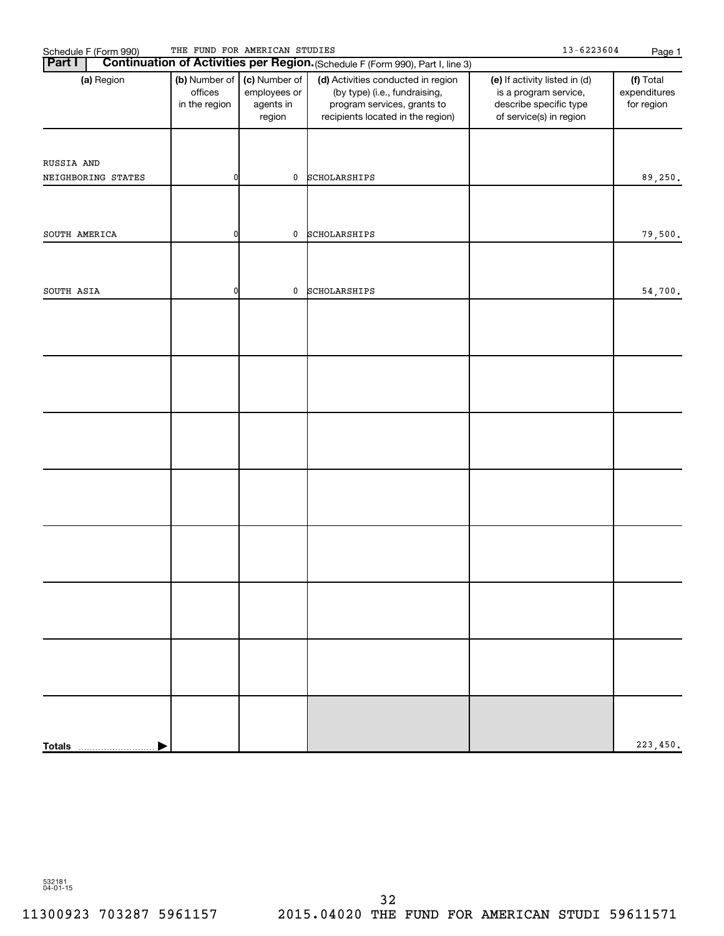| Schedule F (Form 990)<br><b>Part I</b> | THE FUND FOR AMERICAN STUDIES             |                                                      | Continuation of Activities per Region. (Schedule F (Form 990), Part I, line 3)                                                          | $13 - 6223604$                                                                                              | Page 1                                  |
|----------------------------------------|-------------------------------------------|------------------------------------------------------|-----------------------------------------------------------------------------------------------------------------------------------------|-------------------------------------------------------------------------------------------------------------|-----------------------------------------|
| (a) Region                             | (b) Number of<br>offices<br>in the region | (c) Number of<br>employees or<br>agents in<br>region | (d) Activities conducted in region<br>(by type) (i.e., fundraising,<br>program services, grants to<br>recipients located in the region) | (e) If activity listed in (d)<br>is a program service,<br>describe specific type<br>of service(s) in region | (f) Total<br>expenditures<br>for region |
|                                        |                                           |                                                      |                                                                                                                                         |                                                                                                             |                                         |
| RUSSIA AND<br>NEIGHBORING STATES       | 0                                         | 0                                                    | SCHOLARSHIPS                                                                                                                            |                                                                                                             | 89,250.                                 |
|                                        |                                           |                                                      |                                                                                                                                         |                                                                                                             |                                         |
|                                        | $\overline{0}$                            | 0                                                    |                                                                                                                                         |                                                                                                             |                                         |
| SOUTH AMERICA                          |                                           |                                                      | SCHOLARSHIPS                                                                                                                            |                                                                                                             | 79,500.                                 |
|                                        |                                           |                                                      |                                                                                                                                         |                                                                                                             |                                         |
| SOUTH ASIA                             | 0                                         | 0                                                    | SCHOLARSHIPS                                                                                                                            |                                                                                                             | 54,700.                                 |
|                                        |                                           |                                                      |                                                                                                                                         |                                                                                                             |                                         |
|                                        |                                           |                                                      |                                                                                                                                         |                                                                                                             |                                         |
|                                        |                                           |                                                      |                                                                                                                                         |                                                                                                             |                                         |
|                                        |                                           |                                                      |                                                                                                                                         |                                                                                                             |                                         |
|                                        |                                           |                                                      |                                                                                                                                         |                                                                                                             |                                         |
|                                        |                                           |                                                      |                                                                                                                                         |                                                                                                             |                                         |
|                                        |                                           |                                                      |                                                                                                                                         |                                                                                                             |                                         |
|                                        |                                           |                                                      |                                                                                                                                         |                                                                                                             |                                         |
|                                        |                                           |                                                      |                                                                                                                                         |                                                                                                             |                                         |
|                                        |                                           |                                                      |                                                                                                                                         |                                                                                                             |                                         |
|                                        |                                           |                                                      |                                                                                                                                         |                                                                                                             |                                         |
|                                        |                                           |                                                      |                                                                                                                                         |                                                                                                             |                                         |
|                                        |                                           |                                                      |                                                                                                                                         |                                                                                                             |                                         |
|                                        |                                           |                                                      |                                                                                                                                         |                                                                                                             |                                         |
|                                        |                                           |                                                      |                                                                                                                                         |                                                                                                             |                                         |
|                                        |                                           |                                                      |                                                                                                                                         |                                                                                                             |                                         |
|                                        |                                           |                                                      |                                                                                                                                         |                                                                                                             |                                         |
|                                        |                                           |                                                      |                                                                                                                                         |                                                                                                             |                                         |
| <b>Totals</b>                          |                                           |                                                      |                                                                                                                                         |                                                                                                             | 223,450.                                |

532181 04-01-15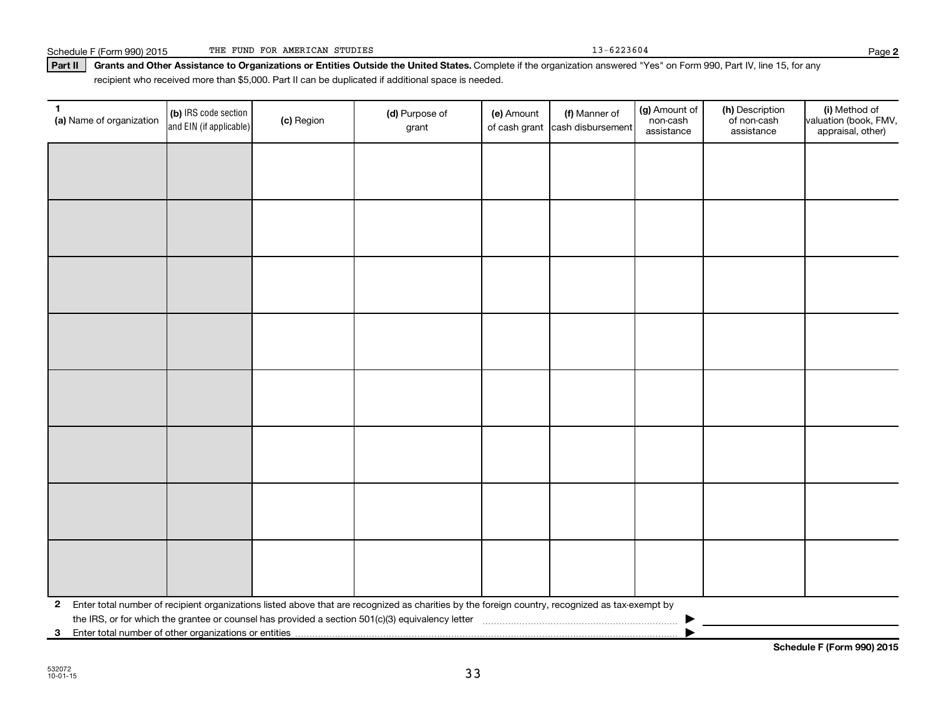Schedule F (Form 990) 2015 THE FUND FOR AMERICAN STUDIES 13-6223604 THE FUND FOR AMERICAN STUDIES

Part II | Grants and Other Assistance to Organizations or Entities Outside the United States. Complete if the organization answered "Yes" on Form 990, Part IV, line 15, for any recipient who received more than \$5,000. Part II can be duplicated if additional space is needed.

| $\mathbf{1}$<br>(a) Name of organization | (b) IRS code section<br>and EIN (if applicable)       | (c) Region | (d) Purpose of<br>grant                                                                                                                         | (e) Amount | (f) Manner of<br>of cash grant cash disbursement | (g) Amount of<br>non-cash<br>assistance | (h) Description<br>of non-cash<br>assistance | (i) Method of<br>valuation (book, FMV,<br>appraisal, other) |  |
|------------------------------------------|-------------------------------------------------------|------------|-------------------------------------------------------------------------------------------------------------------------------------------------|------------|--------------------------------------------------|-----------------------------------------|----------------------------------------------|-------------------------------------------------------------|--|
|                                          |                                                       |            |                                                                                                                                                 |            |                                                  |                                         |                                              |                                                             |  |
|                                          |                                                       |            |                                                                                                                                                 |            |                                                  |                                         |                                              |                                                             |  |
|                                          |                                                       |            |                                                                                                                                                 |            |                                                  |                                         |                                              |                                                             |  |
|                                          |                                                       |            |                                                                                                                                                 |            |                                                  |                                         |                                              |                                                             |  |
|                                          |                                                       |            |                                                                                                                                                 |            |                                                  |                                         |                                              |                                                             |  |
|                                          |                                                       |            |                                                                                                                                                 |            |                                                  |                                         |                                              |                                                             |  |
|                                          |                                                       |            |                                                                                                                                                 |            |                                                  |                                         |                                              |                                                             |  |
|                                          |                                                       |            |                                                                                                                                                 |            |                                                  |                                         |                                              |                                                             |  |
|                                          |                                                       |            |                                                                                                                                                 |            |                                                  |                                         |                                              |                                                             |  |
|                                          |                                                       |            |                                                                                                                                                 |            |                                                  |                                         |                                              |                                                             |  |
|                                          |                                                       |            |                                                                                                                                                 |            |                                                  |                                         |                                              |                                                             |  |
|                                          |                                                       |            |                                                                                                                                                 |            |                                                  |                                         |                                              |                                                             |  |
|                                          |                                                       |            |                                                                                                                                                 |            |                                                  |                                         |                                              |                                                             |  |
|                                          |                                                       |            |                                                                                                                                                 |            |                                                  |                                         |                                              |                                                             |  |
|                                          |                                                       |            |                                                                                                                                                 |            |                                                  |                                         |                                              |                                                             |  |
|                                          |                                                       |            |                                                                                                                                                 |            |                                                  |                                         |                                              |                                                             |  |
| $\mathbf{2}$                             |                                                       |            | Enter total number of recipient organizations listed above that are recognized as charities by the foreign country, recognized as tax-exempt by |            |                                                  |                                         |                                              |                                                             |  |
| $3^{\circ}$                              | Enter total number of other organizations or entities |            |                                                                                                                                                 |            |                                                  |                                         |                                              |                                                             |  |

**Schedule F (Form 990) 2015**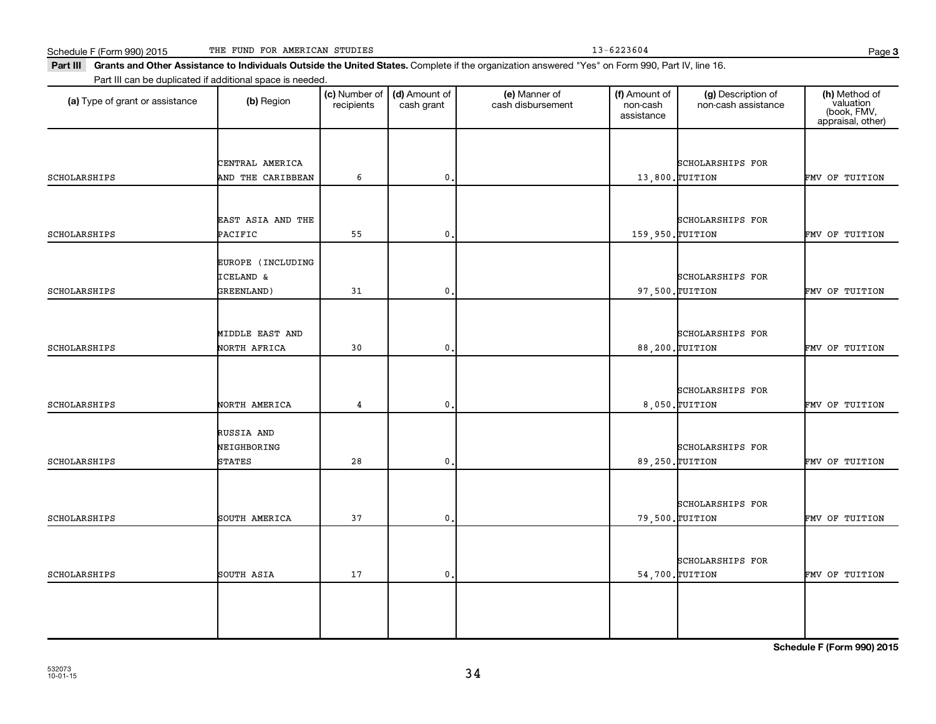**3**

(h) Method of valuation (book, FMV, appraisal, other)

Part III Grants and Other Assistance to Individuals Outside the United States. Complete if the organization answered "Yes" on Form 990, Part IV, line 16. (a) Type of grant or assistance (b) Region (b) Region (c) Number of (d) Amount of (e) Manner of (f) Amount of (f)<br>Region (cash grant cash dishursement pop-cash non-cash assistance v Schedule F (Form 990) 2015 THE FUND FOR AMERICAN STUDIES 223604 13-6223604 Page Part III can be duplicated if additional space is needed. (c) Number of recipients (d) Amount of cash grant (e) Manner of cash disbursement (f) Amount of non-cash assistance (g) Description of non-cash assistance CENTRAL AMERICA | SCHOLARSHIPS FOR SCHOLARSHIPS FOR SCHOLARSHIPS FOR SCHOLARSHIPS FOR SCHOLARSHIPS AND THE CARIBBEAN 6 0. 13,800.TUITION FMV OF TUITION EAST ASIA AND THE SCHOLARSHIPS FOR SCHOLARSHIPS FOR SCHOLARSHIPS PACIFIC 55 0. 159,950.TUITION FMV OF TUITION EUROPE (INCLUDING ICELAND & SCHOLARSHIPS FOR SCHOLARSHIPS GREENLAND) 31 0. 97,500.TUITION FMV OF TUITION

|              | MIDDLE EAST AND |    |   |                 | SCHOLARSHIPS FOR |                |
|--------------|-----------------|----|---|-----------------|------------------|----------------|
| SCHOLARSHIPS | NORTH AFRICA    | 30 | 0 |                 | 88,200. TUITION  | FMV OF TUITION |
|              |                 |    |   |                 |                  |                |
|              |                 |    |   |                 |                  |                |
|              |                 |    |   |                 | SCHOLARSHIPS FOR |                |
| SCHOLARSHIPS | NORTH AMERICA   | 4  | 0 |                 | 8,050. TUITION   | FMV OF TUITION |
|              |                 |    |   |                 |                  |                |
|              | RUSSIA AND      |    |   |                 |                  |                |
|              | NEIGHBORING     |    |   |                 | SCHOLARSHIPS FOR |                |
| SCHOLARSHIPS | <b>STATES</b>   | 28 | 0 | 89,250. TUITION |                  | FMV OF TUITION |
|              |                 |    |   |                 |                  |                |
|              |                 |    |   |                 |                  |                |
|              |                 |    |   |                 | SCHOLARSHIPS FOR |                |
| SCHOLARSHIPS | SOUTH AMERICA   | 37 | 0 | 79,500. TUITION |                  | FMV OF TUITION |
|              |                 |    |   |                 |                  |                |
|              |                 |    |   |                 |                  |                |
|              |                 |    |   |                 | SCHOLARSHIPS FOR |                |
| SCHOLARSHIPS | SOUTH ASIA      | 17 | 0 |                 | 54,700. TUITION  | FMV OF TUITION |
|              |                 |    |   |                 |                  |                |
|              |                 |    |   |                 |                  |                |
|              |                 |    |   |                 |                  |                |
|              |                 |    |   |                 |                  |                |

**Schedule F (Form 990) 2015**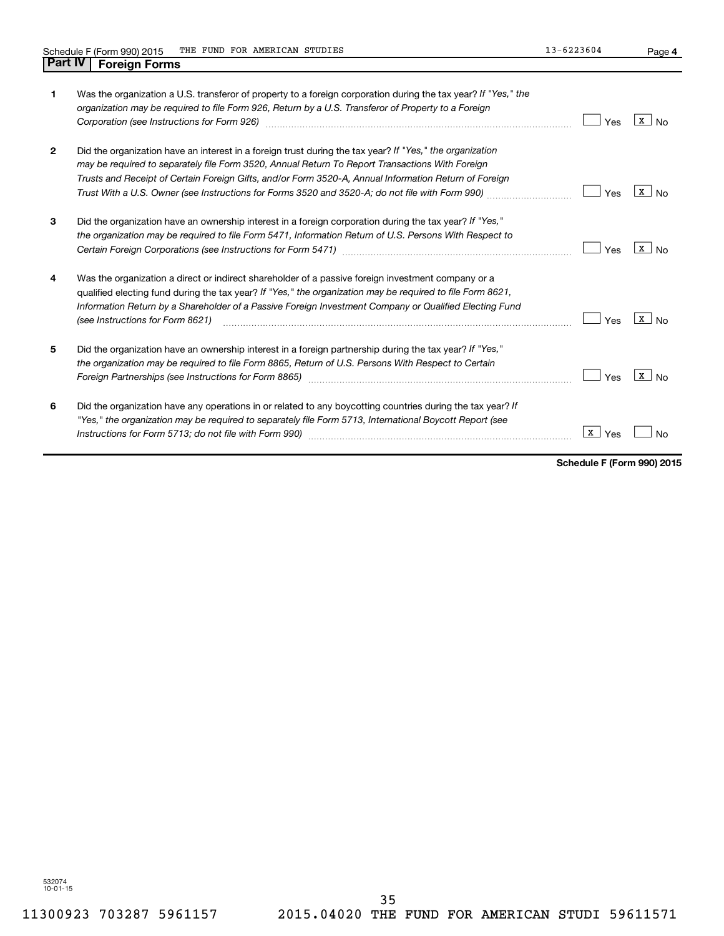|--|

|                | Was the organization a U.S. transferor of property to a foreign corporation during the tax year? If "Yes," the<br>organization may be required to file Form 926, Return by a U.S. Transferor of Property to a Foreign<br>Corporation (see Instructions for Form 926)                                                                                                                                                    | Yes      | $X \mid N_0$          |
|----------------|-------------------------------------------------------------------------------------------------------------------------------------------------------------------------------------------------------------------------------------------------------------------------------------------------------------------------------------------------------------------------------------------------------------------------|----------|-----------------------|
| $\overline{2}$ | Did the organization have an interest in a foreign trust during the tax year? If "Yes," the organization<br>may be required to separately file Form 3520, Annual Return To Report Transactions With Foreign<br>Trusts and Receipt of Certain Foreign Gifts, and/or Form 3520-A, Annual Information Return of Foreign<br>Trust With a U.S. Owner (see Instructions for Forms 3520 and 3520-A; do not file with Form 990) | Yes      | x l<br>N <sub>0</sub> |
| 3              | Did the organization have an ownership interest in a foreign corporation during the tax year? If "Yes,"<br>the organization may be required to file Form 5471, Information Return of U.S. Persons With Respect to                                                                                                                                                                                                       | Yes      | x l<br>No.            |
| 4              | Was the organization a direct or indirect shareholder of a passive foreign investment company or a<br>qualified electing fund during the tax year? If "Yes," the organization may be required to file Form 8621,<br>Information Return by a Shareholder of a Passive Foreign Investment Company or Qualified Electing Fund<br>(see Instructions for Form 8621)                                                          | Yes      | $X \mid N_{\Omega}$   |
| 5              | Did the organization have an ownership interest in a foreign partnership during the tax year? If "Yes,"<br>the organization may be required to file Form 8865, Return of U.S. Persons With Respect to Certain                                                                                                                                                                                                           | Yes      | x  <br>N <sub>o</sub> |
| 6              | Did the organization have any operations in or related to any boycotting countries during the tax year? If<br>"Yes," the organization may be required to separately file Form 5713, International Boycott Report (see<br>Instructions for Form 5713; do not file with Form 990) [11] manufacture manufacture in the state in the state o                                                                                | X<br>Yes | N٥                    |

**Schedule F (Form 990) 2015**

532074 10-01-15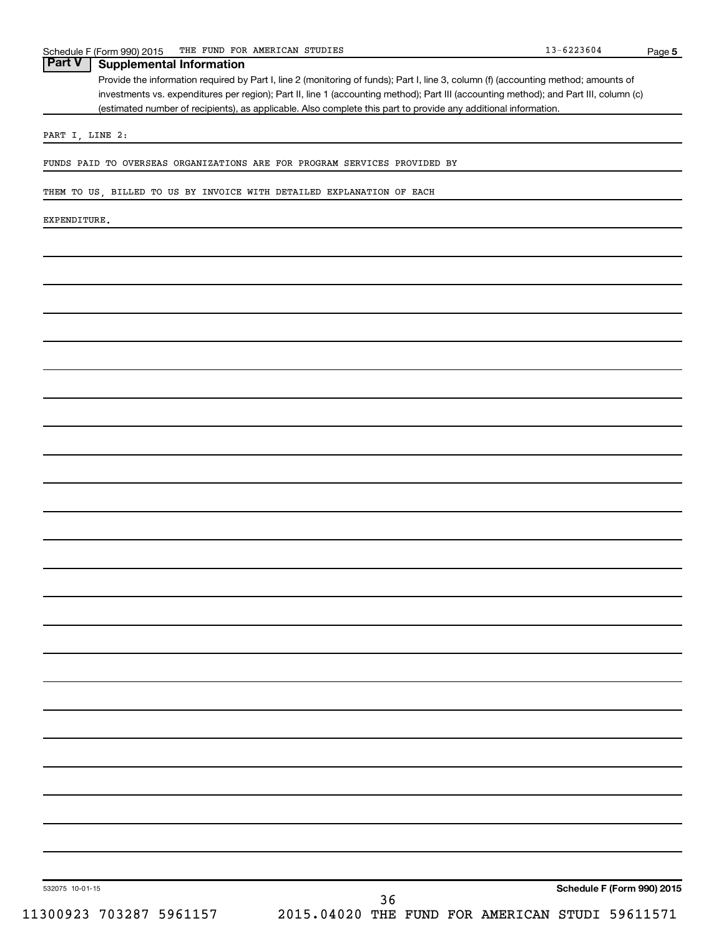| <b>Part V</b> | <b>Supplemental Information</b>                                                                                                       |
|---------------|---------------------------------------------------------------------------------------------------------------------------------------|
|               | Provide the information required by Part I, line 2 (monitoring of funds); Part I, line 3, column (f) (accounting method; amounts of   |
|               | investments vs. expenditures per region); Part II, line 1 (accounting method); Part III (accounting method); and Part III, column (c) |
|               | (estimated number of recipients), as applicable. Also complete this part to provide any additional information.                       |

PART I, LINE 2:

FUNDS PAID TO OVERSEAS ORGANIZATIONS ARE FOR PROGRAM SERVICES PROVIDED BY

THEM TO US, BILLED TO US BY INVOICE WITH DETAILED EXPLANATION OF EACH

EXPENDITURE.

532075 10-01-15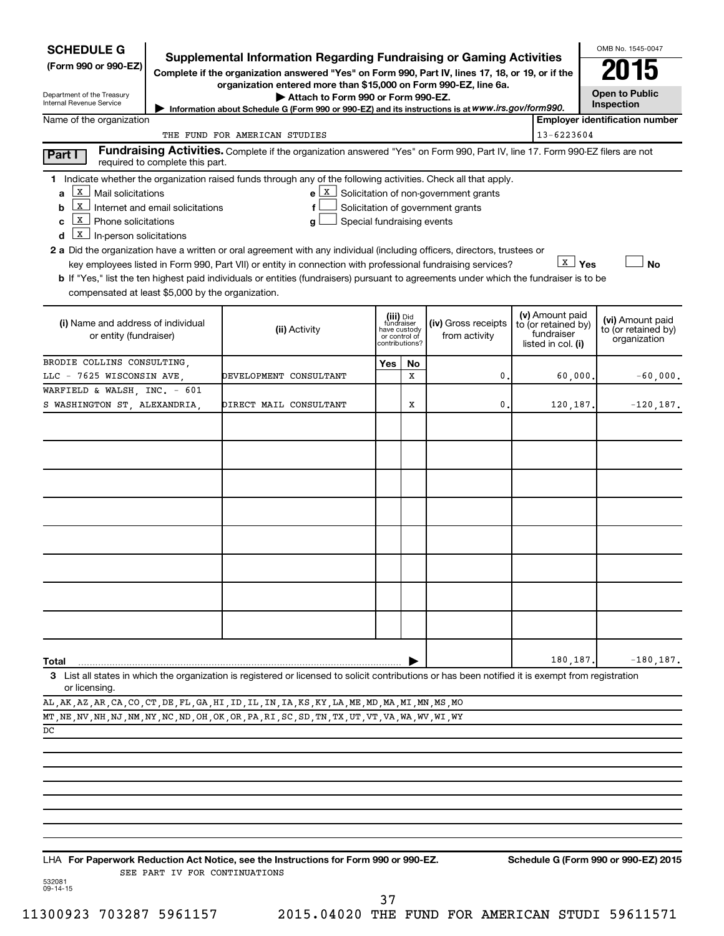| <b>SCHEDULE G</b><br>(Form 990 or 990-EZ)<br>Department of the Treasury<br>Internal Revenue Service                                                                                                                  | <b>Supplemental Information Regarding Fundraising or Gaming Activities</b><br>Complete if the organization answered "Yes" on Form 990, Part IV, lines 17, 18, or 19, or if the<br>organization entered more than \$15,000 on Form 990-EZ, line 6a.<br>Attach to Form 990 or Form 990-EZ.<br>Information about Schedule G (Form 990 or 990-EZ) and its instructions is at WWW.irs.gov/form990.                                                                                                                                                              |            |                                                                            |                                                                            |                                                                            | OMB No. 1545-0047<br><b>Open to Public</b><br>Inspection |
|----------------------------------------------------------------------------------------------------------------------------------------------------------------------------------------------------------------------|------------------------------------------------------------------------------------------------------------------------------------------------------------------------------------------------------------------------------------------------------------------------------------------------------------------------------------------------------------------------------------------------------------------------------------------------------------------------------------------------------------------------------------------------------------|------------|----------------------------------------------------------------------------|----------------------------------------------------------------------------|----------------------------------------------------------------------------|----------------------------------------------------------|
| Name of the organization                                                                                                                                                                                             |                                                                                                                                                                                                                                                                                                                                                                                                                                                                                                                                                            |            |                                                                            |                                                                            |                                                                            | <b>Employer identification number</b>                    |
|                                                                                                                                                                                                                      | THE FUND FOR AMERICAN STUDIES                                                                                                                                                                                                                                                                                                                                                                                                                                                                                                                              |            |                                                                            |                                                                            | 13-6223604                                                                 |                                                          |
| Part I<br>required to complete this part.                                                                                                                                                                            | Fundraising Activities. Complete if the organization answered "Yes" on Form 990, Part IV, line 17. Form 990-EZ filers are not                                                                                                                                                                                                                                                                                                                                                                                                                              |            |                                                                            |                                                                            |                                                                            |                                                          |
| X<br>Mail solicitations<br>a<br>$\mathbf{X}$<br>Internet and email solicitations<br>b<br>X<br>Phone solicitations<br>с<br>  X  <br>In-person solicitations<br>d<br>compensated at least \$5,000 by the organization. | 1 Indicate whether the organization raised funds through any of the following activities. Check all that apply.<br>$e$ $X$<br>Special fundraising events<br>g<br>2 a Did the organization have a written or oral agreement with any individual (including officers, directors, trustees or<br>key employees listed in Form 990, Part VII) or entity in connection with professional fundraising services?<br><b>b</b> If "Yes," list the ten highest paid individuals or entities (fundraisers) pursuant to agreements under which the fundraiser is to be |            |                                                                            | Solicitation of non-government grants<br>Solicitation of government grants | $\boxed{\mathbf{X}}$ Yes                                                   | <b>No</b>                                                |
| (i) Name and address of individual<br>or entity (fundraiser)                                                                                                                                                         | (ii) Activity                                                                                                                                                                                                                                                                                                                                                                                                                                                                                                                                              |            | (iii) Did<br>fundraiser<br>have custody<br>or control of<br>contributions? | (iv) Gross receipts<br>from activity                                       | (v) Amount paid<br>to (or retained by)<br>fundraiser<br>listed in col. (i) | (vi) Amount paid<br>to (or retained by)<br>organization  |
| BRODIE COLLINS CONSULTING,<br>LLC - 7625 WISCONSIN AVE,                                                                                                                                                              | DEVELOPMENT CONSULTANT                                                                                                                                                                                                                                                                                                                                                                                                                                                                                                                                     | <b>Yes</b> | No<br>X                                                                    | 0                                                                          | 60,000                                                                     | $-60,000.$                                               |
| WARFIELD & WALSH, INC. - 601                                                                                                                                                                                         |                                                                                                                                                                                                                                                                                                                                                                                                                                                                                                                                                            |            |                                                                            |                                                                            |                                                                            |                                                          |
| S WASHINGTON ST, ALEXANDRIA,                                                                                                                                                                                         | DIRECT MAIL CONSULTANT                                                                                                                                                                                                                                                                                                                                                                                                                                                                                                                                     |            | X                                                                          | 0.                                                                         | 120,187                                                                    | $-120, 187.$                                             |
|                                                                                                                                                                                                                      |                                                                                                                                                                                                                                                                                                                                                                                                                                                                                                                                                            |            |                                                                            |                                                                            |                                                                            |                                                          |
|                                                                                                                                                                                                                      |                                                                                                                                                                                                                                                                                                                                                                                                                                                                                                                                                            |            |                                                                            |                                                                            |                                                                            |                                                          |
|                                                                                                                                                                                                                      |                                                                                                                                                                                                                                                                                                                                                                                                                                                                                                                                                            |            |                                                                            |                                                                            |                                                                            |                                                          |
|                                                                                                                                                                                                                      |                                                                                                                                                                                                                                                                                                                                                                                                                                                                                                                                                            |            |                                                                            |                                                                            |                                                                            |                                                          |
|                                                                                                                                                                                                                      |                                                                                                                                                                                                                                                                                                                                                                                                                                                                                                                                                            |            |                                                                            |                                                                            |                                                                            |                                                          |
|                                                                                                                                                                                                                      |                                                                                                                                                                                                                                                                                                                                                                                                                                                                                                                                                            |            |                                                                            |                                                                            |                                                                            |                                                          |
|                                                                                                                                                                                                                      |                                                                                                                                                                                                                                                                                                                                                                                                                                                                                                                                                            |            |                                                                            |                                                                            |                                                                            |                                                          |
|                                                                                                                                                                                                                      |                                                                                                                                                                                                                                                                                                                                                                                                                                                                                                                                                            |            |                                                                            |                                                                            |                                                                            |                                                          |
|                                                                                                                                                                                                                      |                                                                                                                                                                                                                                                                                                                                                                                                                                                                                                                                                            |            |                                                                            |                                                                            |                                                                            |                                                          |
|                                                                                                                                                                                                                      |                                                                                                                                                                                                                                                                                                                                                                                                                                                                                                                                                            |            |                                                                            |                                                                            |                                                                            |                                                          |
|                                                                                                                                                                                                                      |                                                                                                                                                                                                                                                                                                                                                                                                                                                                                                                                                            |            |                                                                            |                                                                            |                                                                            |                                                          |
|                                                                                                                                                                                                                      |                                                                                                                                                                                                                                                                                                                                                                                                                                                                                                                                                            |            |                                                                            |                                                                            |                                                                            |                                                          |
|                                                                                                                                                                                                                      |                                                                                                                                                                                                                                                                                                                                                                                                                                                                                                                                                            |            |                                                                            |                                                                            |                                                                            |                                                          |
|                                                                                                                                                                                                                      |                                                                                                                                                                                                                                                                                                                                                                                                                                                                                                                                                            |            |                                                                            |                                                                            |                                                                            |                                                          |
|                                                                                                                                                                                                                      |                                                                                                                                                                                                                                                                                                                                                                                                                                                                                                                                                            |            |                                                                            |                                                                            |                                                                            |                                                          |
| Total                                                                                                                                                                                                                | 3 List all states in which the organization is registered or licensed to solicit contributions or has been notified it is exempt from registration                                                                                                                                                                                                                                                                                                                                                                                                         |            |                                                                            |                                                                            | 180,187                                                                    | $-180, 187.$                                             |
| or licensing.                                                                                                                                                                                                        |                                                                                                                                                                                                                                                                                                                                                                                                                                                                                                                                                            |            |                                                                            |                                                                            |                                                                            |                                                          |
| AL AK AZ AR CA CO CT DE FL GA HI ID IL IN IA KS KY LA ME MD MA MI MN MS MO<br>MT , NE , NV , NH , NJ , NM , NY , NC , ND , OH , OK , OR , PA , RI , SC , SD , TN , TX , UT , VT , VA , WA , WV , WI , WY             |                                                                                                                                                                                                                                                                                                                                                                                                                                                                                                                                                            |            |                                                                            |                                                                            |                                                                            |                                                          |
| DC                                                                                                                                                                                                                   |                                                                                                                                                                                                                                                                                                                                                                                                                                                                                                                                                            |            |                                                                            |                                                                            |                                                                            |                                                          |
|                                                                                                                                                                                                                      |                                                                                                                                                                                                                                                                                                                                                                                                                                                                                                                                                            |            |                                                                            |                                                                            |                                                                            |                                                          |
|                                                                                                                                                                                                                      |                                                                                                                                                                                                                                                                                                                                                                                                                                                                                                                                                            |            |                                                                            |                                                                            |                                                                            |                                                          |
|                                                                                                                                                                                                                      |                                                                                                                                                                                                                                                                                                                                                                                                                                                                                                                                                            |            |                                                                            |                                                                            |                                                                            |                                                          |
|                                                                                                                                                                                                                      |                                                                                                                                                                                                                                                                                                                                                                                                                                                                                                                                                            |            |                                                                            |                                                                            |                                                                            |                                                          |
|                                                                                                                                                                                                                      |                                                                                                                                                                                                                                                                                                                                                                                                                                                                                                                                                            |            |                                                                            |                                                                            |                                                                            |                                                          |
|                                                                                                                                                                                                                      |                                                                                                                                                                                                                                                                                                                                                                                                                                                                                                                                                            |            |                                                                            |                                                                            |                                                                            |                                                          |
|                                                                                                                                                                                                                      |                                                                                                                                                                                                                                                                                                                                                                                                                                                                                                                                                            |            |                                                                            |                                                                            |                                                                            |                                                          |

#### **For Paperwork Reduction Act Notice, see the Instructions for Form 990 or 990-EZ. Schedule G (Form 990 or 990-EZ) 2015** LHA SEE PART IV FOR CONTINUATIONS

532081 09-14-15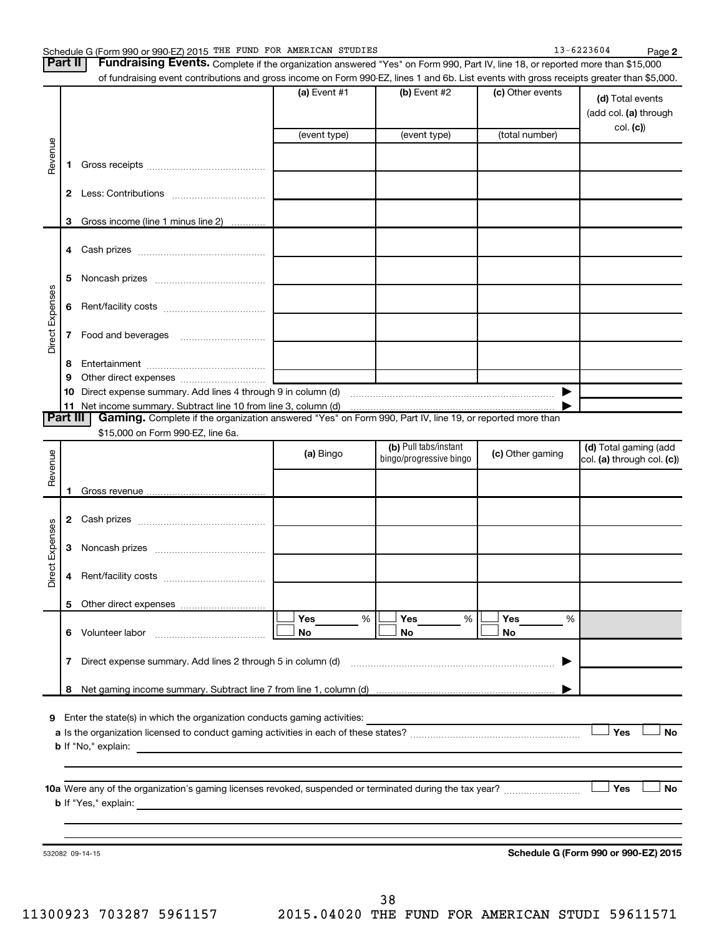|  | Schedule G (Form 990 or 990-EZ) 2015 | THE<br>FUND | FOR AMERICAN | STUDIES | $-0.22300$ | Page |  |
|--|--------------------------------------|-------------|--------------|---------|------------|------|--|
|--|--------------------------------------|-------------|--------------|---------|------------|------|--|

**2**  $\frac{13-6223604}{ }$ 

|                 |          | of fundraising event contributions and gross income on Form 990-EZ, lines 1 and 6b. List events with gross receipts greater than \$5,000. | (a) Event $#1$ | (b) Event #2            | (c) Other events |                                                     |
|-----------------|----------|-------------------------------------------------------------------------------------------------------------------------------------------|----------------|-------------------------|------------------|-----------------------------------------------------|
|                 |          |                                                                                                                                           |                |                         |                  | (d) Total events<br>(add col. (a) through           |
|                 |          |                                                                                                                                           | (event type)   | (event type)            | (total number)   | col. (c)                                            |
| Revenue         | 1        |                                                                                                                                           |                |                         |                  |                                                     |
|                 |          |                                                                                                                                           |                |                         |                  |                                                     |
|                 | з        | Gross income (line 1 minus line 2)                                                                                                        |                |                         |                  |                                                     |
|                 | 4        |                                                                                                                                           |                |                         |                  |                                                     |
|                 | 5        |                                                                                                                                           |                |                         |                  |                                                     |
|                 | 6        |                                                                                                                                           |                |                         |                  |                                                     |
| Direct Expenses | 7        |                                                                                                                                           |                |                         |                  |                                                     |
|                 | 8        |                                                                                                                                           |                |                         |                  |                                                     |
|                 | 9        |                                                                                                                                           |                |                         |                  |                                                     |
|                 | 10       | Direct expense summary. Add lines 4 through 9 in column (d)                                                                               |                |                         |                  |                                                     |
|                 |          |                                                                                                                                           |                |                         |                  |                                                     |
|                 | Part III | Gaming. Complete if the organization answered "Yes" on Form 990, Part IV, line 19, or reported more than                                  |                |                         |                  |                                                     |
|                 |          | \$15,000 on Form 990-EZ, line 6a.                                                                                                         |                | (b) Pull tabs/instant   |                  |                                                     |
| Revenue         |          |                                                                                                                                           | (a) Bingo      | bingo/progressive bingo | (c) Other gaming | (d) Total gaming (add<br>col. (a) through col. (c)) |
|                 | 1        |                                                                                                                                           |                |                         |                  |                                                     |
|                 |          |                                                                                                                                           |                |                         |                  |                                                     |
|                 | 2        |                                                                                                                                           |                |                         |                  |                                                     |
| Direct Expenses | 3        |                                                                                                                                           |                |                         |                  |                                                     |
|                 | 4        |                                                                                                                                           |                |                         |                  |                                                     |
|                 |          | 5 Other direct expenses                                                                                                                   |                |                         |                  |                                                     |
|                 |          |                                                                                                                                           | %<br>Yes       | Yes<br>%                | Yes<br>%         |                                                     |
|                 | 6.       |                                                                                                                                           | No             | No                      | No               |                                                     |
|                 | 7        | Direct expense summary. Add lines 2 through 5 in column (d)                                                                               |                |                         | ▶                |                                                     |
|                 |          |                                                                                                                                           |                |                         |                  |                                                     |
|                 | 8        |                                                                                                                                           |                |                         |                  |                                                     |
| 9               |          | Enter the state(s) in which the organization conducts gaming activities:                                                                  |                |                         |                  |                                                     |
|                 |          |                                                                                                                                           |                |                         |                  | Yes<br><b>No</b>                                    |
|                 |          |                                                                                                                                           |                |                         |                  |                                                     |
|                 |          |                                                                                                                                           |                |                         |                  |                                                     |
|                 |          |                                                                                                                                           |                |                         |                  |                                                     |
|                 |          |                                                                                                                                           |                |                         |                  | Yes<br>No                                           |
|                 |          |                                                                                                                                           |                |                         |                  |                                                     |
|                 |          |                                                                                                                                           |                |                         |                  |                                                     |
|                 |          |                                                                                                                                           |                |                         |                  |                                                     |
|                 |          | 532082 09-14-15                                                                                                                           |                |                         |                  | Schedule G (Form 990 or 990-EZ) 2015                |
|                 |          |                                                                                                                                           |                |                         |                  |                                                     |
|                 |          |                                                                                                                                           |                |                         |                  |                                                     |

Part II | Fundraising Events. Complete if the organization answered "Yes" on Form 990, Part IV, line 18, or reported more than \$15,000

38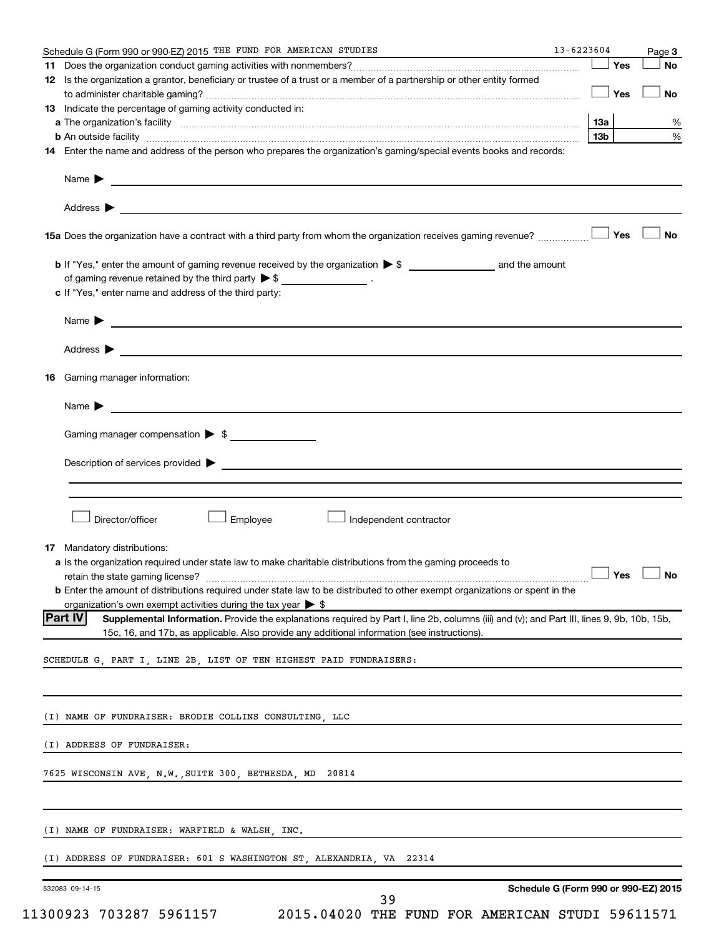|     | Schedule G (Form 990 or 990-EZ) 2015 THE FUND FOR AMERICAN STUDIES                                                                                                                                                             | 13-6223604      |     | Page 3    |
|-----|--------------------------------------------------------------------------------------------------------------------------------------------------------------------------------------------------------------------------------|-----------------|-----|-----------|
| 11. |                                                                                                                                                                                                                                |                 | Yes | <b>No</b> |
|     | 12 Is the organization a grantor, beneficiary or trustee of a trust or a member of a partnership or other entity formed                                                                                                        |                 | Yes | No        |
|     | <b>13</b> Indicate the percentage of gaming activity conducted in:                                                                                                                                                             |                 |     |           |
|     |                                                                                                                                                                                                                                | 13a             |     | %         |
|     |                                                                                                                                                                                                                                | 13 <sub>b</sub> |     | %         |
|     | 14 Enter the name and address of the person who prepares the organization's gaming/special events books and records:                                                                                                           |                 |     |           |
|     |                                                                                                                                                                                                                                |                 |     |           |
|     |                                                                                                                                                                                                                                |                 |     |           |
|     | 15a Does the organization have a contract with a third party from whom the organization receives gaming revenue?                                                                                                               |                 | Yes | No        |
|     | of gaming revenue retained by the third party $\triangleright$ \$ _________________.                                                                                                                                           |                 |     |           |
|     | c If "Yes," enter name and address of the third party:                                                                                                                                                                         |                 |     |           |
|     | Name > 2008 - 2008 - 2009 - 2009 - 2009 - 2009 - 2010 - 2010 - 2010 - 2010 - 2010 - 2010 - 2010 - 2010 - 2010 - 2010 - 2010 - 2010 - 2010 - 2010 - 2010 - 2010 - 2010 - 2010 - 2010 - 2010 - 2010 - 2010 - 2010 - 2010 - 2010  |                 |     |           |
|     |                                                                                                                                                                                                                                |                 |     |           |
|     | 16 Gaming manager information:                                                                                                                                                                                                 |                 |     |           |
|     | Name $\blacktriangleright$<br><u> 1989 - Johann Barbara, martin amerikan basal dan berasal dan berasal dalam basal dan berasal dan berasal dan</u>                                                                             |                 |     |           |
|     | Gaming manager compensation > \$                                                                                                                                                                                               |                 |     |           |
|     | Description of services provided states and the contract of the contract of the contract of the contract of the contract of the contract of the contract of the contract of the contract of the contract of the contract of th |                 |     |           |
|     |                                                                                                                                                                                                                                |                 |     |           |
|     |                                                                                                                                                                                                                                |                 |     |           |
|     | Director/officer<br>Employee<br>Independent contractor                                                                                                                                                                         |                 |     |           |
|     | 17 Mandatory distributions:                                                                                                                                                                                                    |                 |     |           |
|     | a Is the organization required under state law to make charitable distributions from the gaming proceeds to                                                                                                                    |                 |     |           |
|     | retain the state gaming license? $\Box$ No                                                                                                                                                                                     |                 |     |           |
|     | <b>b</b> Enter the amount of distributions required under state law to be distributed to other exempt organizations or spent in the<br>organization's own exempt activities during the tax year > \$                           |                 |     |           |
|     | <b>Part IV</b><br>Supplemental Information. Provide the explanations required by Part I, line 2b, columns (iii) and (v); and Part III, lines 9, 9b, 10b, 15b,                                                                  |                 |     |           |
|     | 15c, 16, and 17b, as applicable. Also provide any additional information (see instructions).                                                                                                                                   |                 |     |           |
|     | SCHEDULE G, PART I, LINE 2B, LIST OF TEN HIGHEST PAID FUNDRAISERS:                                                                                                                                                             |                 |     |           |
|     |                                                                                                                                                                                                                                |                 |     |           |
|     | (I) NAME OF FUNDRAISER: BRODIE COLLINS CONSULTING, LLC                                                                                                                                                                         |                 |     |           |
|     | (I) ADDRESS OF FUNDRAISER:                                                                                                                                                                                                     |                 |     |           |
|     | 7625 WISCONSIN AVE, N.W., SUITE 300, BETHESDA, MD 20814                                                                                                                                                                        |                 |     |           |
|     |                                                                                                                                                                                                                                |                 |     |           |
|     | (I) NAME OF FUNDRAISER: WARFIELD & WALSH, INC.                                                                                                                                                                                 |                 |     |           |
|     | (I) ADDRESS OF FUNDRAISER: 601 S WASHINGTON ST, ALEXANDRIA, VA 22314                                                                                                                                                           |                 |     |           |
|     | Schedule G (Form 990 or 990-EZ) 2015<br>532083 09-14-15                                                                                                                                                                        |                 |     |           |
|     | 39                                                                                                                                                                                                                             |                 |     |           |

11300923 703287 5961157 2015.04020 THE FUND FOR AMERICAN STUDI 59611571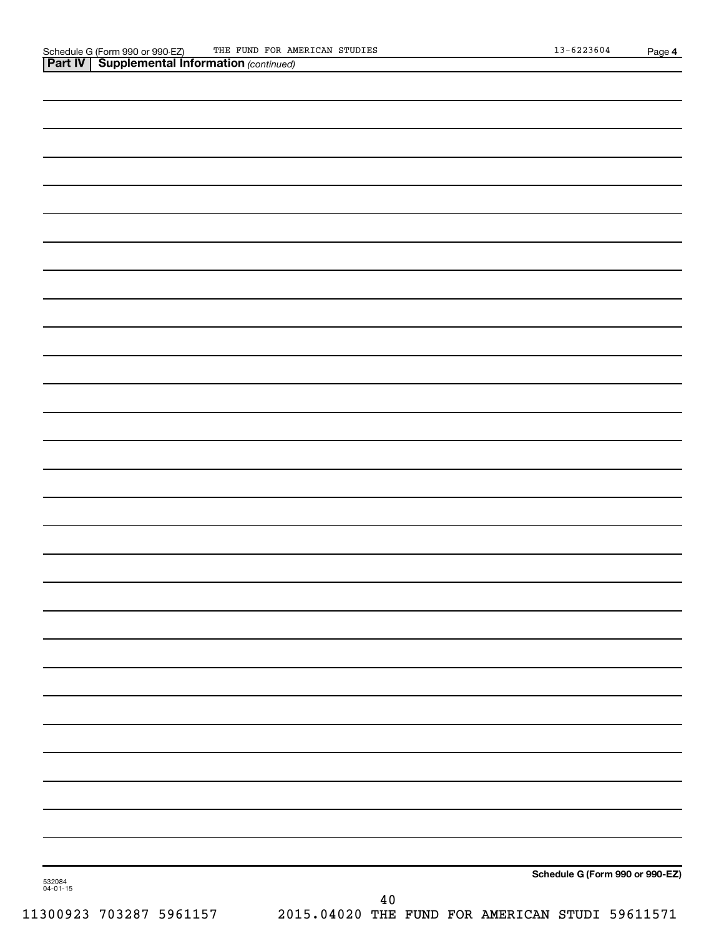| <b>Part IV   Supplemental Information (continued)</b> |  |
|-------------------------------------------------------|--|
|-------------------------------------------------------|--|

**Schedule G (Form 990 or 990-EZ)**

532084 04-01-15

11300923 703287 5961157 2015.04020 THE FUND FOR AMERICAN STUDI 59611571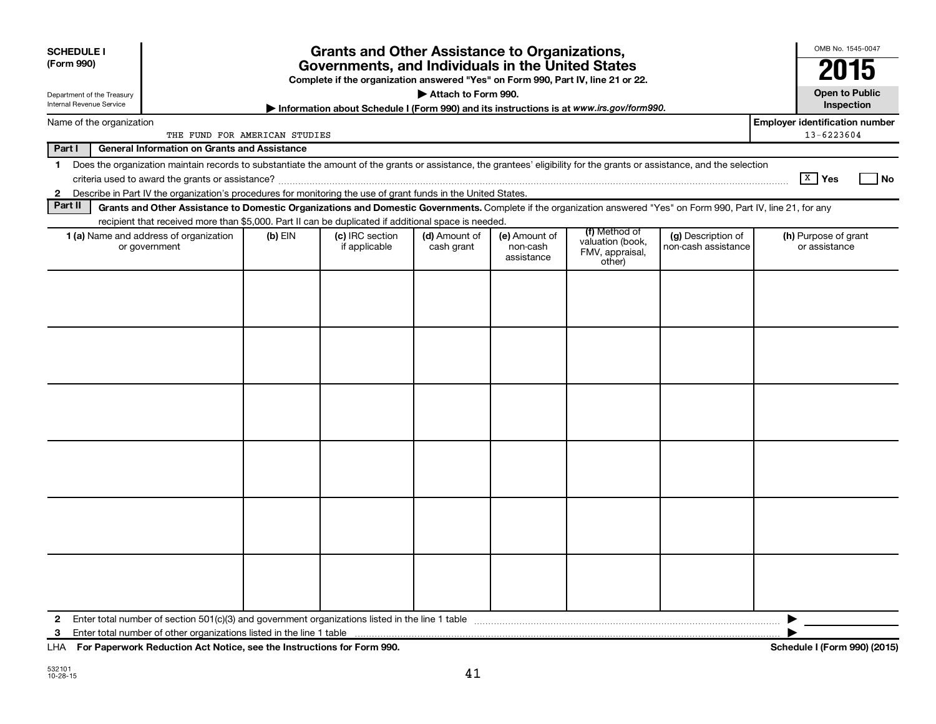| <b>SCHEDULE I</b><br>(Form 990)<br>Department of the Treasury<br>Internal Revenue Service |                                                                                                                                                                          |           | <b>Grants and Other Assistance to Organizations,</b><br>Governments, and Individuals in the United States<br>Complete if the organization answered "Yes" on Form 990, Part IV, line 21 or 22.<br>Information about Schedule I (Form 990) and its instructions is at www.irs.gov/form990. | Attach to Form 990.         |                                         |                                                                |                                           | OMB No. 1545-0047<br><b>Open to Public</b><br>Inspection |
|-------------------------------------------------------------------------------------------|--------------------------------------------------------------------------------------------------------------------------------------------------------------------------|-----------|------------------------------------------------------------------------------------------------------------------------------------------------------------------------------------------------------------------------------------------------------------------------------------------|-----------------------------|-----------------------------------------|----------------------------------------------------------------|-------------------------------------------|----------------------------------------------------------|
| Name of the organization                                                                  |                                                                                                                                                                          |           |                                                                                                                                                                                                                                                                                          |                             |                                         |                                                                |                                           | <b>Employer identification number</b>                    |
|                                                                                           | THE FUND FOR AMERICAN STUDIES                                                                                                                                            |           |                                                                                                                                                                                                                                                                                          |                             |                                         |                                                                |                                           | 13-6223604                                               |
| Part I                                                                                    | <b>General Information on Grants and Assistance</b>                                                                                                                      |           |                                                                                                                                                                                                                                                                                          |                             |                                         |                                                                |                                           |                                                          |
| $\mathbf 1$                                                                               | Does the organization maintain records to substantiate the amount of the grants or assistance, the grantees' eligibility for the grants or assistance, and the selection |           |                                                                                                                                                                                                                                                                                          |                             |                                         |                                                                |                                           | $\boxed{\text{X}}$ Yes<br><b>No</b>                      |
| $\mathbf{2}$                                                                              | Describe in Part IV the organization's procedures for monitoring the use of grant funds in the United States.                                                            |           |                                                                                                                                                                                                                                                                                          |                             |                                         |                                                                |                                           |                                                          |
| Part II                                                                                   | Grants and Other Assistance to Domestic Organizations and Domestic Governments. Complete if the organization answered "Yes" on Form 990, Part IV, line 21, for any       |           |                                                                                                                                                                                                                                                                                          |                             |                                         |                                                                |                                           |                                                          |
|                                                                                           | recipient that received more than \$5,000. Part II can be duplicated if additional space is needed.                                                                      |           |                                                                                                                                                                                                                                                                                          |                             |                                         |                                                                |                                           |                                                          |
|                                                                                           | 1 (a) Name and address of organization<br>or government                                                                                                                  | $(b)$ EIN | (c) IRC section<br>if applicable                                                                                                                                                                                                                                                         | (d) Amount of<br>cash grant | (e) Amount of<br>non-cash<br>assistance | (f) Method of<br>valuation (book,<br>FMV, appraisal,<br>other) | (g) Description of<br>non-cash assistance | (h) Purpose of grant<br>or assistance                    |
|                                                                                           |                                                                                                                                                                          |           |                                                                                                                                                                                                                                                                                          |                             |                                         |                                                                |                                           |                                                          |
|                                                                                           |                                                                                                                                                                          |           |                                                                                                                                                                                                                                                                                          |                             |                                         |                                                                |                                           |                                                          |
|                                                                                           |                                                                                                                                                                          |           |                                                                                                                                                                                                                                                                                          |                             |                                         |                                                                |                                           |                                                          |
| $\mathbf{2}$<br>3                                                                         |                                                                                                                                                                          |           |                                                                                                                                                                                                                                                                                          |                             |                                         |                                                                |                                           | A A A                                                    |

**For Paperwork Reduction Act Notice, see the Instructions for Form 990. Schedule I (Form 990) (2015)** LHA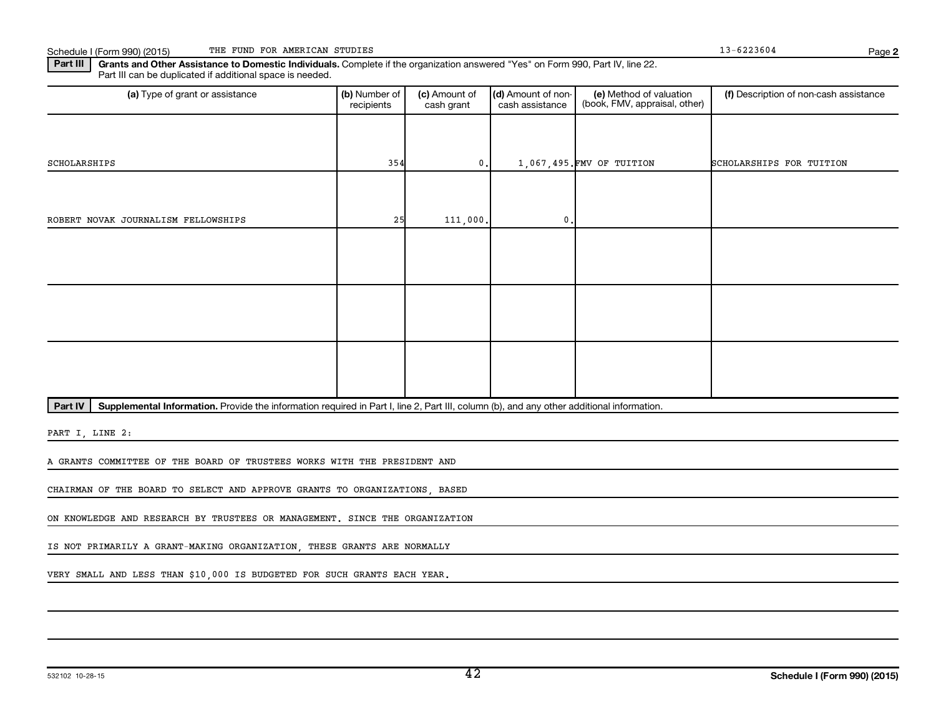**2**

Part III | Grants and Other Assistance to Domestic Individuals. Complete if the organization answered "Yes" on Form 990, Part IV, line 22. Part III can be duplicated if additional space is needed.

| (a) Type of grant or assistance     | (b) Number of<br>recipients | (c) Amount of<br>cash grant | (d) Amount of non-<br>cash assistance | (e) Method of valuation<br>(book, FMV, appraisal, other) | (f) Description of non-cash assistance |
|-------------------------------------|-----------------------------|-----------------------------|---------------------------------------|----------------------------------------------------------|----------------------------------------|
|                                     |                             |                             |                                       |                                                          |                                        |
| SCHOLARSHIPS                        | 354                         | 0.                          |                                       | 1,067,495. FMV OF TUITION                                | SCHOLARSHIPS FOR TUITION               |
|                                     |                             |                             |                                       |                                                          |                                        |
| ROBERT NOVAK JOURNALISM FELLOWSHIPS | 25                          | 111,000.                    | $\mathbf{0}$ .                        |                                                          |                                        |
|                                     |                             |                             |                                       |                                                          |                                        |
|                                     |                             |                             |                                       |                                                          |                                        |
|                                     |                             |                             |                                       |                                                          |                                        |
|                                     |                             |                             |                                       |                                                          |                                        |
|                                     |                             |                             |                                       |                                                          |                                        |
|                                     |                             |                             |                                       |                                                          |                                        |

Part IV | Supplemental Information. Provide the information required in Part I, line 2, Part III, column (b), and any other additional information.

PART I, LINE 2:

A GRANTS COMMITTEE OF THE BOARD OF TRUSTEES WORKS WITH THE PRESIDENT AND

CHAIRMAN OF THE BOARD TO SELECT AND APPROVE GRANTS TO ORGANIZATIONS, BASED

ON KNOWLEDGE AND RESEARCH BY TRUSTEES OR MANAGEMENT. SINCE THE ORGANIZATION

IS NOT PRIMARILY A GRANT-MAKING ORGANIZATION, THESE GRANTS ARE NORMALLY

VERY SMALL AND LESS THAN \$10,000 IS BUDGETED FOR SUCH GRANTS EACH YEAR.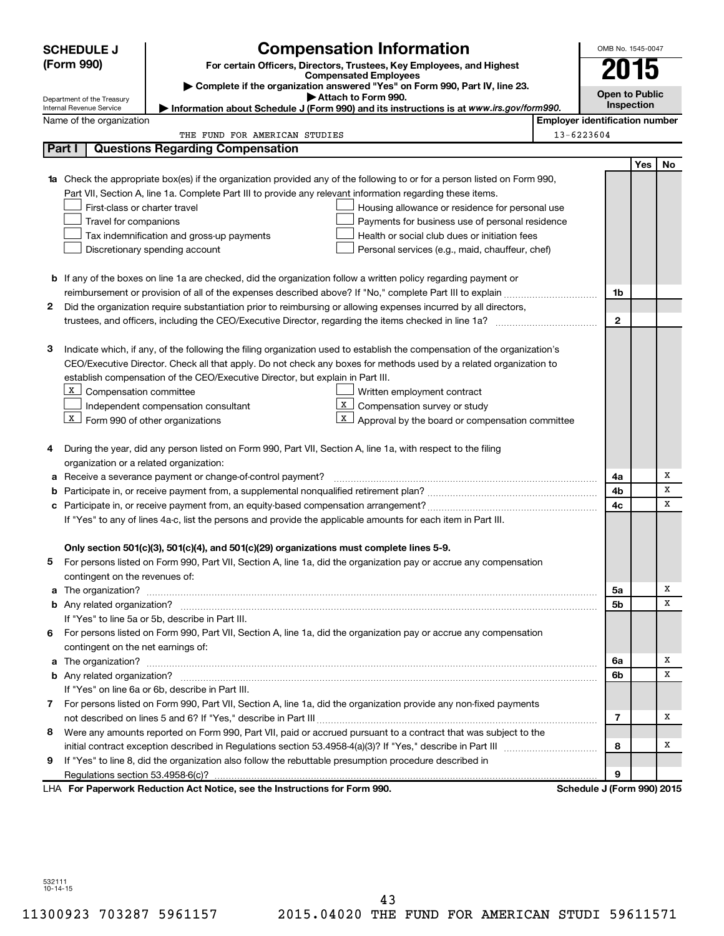|    | <b>SCHEDULE J</b>                                  | <b>Compensation Information</b>                                                                                           |                                       | OMB No. 1545-0047            |     |    |  |  |
|----|----------------------------------------------------|---------------------------------------------------------------------------------------------------------------------------|---------------------------------------|------------------------------|-----|----|--|--|
|    | (Form 990)                                         | For certain Officers, Directors, Trustees, Key Employees, and Highest                                                     |                                       |                              |     |    |  |  |
|    |                                                    | <b>Compensated Employees</b><br>Complete if the organization answered "Yes" on Form 990, Part IV, line 23.                |                                       | U15<br><b>Open to Public</b> |     |    |  |  |
|    | Department of the Treasury                         | Attach to Form 990.                                                                                                       |                                       |                              |     |    |  |  |
|    | Internal Revenue Service                           | Information about Schedule J (Form 990) and its instructions is at www.irs.gov/form990.                                   |                                       | Inspection                   |     |    |  |  |
|    | Name of the organization                           |                                                                                                                           | <b>Employer identification number</b> |                              |     |    |  |  |
|    |                                                    | THE FUND FOR AMERICAN STUDIES                                                                                             | 13-6223604                            |                              |     |    |  |  |
|    | Part I                                             | <b>Questions Regarding Compensation</b>                                                                                   |                                       |                              |     |    |  |  |
|    |                                                    |                                                                                                                           |                                       |                              | Yes | No |  |  |
| 1a |                                                    | Check the appropriate box(es) if the organization provided any of the following to or for a person listed on Form 990,    |                                       |                              |     |    |  |  |
|    |                                                    | Part VII, Section A, line 1a. Complete Part III to provide any relevant information regarding these items.                |                                       |                              |     |    |  |  |
|    | First-class or charter travel                      | Housing allowance or residence for personal use                                                                           |                                       |                              |     |    |  |  |
|    | Travel for companions                              | Payments for business use of personal residence                                                                           |                                       |                              |     |    |  |  |
|    |                                                    | Tax indemnification and gross-up payments<br>Health or social club dues or initiation fees                                |                                       |                              |     |    |  |  |
|    |                                                    | Discretionary spending account<br>Personal services (e.g., maid, chauffeur, chef)                                         |                                       |                              |     |    |  |  |
|    |                                                    |                                                                                                                           |                                       |                              |     |    |  |  |
|    |                                                    | b If any of the boxes on line 1a are checked, did the organization follow a written policy regarding payment or           |                                       |                              |     |    |  |  |
|    |                                                    |                                                                                                                           |                                       | 1b                           |     |    |  |  |
| 2  |                                                    | Did the organization require substantiation prior to reimbursing or allowing expenses incurred by all directors,          |                                       | $\mathbf{2}$                 |     |    |  |  |
|    |                                                    |                                                                                                                           |                                       |                              |     |    |  |  |
| З  |                                                    | Indicate which, if any, of the following the filing organization used to establish the compensation of the organization's |                                       |                              |     |    |  |  |
|    |                                                    | CEO/Executive Director. Check all that apply. Do not check any boxes for methods used by a related organization to        |                                       |                              |     |    |  |  |
|    |                                                    | establish compensation of the CEO/Executive Director, but explain in Part III.                                            |                                       |                              |     |    |  |  |
|    | X Compensation committee                           | Written employment contract                                                                                               |                                       |                              |     |    |  |  |
|    |                                                    | X<br>Compensation survey or study<br>Independent compensation consultant                                                  |                                       |                              |     |    |  |  |
|    | $\boxed{\text{x}}$ Form 990 of other organizations | X<br>Approval by the board or compensation committee                                                                      |                                       |                              |     |    |  |  |
|    |                                                    |                                                                                                                           |                                       |                              |     |    |  |  |
| 4  |                                                    | During the year, did any person listed on Form 990, Part VII, Section A, line 1a, with respect to the filing              |                                       |                              |     |    |  |  |
|    | organization or a related organization:            |                                                                                                                           |                                       |                              |     |    |  |  |
| а  |                                                    | Receive a severance payment or change-of-control payment?                                                                 |                                       | 4a                           |     | X  |  |  |
| b  |                                                    |                                                                                                                           |                                       | 4b                           |     | x  |  |  |
| с  |                                                    |                                                                                                                           |                                       | 4c                           |     | x  |  |  |
|    |                                                    | If "Yes" to any of lines 4a-c, list the persons and provide the applicable amounts for each item in Part III.             |                                       |                              |     |    |  |  |
|    |                                                    |                                                                                                                           |                                       |                              |     |    |  |  |
|    |                                                    | Only section 501(c)(3), 501(c)(4), and 501(c)(29) organizations must complete lines 5-9.                                  |                                       |                              |     |    |  |  |
|    |                                                    | For persons listed on Form 990, Part VII, Section A, line 1a, did the organization pay or accrue any compensation         |                                       |                              |     |    |  |  |
|    | contingent on the revenues of:                     |                                                                                                                           |                                       |                              |     |    |  |  |
|    |                                                    |                                                                                                                           |                                       | 5а                           |     | х  |  |  |
|    |                                                    |                                                                                                                           |                                       | 5b                           |     | x  |  |  |
|    |                                                    | If "Yes" to line 5a or 5b, describe in Part III.                                                                          |                                       |                              |     |    |  |  |
| 6  |                                                    | For persons listed on Form 990, Part VII, Section A, line 1a, did the organization pay or accrue any compensation         |                                       |                              |     |    |  |  |
|    | contingent on the net earnings of:                 |                                                                                                                           |                                       |                              |     |    |  |  |
|    |                                                    |                                                                                                                           |                                       | 6a                           |     | х  |  |  |
|    |                                                    |                                                                                                                           |                                       | 6b                           |     | x  |  |  |
|    |                                                    | If "Yes" on line 6a or 6b, describe in Part III.                                                                          |                                       |                              |     |    |  |  |
|    |                                                    | 7 For persons listed on Form 990, Part VII, Section A, line 1a, did the organization provide any non-fixed payments       |                                       |                              |     |    |  |  |
|    |                                                    |                                                                                                                           |                                       | 7                            |     | х  |  |  |
| 8  |                                                    | Were any amounts reported on Form 990, Part VII, paid or accrued pursuant to a contract that was subject to the           |                                       |                              |     |    |  |  |
|    |                                                    |                                                                                                                           |                                       | 8                            |     | x  |  |  |
| 9  |                                                    | If "Yes" to line 8, did the organization also follow the rebuttable presumption procedure described in                    |                                       |                              |     |    |  |  |
|    |                                                    |                                                                                                                           |                                       | 9                            |     |    |  |  |
|    |                                                    | LHA For Paperwork Reduction Act Notice, see the Instructions for Form 990.                                                | Schedule J (Form 990) 2015            |                              |     |    |  |  |

532111 10-14-15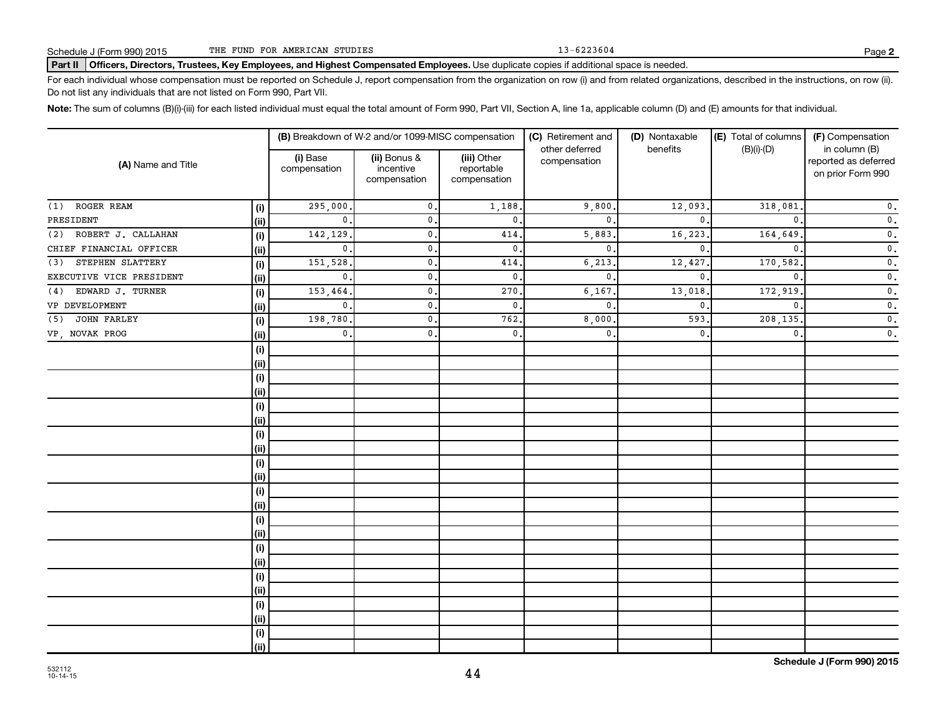#### Part II | Officers, Directors, Trustees, Key Employees, and Highest Compensated Employees. Use duplicate copies if additional space is needed.

For each individual whose compensation must be reported on Schedule J, report compensation from the organization on row (i) and from related organizations, described in the instructions, on row (ii). Do not list any individuals that are not listed on Form 990, Part VII.

Note: The sum of columns (B)(i)-(iii) for each listed individual must equal the total amount of Form 990, Part VII, Section A, line 1a, applicable column (D) and (E) amounts for that individual.

|                           |       |                          | (B) Breakdown of W-2 and/or 1099-MISC compensation |                                           | (C) Retirement and<br>other deferred | (D) Nontaxable<br>benefits | (E) Total of columns | (F) Compensation<br>in column (B)         |
|---------------------------|-------|--------------------------|----------------------------------------------------|-------------------------------------------|--------------------------------------|----------------------------|----------------------|-------------------------------------------|
| (A) Name and Title        |       | (i) Base<br>compensation | (ii) Bonus &<br>incentive<br>compensation          | (iii) Other<br>reportable<br>compensation | compensation                         |                            | $(B)(i)-(D)$         | reported as deferred<br>on prior Form 990 |
| ROGER REAM<br>(1)         | (i)   | 295,000                  | $\mathbf{0}$ .                                     | 1,188                                     | 9,800                                | 12,093.                    | 318,081              | $\mathfrak o$ .                           |
| PRESIDENT                 | (ii)  | $\mathbf{0}$ .           | $\mathbf{0}$ .                                     | $\mathbf{0}$                              | $\mathbf{0}$                         | $\mathbf{0}$               | $\Omega$             | $\mathfrak o$ .                           |
| ROBERT J. CALLAHAN<br>(2) | (i)   | 142,129                  | $\mathbf{0}$                                       | 414                                       | 5,883                                | 16,223                     | 164,649              | $\mathfrak o$ .                           |
| CHIEF FINANCIAL OFFICER   | (ii)  | $\mathbf{0}$ .           | $\mathbf{0}$                                       | $\mathbf{0}$                              | $\mathbf{0}$                         | $\mathbf{0}$               | $\Omega$             | $\mathfrak o$ .                           |
| STEPHEN SLATTERY<br>(3)   | (i)   | 151,528                  | $\mathbf{0}$                                       | 414                                       | 6, 213                               | 12,427                     | 170,582              | $\mathfrak o$ .                           |
| EXECUTIVE VICE PRESIDENT  | (ii)  | $\mathbf{0}$ .           | $\mathbf{0}$                                       | $\mathbf{0}$                              | $\mathbf{0}$                         | $\mathbf 0$                | $\Omega$             | $\mathfrak o$ .                           |
| EDWARD J. TURNER<br>(4)   | (i)   | 153,464                  | $\mathbf{0}$                                       | 270                                       | 6,167                                | 13,018                     | 172,919              | $\mathbf 0$ .                             |
| VP DEVELOPMENT            | (ii)  | $\mathbf{0}$ .           | $\mathbf{0}$                                       | $\mathbf 0$                               | $\mathbf{0}$                         | $\mathbf{0}$               | $\mathbf{0}$         | $\mathbf 0$ .                             |
| JOHN FARLEY<br>(5)        | (i)   | 198,780                  | $\mathbf{0}$                                       | 762                                       | 8,000                                | 593                        | 208,135              | $\mathbf 0$ .                             |
| VP, NOVAK PROG            | (ii)  | $\mathbf{0}$ .           | $\mathbf{0}$ .                                     | $\mathbf{0}$ .                            | $\mathbf{0}$                         | $\mathbf{0}$               | $\mathbf{0}$ .       | $\mathfrak o$ .                           |
|                           | (i)   |                          |                                                    |                                           |                                      |                            |                      |                                           |
|                           | (ii)  |                          |                                                    |                                           |                                      |                            |                      |                                           |
|                           | (i)   |                          |                                                    |                                           |                                      |                            |                      |                                           |
|                           | (ii)  |                          |                                                    |                                           |                                      |                            |                      |                                           |
|                           | (i)   |                          |                                                    |                                           |                                      |                            |                      |                                           |
|                           | (ii)  |                          |                                                    |                                           |                                      |                            |                      |                                           |
|                           | (i)   |                          |                                                    |                                           |                                      |                            |                      |                                           |
|                           | (ii)  |                          |                                                    |                                           |                                      |                            |                      |                                           |
|                           | (i)   |                          |                                                    |                                           |                                      |                            |                      |                                           |
|                           | (ii)  |                          |                                                    |                                           |                                      |                            |                      |                                           |
|                           | (i)   |                          |                                                    |                                           |                                      |                            |                      |                                           |
|                           | (ii)  |                          |                                                    |                                           |                                      |                            |                      |                                           |
|                           | (i)   |                          |                                                    |                                           |                                      |                            |                      |                                           |
|                           | (ii)  |                          |                                                    |                                           |                                      |                            |                      |                                           |
|                           | (i)   |                          |                                                    |                                           |                                      |                            |                      |                                           |
|                           | (ii)  |                          |                                                    |                                           |                                      |                            |                      |                                           |
|                           | (i)   |                          |                                                    |                                           |                                      |                            |                      |                                           |
|                           | (ii)  |                          |                                                    |                                           |                                      |                            |                      |                                           |
|                           | (i)   |                          |                                                    |                                           |                                      |                            |                      |                                           |
|                           | (ii)  |                          |                                                    |                                           |                                      |                            |                      |                                           |
|                           | (i)   |                          |                                                    |                                           |                                      |                            |                      |                                           |
|                           | (iii) |                          |                                                    |                                           |                                      |                            |                      |                                           |

**Schedule J (Form 990) 2015**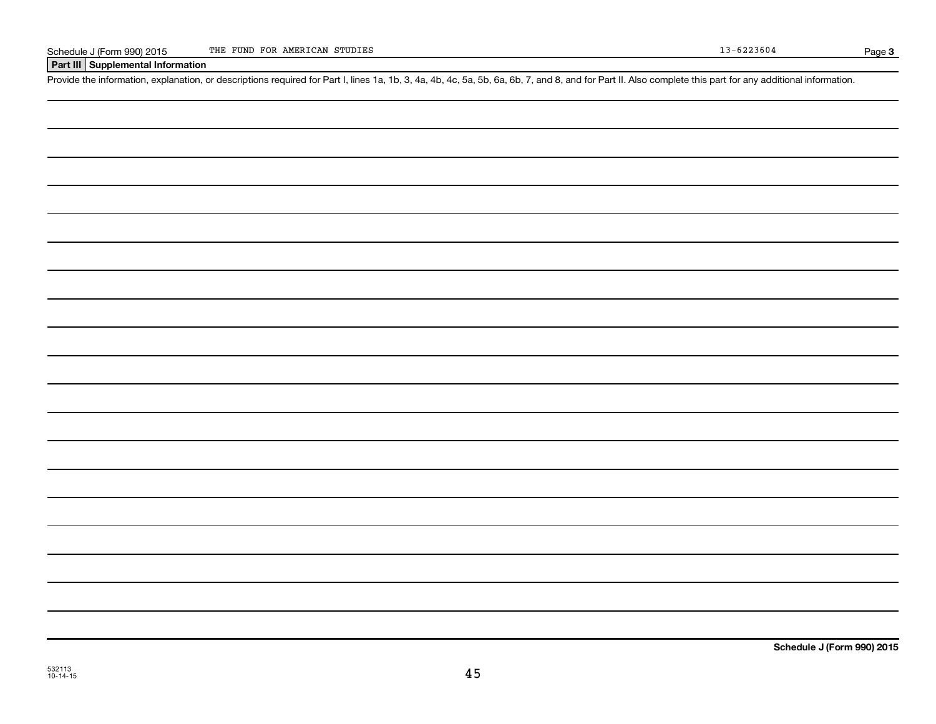#### **Part III Supplemental Information**

Provide the information, explanation, or descriptions required for Part I, lines 1a, 1b, 3, 4a, 4b, 4c, 5a, 5b, 6a, 6b, 7, and 8, and for Part II. Also complete this part for any additional information.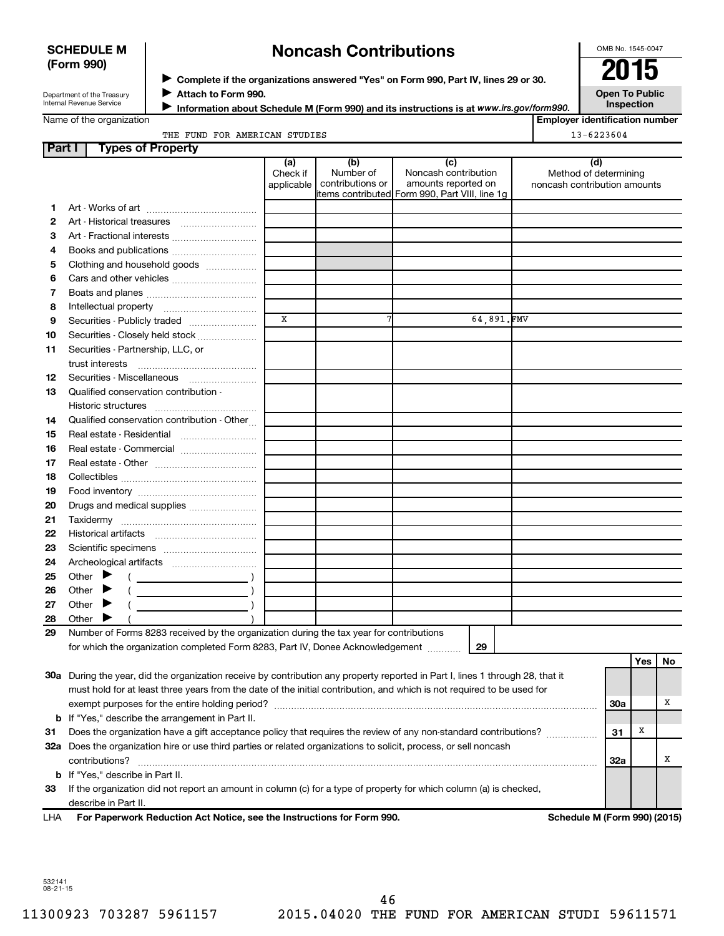#### **SCHEDULE M (Form 990)**

### **Noncash Contributions**

OMB No. 1545-0047

**Employer identification number**

| Department of the Treasury      |
|---------------------------------|
| <b>Internal Revenue Service</b> |

◆ Complete if the organizations answered "Yes" on Form 990, Part IV, lines 29 or 30.<br>▶ Complete if the organizations answered "Yes" on Form 990, Part IV, lines 29 or 30. **Attach to Form 990.** J

**Information about Schedule M (Form 990) and its instructions is at www.irs.gov/form990.** 

**Open To Public Inspection**

Name of the organization

THE FUND FOR AMERICAN STUDIES 13-6223604

| ∣ Part I | <b>Types of Property</b>                                                                                                                                                  |                               |                                      |                                                                                                      |                                                              |            |     |    |
|----------|---------------------------------------------------------------------------------------------------------------------------------------------------------------------------|-------------------------------|--------------------------------------|------------------------------------------------------------------------------------------------------|--------------------------------------------------------------|------------|-----|----|
|          |                                                                                                                                                                           | (a)<br>Check if<br>applicable | (b)<br>Number of<br>contributions or | (c)<br>Noncash contribution<br>amounts reported on<br>items contributed Form 990, Part VIII, line 1g | (d)<br>Method of determining<br>noncash contribution amounts |            |     |    |
| 1        |                                                                                                                                                                           |                               |                                      |                                                                                                      |                                                              |            |     |    |
| 2        |                                                                                                                                                                           |                               |                                      |                                                                                                      |                                                              |            |     |    |
| З        | Art - Fractional interests                                                                                                                                                |                               |                                      |                                                                                                      |                                                              |            |     |    |
| 4        |                                                                                                                                                                           |                               |                                      |                                                                                                      |                                                              |            |     |    |
| 5        | Clothing and household goods                                                                                                                                              |                               |                                      |                                                                                                      |                                                              |            |     |    |
| 6        |                                                                                                                                                                           |                               |                                      |                                                                                                      |                                                              |            |     |    |
| 7        |                                                                                                                                                                           |                               |                                      |                                                                                                      |                                                              |            |     |    |
| 8        |                                                                                                                                                                           |                               |                                      |                                                                                                      |                                                              |            |     |    |
| 9        | Securities - Publicly traded                                                                                                                                              | $\mathbf X$                   |                                      | 64,891.FMV                                                                                           |                                                              |            |     |    |
| 10       | Securities - Closely held stock                                                                                                                                           |                               |                                      |                                                                                                      |                                                              |            |     |    |
| 11       | Securities - Partnership, LLC, or                                                                                                                                         |                               |                                      |                                                                                                      |                                                              |            |     |    |
|          | trust interests                                                                                                                                                           |                               |                                      |                                                                                                      |                                                              |            |     |    |
| 12       | Securities - Miscellaneous                                                                                                                                                |                               |                                      |                                                                                                      |                                                              |            |     |    |
| 13       | Qualified conservation contribution -                                                                                                                                     |                               |                                      |                                                                                                      |                                                              |            |     |    |
|          |                                                                                                                                                                           |                               |                                      |                                                                                                      |                                                              |            |     |    |
| 14       | Qualified conservation contribution - Other                                                                                                                               |                               |                                      |                                                                                                      |                                                              |            |     |    |
| 15       | Real estate - Residential                                                                                                                                                 |                               |                                      |                                                                                                      |                                                              |            |     |    |
| 16       | Real estate - Commercial                                                                                                                                                  |                               |                                      |                                                                                                      |                                                              |            |     |    |
| 17       |                                                                                                                                                                           |                               |                                      |                                                                                                      |                                                              |            |     |    |
| 18       |                                                                                                                                                                           |                               |                                      |                                                                                                      |                                                              |            |     |    |
| 19       |                                                                                                                                                                           |                               |                                      |                                                                                                      |                                                              |            |     |    |
| 20       |                                                                                                                                                                           |                               |                                      |                                                                                                      |                                                              |            |     |    |
| 21       | Drugs and medical supplies                                                                                                                                                |                               |                                      |                                                                                                      |                                                              |            |     |    |
| 22       |                                                                                                                                                                           |                               |                                      |                                                                                                      |                                                              |            |     |    |
|          |                                                                                                                                                                           |                               |                                      |                                                                                                      |                                                              |            |     |    |
| 23       |                                                                                                                                                                           |                               |                                      |                                                                                                      |                                                              |            |     |    |
| 24       |                                                                                                                                                                           |                               |                                      |                                                                                                      |                                                              |            |     |    |
| 25       | Other $\blacktriangleright$                                                                                                                                               |                               |                                      |                                                                                                      |                                                              |            |     |    |
| 26       | Other<br>▶                                                                                                                                                                |                               |                                      |                                                                                                      |                                                              |            |     |    |
| 27       | Other<br>▶                                                                                                                                                                |                               |                                      |                                                                                                      |                                                              |            |     |    |
| 28<br>29 | Other                                                                                                                                                                     |                               |                                      |                                                                                                      |                                                              |            |     |    |
|          | Number of Forms 8283 received by the organization during the tax year for contributions<br>for which the organization completed Form 8283, Part IV, Donee Acknowledgement |                               |                                      | 29                                                                                                   |                                                              |            |     |    |
|          |                                                                                                                                                                           |                               |                                      |                                                                                                      |                                                              |            | Yes |    |
|          |                                                                                                                                                                           |                               |                                      |                                                                                                      |                                                              |            |     | No |
|          | 30a During the year, did the organization receive by contribution any property reported in Part I, lines 1 through 28, that it                                            |                               |                                      |                                                                                                      |                                                              |            |     |    |
|          | must hold for at least three years from the date of the initial contribution, and which is not required to be used for                                                    |                               |                                      |                                                                                                      |                                                              |            |     |    |
|          |                                                                                                                                                                           |                               |                                      |                                                                                                      |                                                              | <b>30a</b> |     | х  |
|          | <b>b</b> If "Yes," describe the arrangement in Part II.                                                                                                                   |                               |                                      |                                                                                                      |                                                              |            |     |    |
| 31       | Does the organization have a gift acceptance policy that requires the review of any non-standard contributions?                                                           |                               |                                      |                                                                                                      |                                                              | 31         | х   |    |
|          | 32a Does the organization hire or use third parties or related organizations to solicit, process, or sell noncash                                                         |                               |                                      |                                                                                                      |                                                              |            |     |    |
|          | contributions?                                                                                                                                                            |                               |                                      |                                                                                                      |                                                              | 32a        |     | х  |
|          | <b>b</b> If "Yes," describe in Part II.                                                                                                                                   |                               |                                      |                                                                                                      |                                                              |            |     |    |
| 33       | If the organization did not report an amount in column (c) for a type of property for which column (a) is checked,                                                        |                               |                                      |                                                                                                      |                                                              |            |     |    |
|          | describe in Part II.                                                                                                                                                      |                               |                                      |                                                                                                      |                                                              |            |     |    |
| LHA      | For Paperwork Reduction Act Notice, see the Instructions for Form 990.                                                                                                    |                               |                                      |                                                                                                      | Schedule M (Form 990) (2015)                                 |            |     |    |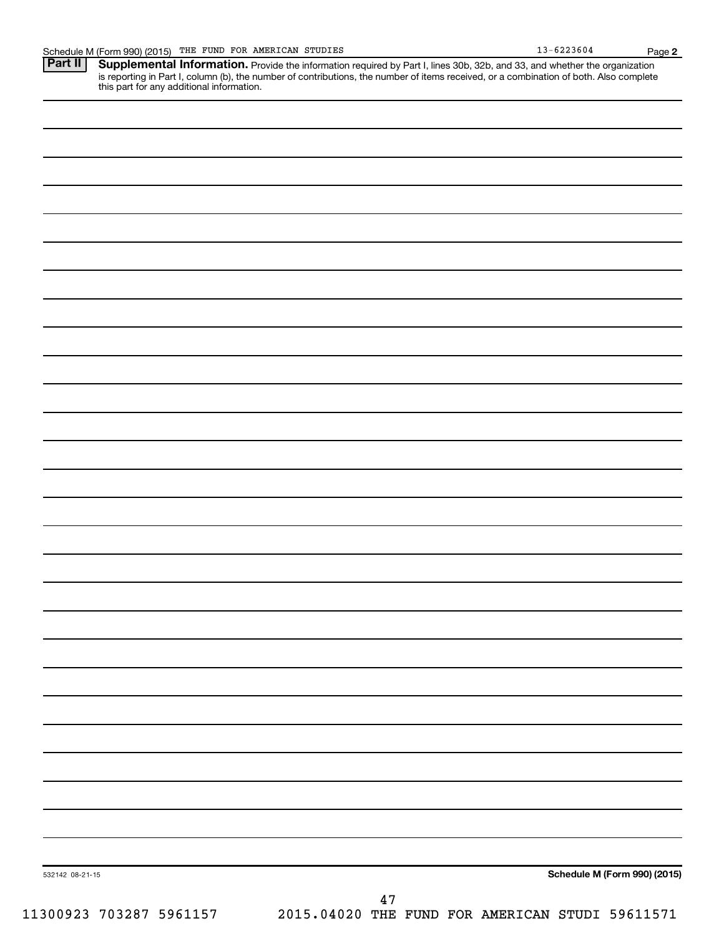Provide the information required by Part I, lines 30b, 32b, and 33, and whether the organization is reporting in Part I, column (b), the number of contributions, the number of items received, or a combination of both. Also complete this part for any additional information. **Part II Supplemental Information.** 

| 532142 08-21-15 |    | Schedule M (Form 990) (2015) |
|-----------------|----|------------------------------|
|                 | 47 |                              |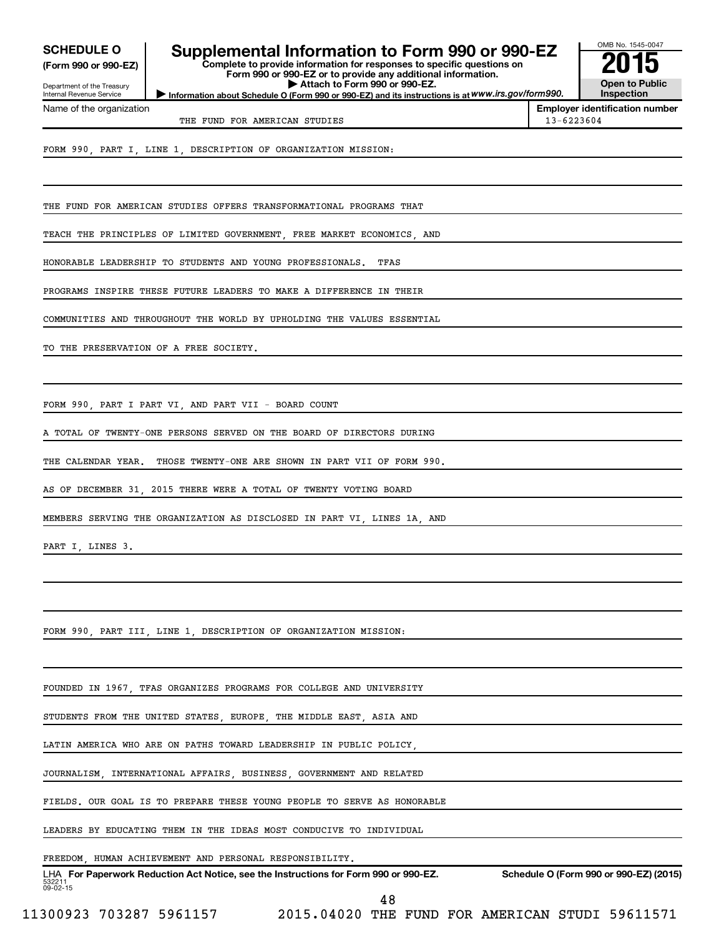**(Form 990 or 990-EZ)**

Department of the Treasury Internal Revenue Service Name of the organization

#### **SCHEDULE O Supplemental Information to Form 990 or 990-EZ 2015**

**Information about Schedule O (Form 990 or 990-EZ) and its instructions is at WWW.irs.gov/form990. Complete to provide information for responses to specific questions on Form 990 or 990-EZ or to provide any additional information. | Attach to Form 990 or 990-EZ.**



**Employer identification number** THE FUND FOR AMERICAN STUDIES 13-6223604

FORM 990, PART I, LINE 1, DESCRIPTION OF ORGANIZATION MISSION:

THE FUND FOR AMERICAN STUDIES OFFERS TRANSFORMATIONAL PROGRAMS THAT

TEACH THE PRINCIPLES OF LIMITED GOVERNMENT, FREE MARKET ECONOMICS, AND

HONORABLE LEADERSHIP TO STUDENTS AND YOUNG PROFESSIONALS. TFAS

PROGRAMS INSPIRE THESE FUTURE LEADERS TO MAKE A DIFFERENCE IN THEIR

COMMUNITIES AND THROUGHOUT THE WORLD BY UPHOLDING THE VALUES ESSENTIAL

TO THE PRESERVATION OF A FREE SOCIETY.

FORM 990, PART I PART VI, AND PART VII - BOARD COUNT

A TOTAL OF TWENTY-ONE PERSONS SERVED ON THE BOARD OF DIRECTORS DURING

THE CALENDAR YEAR. THOSE TWENTY-ONE ARE SHOWN IN PART VII OF FORM 990.

AS OF DECEMBER 31, 2015 THERE WERE A TOTAL OF TWENTY VOTING BOARD

MEMBERS SERVING THE ORGANIZATION AS DISCLOSED IN PART VI, LINES 1A, AND

PART I, LINES 3.

FORM 990, PART III, LINE 1, DESCRIPTION OF ORGANIZATION MISSION:

FOUNDED IN 1967, TFAS ORGANIZES PROGRAMS FOR COLLEGE AND UNIVERSITY

STUDENTS FROM THE UNITED STATES, EUROPE, THE MIDDLE EAST, ASIA AND

LATIN AMERICA WHO ARE ON PATHS TOWARD LEADERSHIP IN PUBLIC POLICY,

JOURNALISM, INTERNATIONAL AFFAIRS, BUSINESS, GOVERNMENT AND RELATED

FIELDS. OUR GOAL IS TO PREPARE THESE YOUNG PEOPLE TO SERVE AS HONORABLE

LEADERS BY EDUCATING THEM IN THE IDEAS MOST CONDUCIVE TO INDIVIDUAL

FREEDOM, HUMAN ACHIEVEMENT AND PERSONAL RESPONSIBILITY.

532211  $09 - 02 - 15$ LHA For Paperwork Reduction Act Notice, see the Instructions for Form 990 or 990-EZ. Schedule O (Form 990 or 990-EZ) (2015)

48

11300923 703287 5961157 2015.04020 THE FUND FOR AMERICAN STUDI 59611571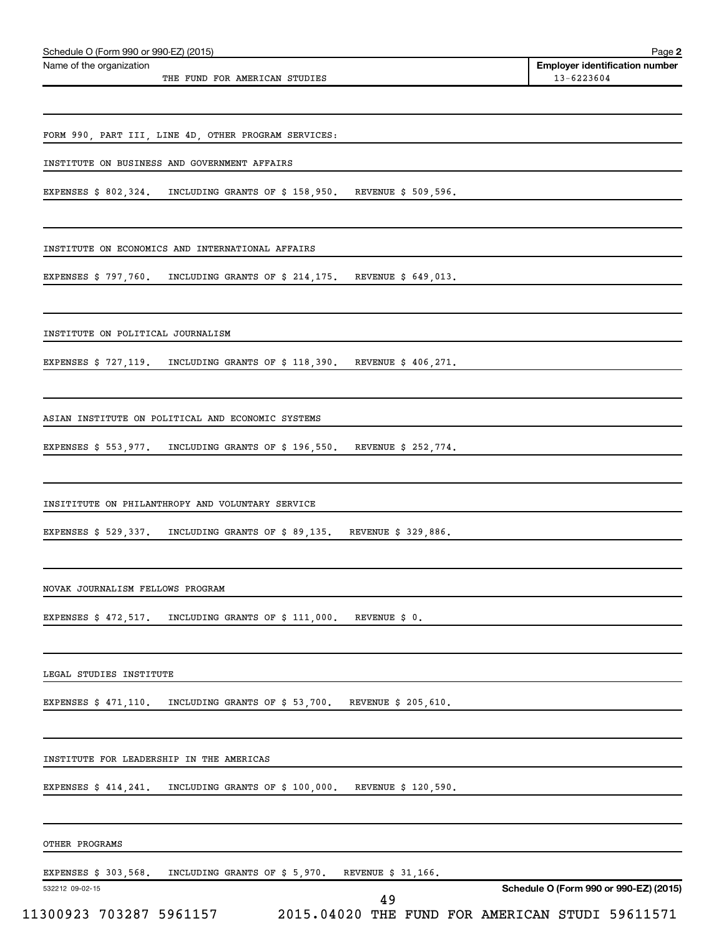| Schedule O (Form 990 or 990-EZ) (2015) | Page |
|----------------------------------------|------|
|                                        |      |

Name of the organization

THE FUND FOR AMERICAN STUDIES 13-6223604

**2 Employer identification number**

FORM 990, PART III, LINE 4D, OTHER PROGRAM SERVICES:

INSTITUTE ON BUSINESS AND GOVERNMENT AFFAIRS

EXPENSES \$ 802,324. INCLUDING GRANTS OF \$ 158,950. REVENUE \$ 509,596.

INSTITUTE ON ECONOMICS AND INTERNATIONAL AFFAIRS

EXPENSES \$ 797,760. INCLUDING GRANTS OF \$ 214,175. REVENUE \$ 649,013.

INSTITUTE ON POLITICAL JOURNALISM

EXPENSES \$ 727,119. INCLUDING GRANTS OF \$ 118,390. REVENUE \$ 406,271.

ASIAN INSTITUTE ON POLITICAL AND ECONOMIC SYSTEMS

EXPENSES \$ 553,977. INCLUDING GRANTS OF \$ 196,550. REVENUE \$ 252,774.

INSITITUTE ON PHILANTHROPY AND VOLUNTARY SERVICE

EXPENSES \$ 529,337. INCLUDING GRANTS OF \$ 89,135. REVENUE \$ 329,886.

NOVAK JOURNALISM FELLOWS PROGRAM

EXPENSES \$ 472,517. INCLUDING GRANTS OF \$ 111,000. REVENUE \$ 0.

LEGAL STUDIES INSTITUTE

EXPENSES \$ 471,110. INCLUDING GRANTS OF \$ 53,700. REVENUE \$ 205,610.

INSTITUTE FOR LEADERSHIP IN THE AMERICAS

EXPENSES \$ 414,241. INCLUDING GRANTS OF \$ 100,000. REVENUE \$ 120,590.

OTHER PROGRAMS

EXPENSES \$ 303,568. INCLUDING GRANTS OF \$ 5,970. REVENUE \$ 31,166.

532212 09-02-15

**Schedule O (Form 990 or 990-EZ) (2015)**

49

11300923 703287 5961157 2015.04020 THE FUND FOR AMERICAN STUDI 59611571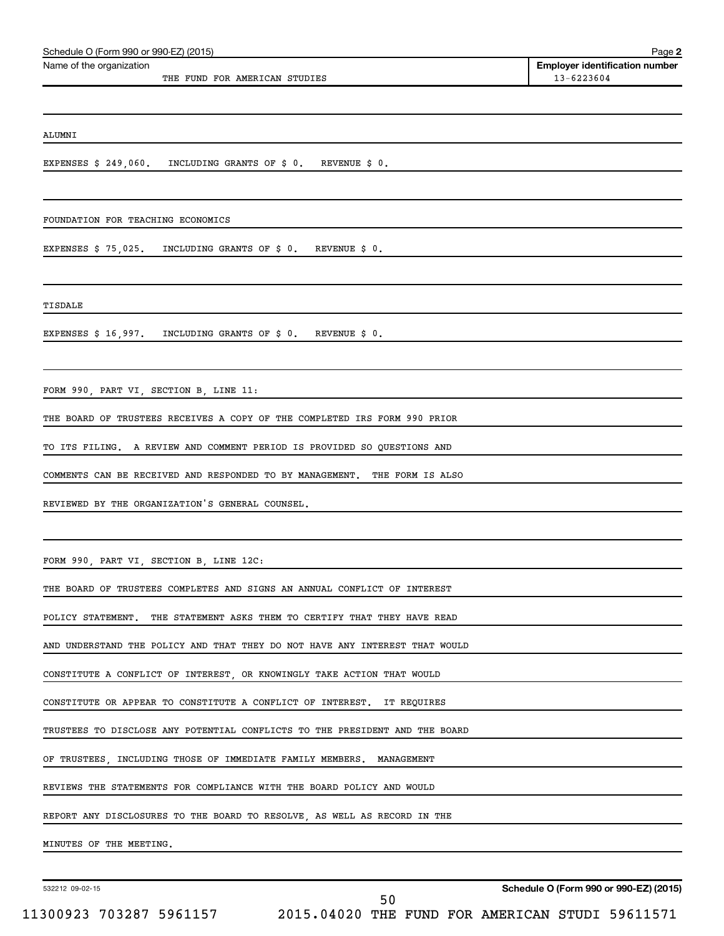| Schedule O (Form 990 or 990-EZ) (2015)                                      | Page 2                                              |
|-----------------------------------------------------------------------------|-----------------------------------------------------|
| Name of the organization<br>THE FUND FOR AMERICAN STUDIES                   | <b>Employer identification number</b><br>13-6223604 |
|                                                                             |                                                     |
|                                                                             |                                                     |
| ALUMNI                                                                      |                                                     |
| EXPENSES \$ 249,060.<br>INCLUDING GRANTS OF \$ 0. REVENUE \$ 0.             |                                                     |
|                                                                             |                                                     |
| FOUNDATION FOR TEACHING ECONOMICS                                           |                                                     |
| INCLUDING GRANTS OF \$ 0. REVENUE \$ 0.<br>EXPENSES $$75,025$ .             |                                                     |
|                                                                             |                                                     |
| TISDALE                                                                     |                                                     |
| EXPENSES \$ 16,997.<br>INCLUDING GRANTS OF \$ 0. REVENUE \$ 0.              |                                                     |
|                                                                             |                                                     |
| FORM 990, PART VI, SECTION B, LINE 11:                                      |                                                     |
|                                                                             |                                                     |
| THE BOARD OF TRUSTEES RECEIVES A COPY OF THE COMPLETED IRS FORM 990 PRIOR   |                                                     |
| TO ITS FILING. A REVIEW AND COMMENT PERIOD IS PROVIDED SO QUESTIONS AND     |                                                     |
| COMMENTS CAN BE RECEIVED AND RESPONDED TO BY MANAGEMENT. THE FORM IS ALSO   |                                                     |
| REVIEWED BY THE ORGANIZATION'S GENERAL COUNSEL.                             |                                                     |
|                                                                             |                                                     |
| FORM 990, PART VI, SECTION B, LINE 12C:                                     |                                                     |
| THE BOARD OF TRUSTEES COMPLETES AND SIGNS AN ANNUAL CONFLICT OF INTEREST    |                                                     |
| POLICY STATEMENT. THE STATEMENT ASKS THEM TO CERTIFY THAT THEY HAVE READ    |                                                     |
| AND UNDERSTAND THE POLICY AND THAT THEY DO NOT HAVE ANY INTEREST THAT WOULD |                                                     |
| CONSTITUTE A CONFLICT OF INTEREST, OR KNOWINGLY TAKE ACTION THAT WOULD      |                                                     |
| CONSTITUTE OR APPEAR TO CONSTITUTE A CONFLICT OF INTEREST.<br>IT REQUIRES   |                                                     |
| TRUSTEES TO DISCLOSE ANY POTENTIAL CONFLICTS TO THE PRESIDENT AND THE BOARD |                                                     |
| OF TRUSTEES, INCLUDING THOSE OF IMMEDIATE FAMILY MEMBERS. MANAGEMENT        |                                                     |
| REVIEWS THE STATEMENTS FOR COMPLIANCE WITH THE BOARD POLICY AND WOULD       |                                                     |
| REPORT ANY DISCLOSURES TO THE BOARD TO RESOLVE, AS WELL AS RECORD IN THE    |                                                     |
| MINUTES OF THE MEETING.                                                     |                                                     |
|                                                                             |                                                     |

532212 09-02-15

**Schedule O (Form 990 or 990-EZ) (2015)**

11300923 703287 5961157 2015.04020 THE FUND FOR AMERICAN STUDI 59611571 50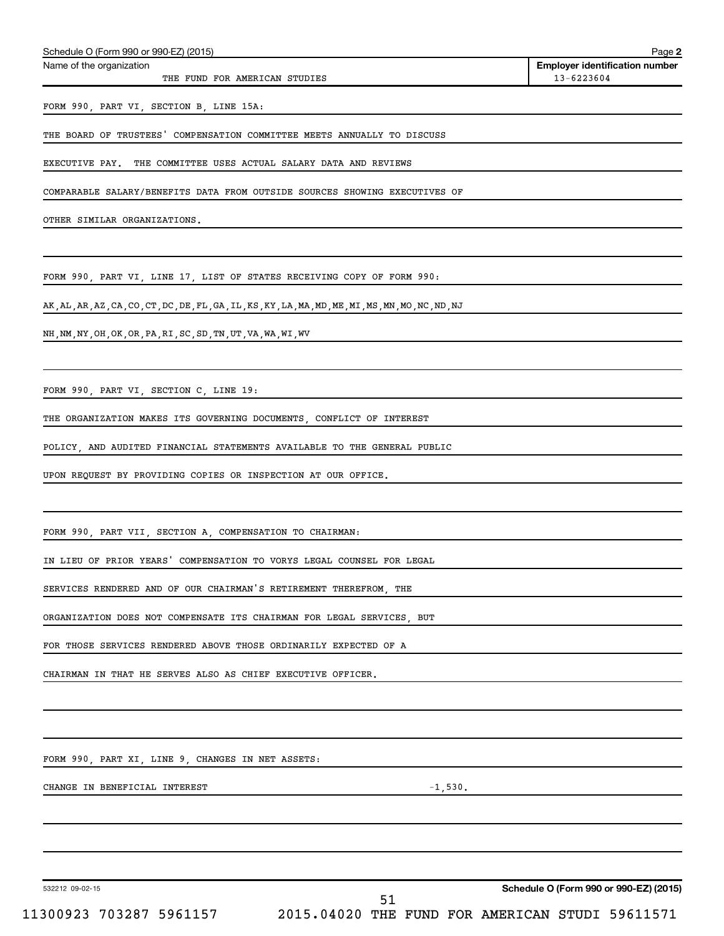| Schedule O (Form 990 or 990-EZ) (2015) | Page 2                                |
|----------------------------------------|---------------------------------------|
| Name of the organization               | <b>Employer identification number</b> |
| THE FUND FOR AMERICAN STUDIES          | 13-6223604                            |
|                                        |                                       |

FORM 990, PART VI, SECTION B, LINE 15A:

THE BOARD OF TRUSTEES' COMPENSATION COMMITTEE MEETS ANNUALLY TO DISCUSS

EXECUTIVE PAY. THE COMMITTEE USES ACTUAL SALARY DATA AND REVIEWS

COMPARABLE SALARY/BENEFITS DATA FROM OUTSIDE SOURCES SHOWING EXECUTIVES OF

OTHER SIMILAR ORGANIZATIONS.

FORM 990, PART VI, LINE 17, LIST OF STATES RECEIVING COPY OF FORM 990:

AK,AL,AR,AZ,CA,CO,CT,DC,DE,FL,GA,IL,KS,KY,LA,MA,MD,ME,MI,MS,MN,MO,NC,ND,NJ

NH,NM,NY,OH,OK,OR,PA,RI,SC,SD,TN,UT,VA,WA,WI,WV

FORM 990, PART VI, SECTION C, LINE 19:

THE ORGANIZATION MAKES ITS GOVERNING DOCUMENTS, CONFLICT OF INTEREST

POLICY, AND AUDITED FINANCIAL STATEMENTS AVAILABLE TO THE GENERAL PUBLIC

UPON REQUEST BY PROVIDING COPIES OR INSPECTION AT OUR OFFICE.

FORM 990, PART VII, SECTION A, COMPENSATION TO CHAIRMAN:

IN LIEU OF PRIOR YEARS' COMPENSATION TO VORYS LEGAL COUNSEL FOR LEGAL

SERVICES RENDERED AND OF OUR CHAIRMAN'S RETIREMENT THEREFROM, THE

ORGANIZATION DOES NOT COMPENSATE ITS CHAIRMAN FOR LEGAL SERVICES, BUT

FOR THOSE SERVICES RENDERED ABOVE THOSE ORDINARILY EXPECTED OF A

CHAIRMAN IN THAT HE SERVES ALSO AS CHIEF EXECUTIVE OFFICER.

FORM 990, PART XI, LINE 9, CHANGES IN NET ASSETS:

CHANGE IN BENEFICIAL INTEREST  $-1,530$ .

532212 09-02-15

**Schedule O (Form 990 or 990-EZ) (2015)**

11300923 703287 5961157 2015.04020 THE FUND FOR AMERICAN STUDI 59611571

51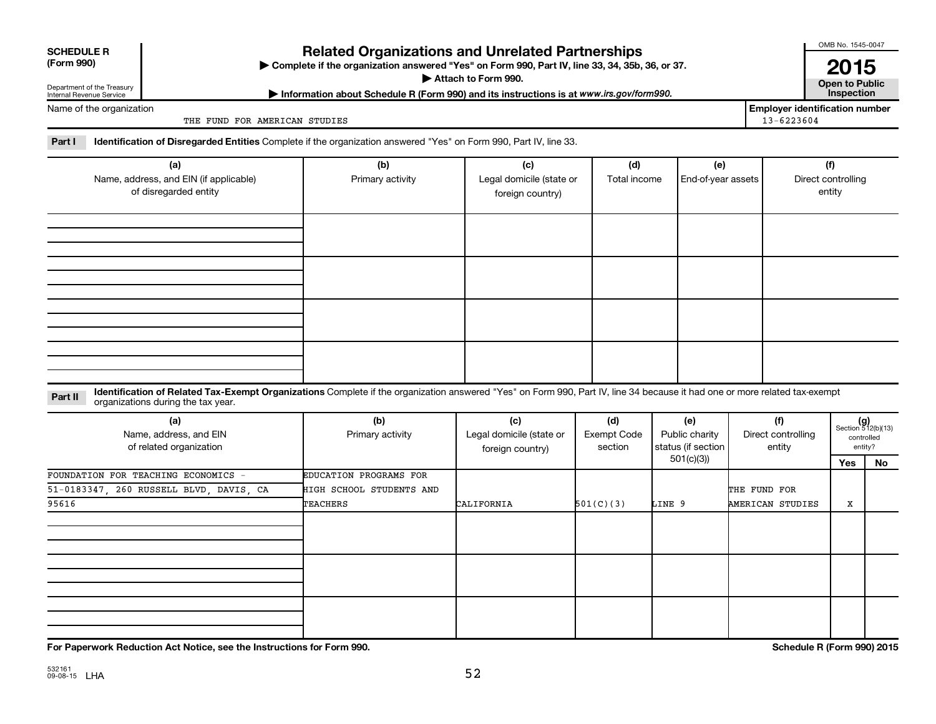| <b>SCHEDULE R</b><br>(Form 990)<br>Department of the Treasury<br>Internal Revenue Service |                                                                                     | <b>Related Organizations and Unrelated Partnerships</b><br>> Complete if the organization answered "Yes" on Form 990, Part IV, line 33, 34, 35b, 36, or 37.<br>Attach to Form 990.<br>Information about Schedule R (Form 990) and its instructions is at www.irs.gov/form990. |                                                     |                                      |                                             |                                     |                                                     |                                     | OMB No. 1545-0047<br>2015<br><b>Open to Public</b><br>Inspection |
|-------------------------------------------------------------------------------------------|-------------------------------------------------------------------------------------|-------------------------------------------------------------------------------------------------------------------------------------------------------------------------------------------------------------------------------------------------------------------------------|-----------------------------------------------------|--------------------------------------|---------------------------------------------|-------------------------------------|-----------------------------------------------------|-------------------------------------|------------------------------------------------------------------|
| Name of the organization                                                                  | THE FUND FOR AMERICAN STUDIES                                                       |                                                                                                                                                                                                                                                                               |                                                     |                                      |                                             |                                     | <b>Employer identification number</b><br>13-6223604 |                                     |                                                                  |
| Part I                                                                                    |                                                                                     | Identification of Disregarded Entities Complete if the organization answered "Yes" on Form 990, Part IV, line 33.                                                                                                                                                             |                                                     |                                      |                                             |                                     |                                                     |                                     |                                                                  |
|                                                                                           | (a)<br>Name, address, and EIN (if applicable)<br>of disregarded entity              | (b)<br>Primary activity                                                                                                                                                                                                                                                       | (c)<br>Legal domicile (state or<br>foreign country) | (d)<br>Total income                  | (e)<br>End-of-year assets                   |                                     |                                                     | (f)<br>Direct controlling<br>entity |                                                                  |
|                                                                                           |                                                                                     |                                                                                                                                                                                                                                                                               |                                                     |                                      |                                             |                                     |                                                     |                                     |                                                                  |
|                                                                                           |                                                                                     |                                                                                                                                                                                                                                                                               |                                                     |                                      |                                             |                                     |                                                     |                                     |                                                                  |
|                                                                                           |                                                                                     |                                                                                                                                                                                                                                                                               |                                                     |                                      |                                             |                                     |                                                     |                                     |                                                                  |
| Part II                                                                                   | organizations during the tax year.                                                  | Identification of Related Tax-Exempt Organizations Complete if the organization answered "Yes" on Form 990, Part IV, line 34 because it had one or more related tax-exempt                                                                                                    |                                                     |                                      |                                             |                                     |                                                     |                                     |                                                                  |
|                                                                                           | (a)<br>(b)<br>Name, address, and EIN<br>Primary activity<br>of related organization |                                                                                                                                                                                                                                                                               | (c)<br>Legal domicile (state or<br>foreign country) | (d)<br><b>Exempt Code</b><br>section | (e)<br>Public charity<br>status (if section | (f)<br>Direct controlling<br>entity |                                                     | $(g)$<br>Section 512(b)(13)         | controlled<br>entity?                                            |
|                                                                                           |                                                                                     |                                                                                                                                                                                                                                                                               |                                                     |                                      | 501(c)(3)                                   |                                     |                                                     | <b>Yes</b>                          | <b>No</b>                                                        |
| 95616                                                                                     | FOUNDATION FOR TEACHING ECONOMICS -<br>51-0183347, 260 RUSSELL BLVD, DAVIS, CA      | EDUCATION PROGRAMS FOR<br>HIGH SCHOOL STUDENTS AND<br><b>TEACHERS</b>                                                                                                                                                                                                         | CALIFORNIA                                          | 501(C)(3)                            | LINE 9                                      | THE FUND FOR                        | AMERICAN STUDIES                                    | X                                   |                                                                  |
|                                                                                           |                                                                                     |                                                                                                                                                                                                                                                                               |                                                     |                                      |                                             |                                     |                                                     |                                     |                                                                  |
|                                                                                           |                                                                                     |                                                                                                                                                                                                                                                                               |                                                     |                                      |                                             |                                     |                                                     |                                     |                                                                  |

**For Paperwork Reduction Act Notice, see the Instructions for Form 990. Schedule R (Form 990) 2015**

OMB No. 1545-0047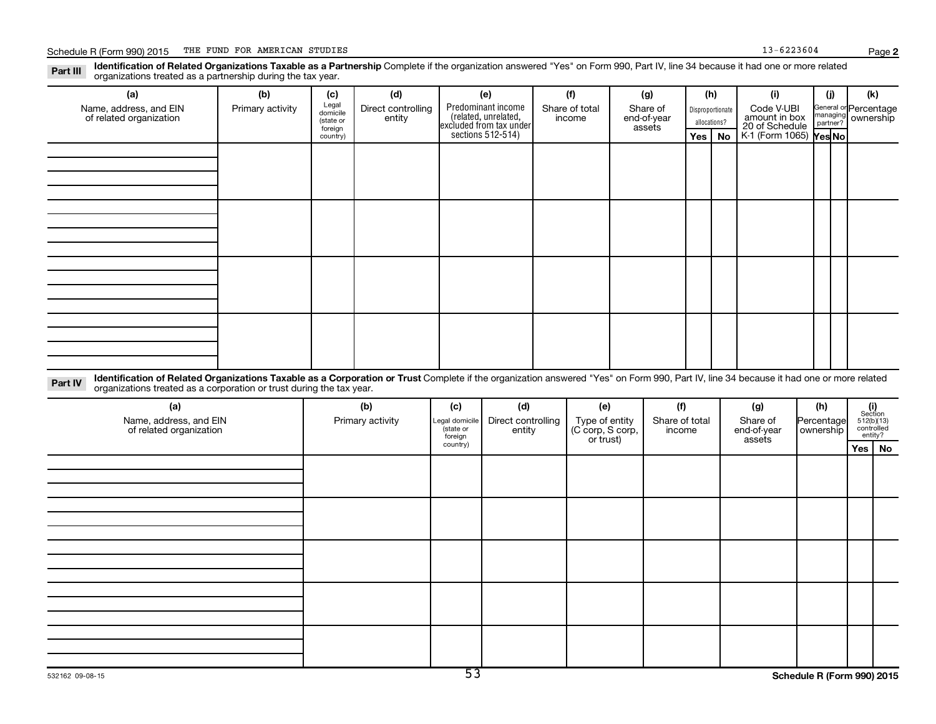Part III Identification of Related Organizations Taxable as a Partnership Complete if the organization answered "Yes" on Form 990, Part IV, line 34 because it had one or more related<br>Read to the organizations tracted as a organizations treated as a partnership during the tax year.

| (a)                                               | (b)              | (c)                  | (d)                | (e)                                                                                        | (f)            | (g)                   |          | (h)              | (i)                             | (j) | (k)                                                     |
|---------------------------------------------------|------------------|----------------------|--------------------|--------------------------------------------------------------------------------------------|----------------|-----------------------|----------|------------------|---------------------------------|-----|---------------------------------------------------------|
| Name, address, and EIN<br>of related organization | Primary activity | Legal<br>domicile    | Direct controlling | Predominant income<br>(related, unrelated,<br>excluded from tax under<br>sections 512-514) | Share of total | Share of              |          | Disproportionate | Code V-UBI                      |     | General or Percentage<br>managing ownership<br>partner? |
|                                                   |                  | (state or<br>foreign | entity             |                                                                                            | income         | end-of-year<br>assets |          | allocations?     | amount in box<br>20 of Schedule |     |                                                         |
|                                                   |                  | country)             |                    |                                                                                            |                |                       | Yes   No |                  | $K1$ (Form 1065) $\gamma$ es No |     |                                                         |
|                                                   |                  |                      |                    |                                                                                            |                |                       |          |                  |                                 |     |                                                         |
|                                                   |                  |                      |                    |                                                                                            |                |                       |          |                  |                                 |     |                                                         |
|                                                   |                  |                      |                    |                                                                                            |                |                       |          |                  |                                 |     |                                                         |
|                                                   |                  |                      |                    |                                                                                            |                |                       |          |                  |                                 |     |                                                         |
|                                                   |                  |                      |                    |                                                                                            |                |                       |          |                  |                                 |     |                                                         |
|                                                   |                  |                      |                    |                                                                                            |                |                       |          |                  |                                 |     |                                                         |
|                                                   |                  |                      |                    |                                                                                            |                |                       |          |                  |                                 |     |                                                         |
|                                                   |                  |                      |                    |                                                                                            |                |                       |          |                  |                                 |     |                                                         |
|                                                   |                  |                      |                    |                                                                                            |                |                       |          |                  |                                 |     |                                                         |
|                                                   |                  |                      |                    |                                                                                            |                |                       |          |                  |                                 |     |                                                         |
|                                                   |                  |                      |                    |                                                                                            |                |                       |          |                  |                                 |     |                                                         |
|                                                   |                  |                      |                    |                                                                                            |                |                       |          |                  |                                 |     |                                                         |
|                                                   |                  |                      |                    |                                                                                            |                |                       |          |                  |                                 |     |                                                         |
|                                                   |                  |                      |                    |                                                                                            |                |                       |          |                  |                                 |     |                                                         |
|                                                   |                  |                      |                    |                                                                                            |                |                       |          |                  |                                 |     |                                                         |
|                                                   |                  |                      |                    |                                                                                            |                |                       |          |                  |                                 |     |                                                         |
|                                                   |                  |                      |                    |                                                                                            |                |                       |          |                  |                                 |     |                                                         |

Part IV Identification of Related Organizations Taxable as a Corporation or Trust Complete if the organization answered "Yes" on Form 990, Part IV, line 34 because it had one or more related<br>Comparison tracted as a comprat organizations treated as a corporation or trust during the tax year.

| (a)<br>Name, address, and EIN<br>of related organization | (b)<br>Primary activity | (c)<br>Legal domicile<br>(state or<br>foreign | (d)<br>Direct controlling<br>entity | (e)<br>Type of entity<br>(C corp, S corp,<br>or trust) | (f)<br>Share of total<br>income | (g)<br>Share of<br>end-of-year<br>assets | (h)<br>Percentage<br>  ownership | $\begin{array}{c} \textbf{(i)}\\ \text{Section}\\ 512 \text{(b)} \text{(13)}\\ \text{controlled}\end{array}$<br>entity? |
|----------------------------------------------------------|-------------------------|-----------------------------------------------|-------------------------------------|--------------------------------------------------------|---------------------------------|------------------------------------------|----------------------------------|-------------------------------------------------------------------------------------------------------------------------|
|                                                          |                         | country)                                      |                                     |                                                        |                                 |                                          |                                  | Yes   No                                                                                                                |
|                                                          |                         |                                               |                                     |                                                        |                                 |                                          |                                  |                                                                                                                         |
|                                                          |                         |                                               |                                     |                                                        |                                 |                                          |                                  |                                                                                                                         |
|                                                          |                         |                                               |                                     |                                                        |                                 |                                          |                                  |                                                                                                                         |
|                                                          |                         |                                               |                                     |                                                        |                                 |                                          |                                  |                                                                                                                         |
|                                                          |                         |                                               |                                     |                                                        |                                 |                                          |                                  |                                                                                                                         |
|                                                          |                         |                                               |                                     |                                                        |                                 |                                          |                                  |                                                                                                                         |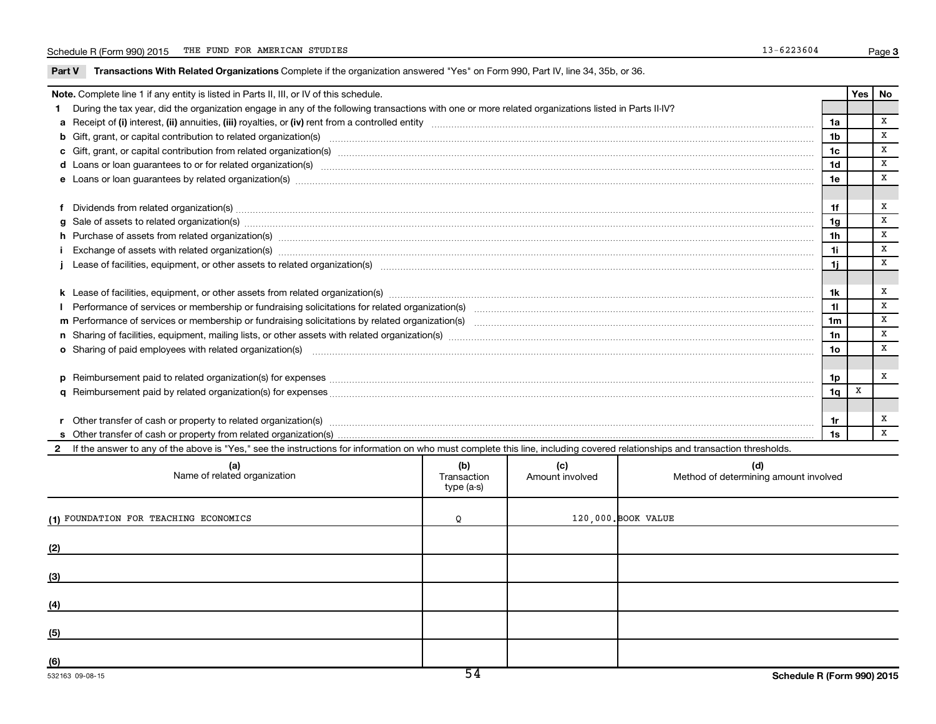**3**

Part V Transactions With Related Organizations Complete if the organization answered "Yes" on Form 990, Part IV, line 34, 35b, or 36.

| Note. Complete line 1 if any entity is listed in Parts II, III, or IV of this schedule.                                                                                                                                        |                    |                        |                                              |                | Yes | No |
|--------------------------------------------------------------------------------------------------------------------------------------------------------------------------------------------------------------------------------|--------------------|------------------------|----------------------------------------------|----------------|-----|----|
| During the tax year, did the organization engage in any of the following transactions with one or more related organizations listed in Parts II-IV?                                                                            |                    |                        |                                              |                |     |    |
|                                                                                                                                                                                                                                |                    |                        |                                              | 1a             |     | X  |
|                                                                                                                                                                                                                                |                    |                        |                                              | 1 <sub>b</sub> |     | X  |
|                                                                                                                                                                                                                                |                    |                        |                                              | 1c             |     | X  |
| d Loans or loan guarantees to or for related organization(s) www.communically.com/www.communically.com/www.communically.com/www.communically.com/www.communically.com/www.communically.com/www.communically.com/www.communical |                    |                        |                                              | 1d             |     | X  |
| e Loans or loan guarantees by related organization(s) manufaction contraction contraction contraction contraction contraction contraction contraction contraction contract or contract or contract or contract or contract or  |                    |                        |                                              | 1e             |     | X  |
|                                                                                                                                                                                                                                |                    |                        |                                              |                |     |    |
| Dividends from related organization(s) manufacture contraction and contract and contract or contract or contract or contract or contract or contract or contract or contract or contract or contract or contract or contract o |                    |                        |                                              | 1f             |     | х  |
|                                                                                                                                                                                                                                |                    |                        |                                              | 1 <sub>g</sub> |     | X  |
|                                                                                                                                                                                                                                |                    |                        |                                              | 1 <sub>h</sub> |     | x  |
| Exchange of assets with related organization(s) manufactured and content and content and content of assets with related organization(s)                                                                                        |                    |                        |                                              | 1i             |     | x  |
|                                                                                                                                                                                                                                |                    |                        |                                              | 1j             |     | x  |
|                                                                                                                                                                                                                                |                    |                        |                                              |                |     |    |
|                                                                                                                                                                                                                                |                    |                        |                                              | 1k             |     | x  |
|                                                                                                                                                                                                                                |                    |                        |                                              | 11             |     | X  |
|                                                                                                                                                                                                                                |                    |                        |                                              | 1 <sub>m</sub> |     | X  |
|                                                                                                                                                                                                                                |                    |                        |                                              | 1n             |     | x  |
| o Sharing of paid employees with related organization(s) manufactured content to the content of the content of the content of the content of the content of the content of the content of the content of the content of the co |                    |                        |                                              | 1 <sub>o</sub> |     | X  |
|                                                                                                                                                                                                                                |                    |                        |                                              |                |     |    |
|                                                                                                                                                                                                                                |                    |                        |                                              | 1p             |     | x  |
|                                                                                                                                                                                                                                |                    |                        |                                              | 1q             | х   |    |
|                                                                                                                                                                                                                                |                    |                        |                                              |                |     |    |
|                                                                                                                                                                                                                                |                    |                        |                                              | 1r             |     | X  |
|                                                                                                                                                                                                                                |                    |                        |                                              |                |     | x  |
| 2 If the answer to any of the above is "Yes," see the instructions for information on who must complete this line, including covered relationships and transaction thresholds.                                                 |                    |                        |                                              |                |     |    |
|                                                                                                                                                                                                                                |                    |                        |                                              |                |     |    |
| (a)<br>Name of related organization                                                                                                                                                                                            | (b)<br>Transaction | (c)<br>Amount involved | (d)<br>Method of determining amount involved |                |     |    |

| Name of related organization          | (W)<br>Transaction<br>type (a-s) | ्रा<br>Amount involved | la)<br>Method of determining amount involved |
|---------------------------------------|----------------------------------|------------------------|----------------------------------------------|
| (1) FOUNDATION FOR TEACHING ECONOMICS | Q                                |                        | 120,000. BOOK VALUE                          |
| (2)                                   |                                  |                        |                                              |
| (3)                                   |                                  |                        |                                              |
| (4)                                   |                                  |                        |                                              |
| (5)                                   |                                  |                        |                                              |
| (6)                                   | $F_{\rm A}$                      |                        |                                              |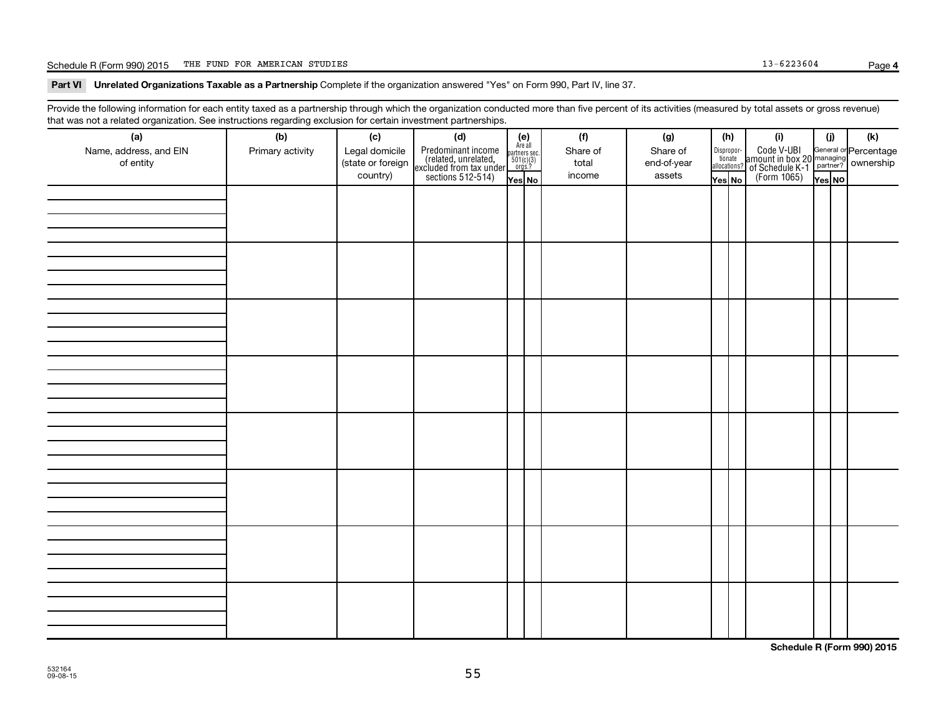#### Schedule R (Form 990) 2015 THE FUND FOR AMERICAN STUDIES (2008) Page 13-6223604

Part VI Unrelated Organizations Taxable as a Partnership Complete if the organization answered "Yes" on Form 990, Part IV, line 37.

Provide the following information for each entity taxed as a partnership through which the organization conducted more than five percent of its activities (measured by total assets or gross revenue) that was not a related organization. See instructions regarding exclusion for certain investment partnerships.

| hat mad not a rolated organization. Occ includedly regarding excludion for coltain invectment partnerompe.<br>(a) | (b)              | (c)               | (d)                                                                                        |                                                            | (f)      | (g)         | (h)                              | (i)                                                                                                | (i)    | (k) |
|-------------------------------------------------------------------------------------------------------------------|------------------|-------------------|--------------------------------------------------------------------------------------------|------------------------------------------------------------|----------|-------------|----------------------------------|----------------------------------------------------------------------------------------------------|--------|-----|
| Name, address, and EIN                                                                                            | Primary activity | Legal domicile    |                                                                                            | $(e)$<br>Are all<br>partners sec.<br>$501(c)(3)$<br>orgs.? | Share of | Share of    |                                  |                                                                                                    |        |     |
| of entity                                                                                                         |                  | (state or foreign |                                                                                            |                                                            | total    | end-of-year | Disproportionate<br>allocations? |                                                                                                    |        |     |
|                                                                                                                   |                  | country)          | Predominant income<br>(related, unrelated,<br>excluded from tax under<br>sections 512-514) | Yes No                                                     | income   | assets      | Yes No                           | Code V-UBI<br>amount in box 20 managing<br>of Schedule K-1<br>(Form 1065)<br>$\overline{V}$ ves No | Yes NO |     |
|                                                                                                                   |                  |                   |                                                                                            |                                                            |          |             |                                  |                                                                                                    |        |     |
|                                                                                                                   |                  |                   |                                                                                            |                                                            |          |             |                                  |                                                                                                    |        |     |
|                                                                                                                   |                  |                   |                                                                                            |                                                            |          |             |                                  |                                                                                                    |        |     |
|                                                                                                                   |                  |                   |                                                                                            |                                                            |          |             |                                  |                                                                                                    |        |     |
|                                                                                                                   |                  |                   |                                                                                            |                                                            |          |             |                                  |                                                                                                    |        |     |
|                                                                                                                   |                  |                   |                                                                                            |                                                            |          |             |                                  |                                                                                                    |        |     |
|                                                                                                                   |                  |                   |                                                                                            |                                                            |          |             |                                  |                                                                                                    |        |     |
|                                                                                                                   |                  |                   |                                                                                            |                                                            |          |             |                                  |                                                                                                    |        |     |
|                                                                                                                   |                  |                   |                                                                                            |                                                            |          |             |                                  |                                                                                                    |        |     |
|                                                                                                                   |                  |                   |                                                                                            |                                                            |          |             |                                  |                                                                                                    |        |     |
|                                                                                                                   |                  |                   |                                                                                            |                                                            |          |             |                                  |                                                                                                    |        |     |
|                                                                                                                   |                  |                   |                                                                                            |                                                            |          |             |                                  |                                                                                                    |        |     |
|                                                                                                                   |                  |                   |                                                                                            |                                                            |          |             |                                  |                                                                                                    |        |     |
|                                                                                                                   |                  |                   |                                                                                            |                                                            |          |             |                                  |                                                                                                    |        |     |
|                                                                                                                   |                  |                   |                                                                                            |                                                            |          |             |                                  |                                                                                                    |        |     |
|                                                                                                                   |                  |                   |                                                                                            |                                                            |          |             |                                  |                                                                                                    |        |     |
|                                                                                                                   |                  |                   |                                                                                            |                                                            |          |             |                                  |                                                                                                    |        |     |
|                                                                                                                   |                  |                   |                                                                                            |                                                            |          |             |                                  |                                                                                                    |        |     |
|                                                                                                                   |                  |                   |                                                                                            |                                                            |          |             |                                  |                                                                                                    |        |     |
|                                                                                                                   |                  |                   |                                                                                            |                                                            |          |             |                                  |                                                                                                    |        |     |
|                                                                                                                   |                  |                   |                                                                                            |                                                            |          |             |                                  |                                                                                                    |        |     |
|                                                                                                                   |                  |                   |                                                                                            |                                                            |          |             |                                  |                                                                                                    |        |     |
|                                                                                                                   |                  |                   |                                                                                            |                                                            |          |             |                                  |                                                                                                    |        |     |
|                                                                                                                   |                  |                   |                                                                                            |                                                            |          |             |                                  |                                                                                                    |        |     |
|                                                                                                                   |                  |                   |                                                                                            |                                                            |          |             |                                  |                                                                                                    |        |     |
|                                                                                                                   |                  |                   |                                                                                            |                                                            |          |             |                                  |                                                                                                    |        |     |
|                                                                                                                   |                  |                   |                                                                                            |                                                            |          |             |                                  |                                                                                                    |        |     |
|                                                                                                                   |                  |                   |                                                                                            |                                                            |          |             |                                  |                                                                                                    |        |     |
|                                                                                                                   |                  |                   |                                                                                            |                                                            |          |             |                                  |                                                                                                    |        |     |
|                                                                                                                   |                  |                   |                                                                                            |                                                            |          |             |                                  |                                                                                                    |        |     |
|                                                                                                                   |                  |                   |                                                                                            |                                                            |          |             |                                  |                                                                                                    |        |     |
|                                                                                                                   |                  |                   |                                                                                            |                                                            |          |             |                                  |                                                                                                    |        |     |

**Schedule R (Form 990) 2015**